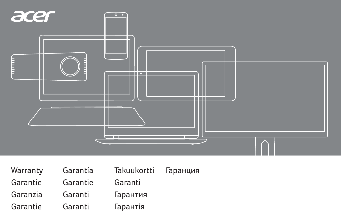

| Warranty | Garantía | Takuukortti | Гаранция |
|----------|----------|-------------|----------|
| Garantie | Garantie | Garanti     |          |
| Garanzia | Garanti  | Гарантия    |          |
| Garantie | Garanti  | Гарантія    |          |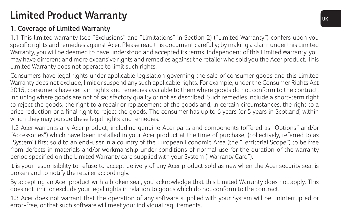## **Limited Product Warranty**

## **1. Coverage of Limited Warranty**

1.1 This limited warranty (see "Exclusions" and "Limitations" in Section 2) ("Limited Warranty") confers upon you specific rights and remedies against Acer. Please read this document carefully; by making a claim under this Limited Warranty, you will be deemed to have understood and accepted its terms. Independent of this Limited Warranty, you may have different and more expansive rights and remedies against the retailer who sold you the Acer product. This Limited Warranty does not operate to limit such rights.

Consumers have legal rights under applicable legislation governing the sale of consumer goods and this Limited Warranty does not exclude, limit or suspend any such applicable rights. For example, under the Consumer Rights Act 2015, consumers have certain rights and remedies available to them where goods do not conform to the contract, including where goods are not of satisfactory quality or not as described. Such remedies include a short-term right to reject the goods, the right to a repair or replacement of the goods and, in certain circumstances, the right to a price reduction or a final right to reject the goods. The consumer has up to 6 years (or 5 years in Scotland) within which they may pursue these legal rights and remedies.

1.2 Acer warrants any Acer product, including genuine Acer parts and components (offered as "Options" and/or "Accessories") which have been installed in your Acer product at the time of purchase, (collectively, referred to as "System") first sold to an end-user in a country of the European Economic Area (the "Territorial Scope") to be free from defects in materials and/or workmanship under conditions of normal use for the duration of the warranty period specified on the Limited Warranty card supplied with your System ("Warranty Card").

It is your responsibility to refuse to accept delivery of any Acer product sold as new when the Acer security seal is broken and to notify the retailer accordingly.

By accepting an Acer product with a broken seal, you acknowledge that this Limited Warranty does not apply. This does not limit or exclude your legal rights in relation to goods which do not conform to the contract.

1.3 Acer does not warrant that the operation of any software supplied with your System will be uninterrupted or error-free, or that such software will meet your individual requirements.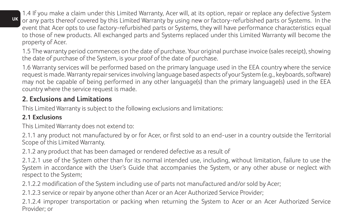1.4 If you make a claim under this Limited Warranty, Acer will, at its option, repair or replace any defective System or any parts thereof covered by this Limited Warranty by using new or factory-refurbished parts or Systems. In the event that Acer opts to use factory-refurbished parts or Systems, they will have performance characteristics equal to those of new products. All exchanged parts and Systems replaced under this Limited Warranty will become the property of Acer.

1.5 The warranty period commences on the date of purchase. Your original purchase invoice (sales receipt), showing the date of purchase of the System, is your proof of the date of purchase.

1.6 Warranty services will be performed based on the primary language used in the EEA country where the service request is made. Warranty repair services involving language based aspects of your System (e.g., keyboards, software) may not be capable of being performed in any other language(s) than the primary language(s) used in the EEA country where the service request is made.

## **2. Exclusions and Limitations**

This Limited Warranty is subject to the following exclusions and limitations:

### **2.1 Exclusions**

This Limited Warranty does not extend to:

2.1.1 any product not manufactured by or for Acer, or first sold to an end-user in a country outside the Territorial Scope of this Limited Warranty.

2.1.2 any product that has been damaged or rendered defective as a result of

2.1.2.1 use of the System other than for its normal intended use, including, without limitation, failure to use the System in accordance with the User's Guide that accompanies the System, or any other abuse or neglect with respect to the System;

2.1.2.2 modification of the System including use of parts not manufactured and/or sold by Acer;

2.1.2.3 service or repair by anyone other than Acer or an Acer Authorized Service Provider;

2.1.2.4 improper transportation or packing when returning the System to Acer or an Acer Authorized Service Provider; or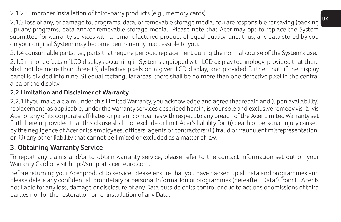2.1.2.5 improper installation of third-party products (e.g., memory cards).

2.1.3 loss of any, or damage to, programs, data, or removable storage media. You are responsible for saving (backing up) any programs, data and/or removable storage media. Please note that Acer may opt to replace the System submitted for warranty services with a remanufactured product of equal quality, and, thus, any data stored by you on your original System may become permanently inaccessible to you.

2.1.4 consumable parts, i.e., parts that require periodic replacement during the normal course of the System's use.

2.1.5 minor defects of LCD displays occurring in Systems equipped with LCD display technology, provided that there shall not be more than three (3) defective pixels on a given LCD display, and provided further that, if the display panel is divided into nine (9) equal rectangular areas, there shall be no more than one defective pixel in the central area of the display.

## **2.2 Limitation and Disclaimer of Warranty**

2.2.1 If you make a claim under this Limited Warranty, you acknowledge and agree that repair, and (upon availability) replacement, as applicable, under the warranty services described herein, is your sole and exclusive remedy vis-à-vis Acer or any of its corporate affiliates or parent companies with respect to any breach of the Acer Limited Warranty set forth herein, provided that this clause shall not exclude or limit Acer's liability for: (i) death or personal injury caused by the negligence of Acer or its employees, officers, agents or contractors; (ii) fraud or fraudulent misrepresentation; or (iii) any other liability that cannot be limited or excluded as a matter of law.

## **3. Obtaining Warranty Service**

To report any claims and/or to obtain warranty service, please refer to the contact information set out on your Warranty Card or visit http://support.acer-euro.com.

Before returning your Acer product to service, please ensure that you have backed up all data and programmes and please delete any confidential, proprietary or personal information or programmes (hereafter "Data") from it. Acer is not liable for any loss, damage or disclosure of any Data outside of its control or due to actions or omissions of third parties nor for the restoration or re-installation of any Data.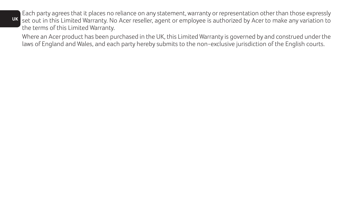**UK** set out in this Limited Warranty. No Acer reseller, agent or employee is authorized by Acer to make any variation to Each party agrees that it places no reliance on any statement, warranty or representation other than those expressly the terms of this Limited Warranty.

Where an Acer product has been purchased in the UK, this Limited Warranty is governed by and construed under the laws of England and Wales, and each party hereby submits to the non-exclusive jurisdiction of the English courts.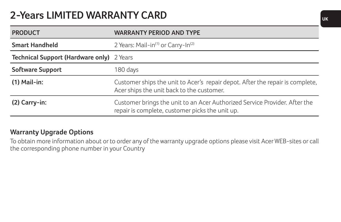## **2-Years LIMITED WARRANTY CARD**

| <b>PRODUCT</b>                            | <b>WARRANTY PERIOD AND TYPE</b>                                                                                               |
|-------------------------------------------|-------------------------------------------------------------------------------------------------------------------------------|
| <b>Smart Handheld</b>                     | 2 Years: Mail-in <sup>(1)</sup> or Carry-In <sup>(2)</sup>                                                                    |
| Technical Support (Hardware only) 2 Years |                                                                                                                               |
| Software Support                          | 180 days                                                                                                                      |
| $(1)$ Mail-in:                            | Customer ships the unit to Acer's repair depot. After the repair is complete,<br>Acer ships the unit back to the customer.    |
| $(2)$ Carry-in:                           | Customer brings the unit to an Acer Authorized Service Provider. After the<br>repair is complete, customer picks the unit up. |

### **Warranty Upgrade Options**

To obtain more information about or to order any of the warranty upgrade options please visit Acer WEB-sites or call the corresponding phone number in your Country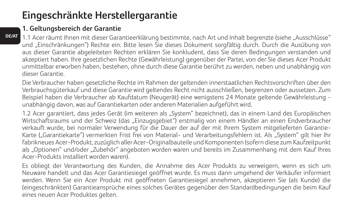## **Eingeschränkte Herstellergarantie**

## **1. Geltungsbereich der Garantie**

**DE/AT**

1.1 Acer räumt Ihnen mit dieser Garantieerklärung bestimmte, nach Art und Inhalt begrenzte (siehe "Ausschlüsse" und "Einschränkungen") Rechte ein. Bitte lesen Sie dieses Dokument sorgfältig durch. Durch die Ausübung von aus dieser Garantie abgeleiteten Rechten erklären Sie konkludent, dass Sie deren Bedingungen verstanden und akzeptiert haben. Ihre gesetzlichen Rechte (Gewährleistung) gegenüber der Partei, von der Sie dieses Acer Produkt unmittelbar erworben haben, bestehen, ohne durch diese Garantie berührt zu werden, neben und unabhängig von dieser Garantie.

Die Verbraucher haben gesetzliche Rechte im Rahmen der geltenden innerstaatlichen Rechtsvorschriften über den Verbrauchsgüterkauf und diese Garantie wird geltendes Recht nicht ausschließen, begrenzen oder aussetzen. Zum Beispiel haben die Verbraucher ab Kaufdatum (Neugerät) eine wenigstens 24 Monate geltende Gewährleistung unabhängig davon, was auf Garantiekarten oder anderen Materialien aufgeführt wird.

1.2 Acer garantiert, dass jedes Gerät (im weiteren als "System" bezeichnet), das in einem Land des Europäischen Wirtschaftsraums und der Schweiz (das "Einzugsgebiet") erstmalig von einem Händler an einen Endverbraucher verkauft wurde, bei normaler Verwendung für die Dauer der auf der mit Ihrem System mitgelieferten Garantie-Karte ("Garantiekarte") vermerkten Frist frei von Material- und Verarbeitungsfehlern ist. Als "System" gilt hier lhr fabrikneues Acer-Produkt, zuzüglich aller Acer-Originalbauteile und Komponenten (sofern diese zum Kaufzeitpunkt als "Optionen" und/oder "Zubehör" angeboten worden waren und bereits im Zusammenhang mit dem Kauf Ihres Acer-Produkts installiert worden waren).

Es obliegt der Verantwortung des Kunden, die Annahme des Acer Produkts zu verweigern, wenn es sich um Neuware handelt und das Acer Garantiesiegel geöffnet wurde. Es muss dann umgehend der Verkäufer informiert werden. Wenn Sie ein Acer Produkt mit geöffneten Garantiesiegel annehmen, akzeptieren Sie (als Kunde) die (eingeschränkten) Garantieansprüche eines solches Gerätes gegenüber den Standardbedingungen die beim Kauf eines neuen Acer Produktes gelten.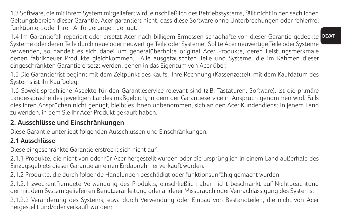1.3 Software, die mit Ihrem System mitgeliefert wird, einschließlich des Betriebssystems, fällt nicht in den sachlichen Geltungsbereich dieser Garantie. Acer garantiert nicht, dass diese Software ohne Unterbrechungen oder fehlerfrei funktioniert oder Ihren Anforderungen genügt.

**DE/AT** 1.4 Im Garantiefall repariert oder ersetzt Acer nach billigem Ermessen schadhafte von dieser Garantie gedeckte Systeme oder deren Teile durch neue oder neuwertige Teile oder Systeme. Sollte Acer neuwertige Teile oder Systeme verwenden, so handelt es sich dabei um generalüberholte original Acer Produkte, deren Leistungsmerkmale denen fabrikneuer Produkte gleichkommen. Alle ausgetauschten Teile und Systeme, die im Rahmen dieser eingeschränkten Garantie ersetzt werden, gehen in das Eigentum von Acer über.

1.5 Die Garantiefrist beginnt mit dem Zeitpunkt des Kaufs. Ihre Rechnung (Kassenzettel), mit dem Kaufdatum des Systems ist Ihr Kaufbeleg.

1.6 Soweit sprachliche Aspekte für den Garantieservice relevant sind (z.B. Tastaturen, Software), ist die primäre Landessprache des jeweiligen Landes maßgeblich, in dem der Garantieservice in Anspruch genommen wird. Falls dies Ihren Ansprüchen nicht genügt, bleibt es Ihnen unbenommen, sich an den Acer Kundendienst in jenem Land zu wenden, in dem Sie Ihr Acer Produkt gekauft haben.

## **2. Ausschlüsse und Einschränkungen**

Diese Garantie unterliegt folgenden Ausschlüssen und Einschränkungen:

## **2.1 Ausschlüsse**

Diese eingeschränkte Garantie erstreckt sich nicht auf:

2.1.1 Produkte, die nicht von oder für Acer hergestellt wurden oder die ursprünglich in einem Land außerhalb des Einzugsgebiets dieser Garantie an einen Endabnehmer verkauft wurden.

2.1.2 Produkte, die durch folgende Handlungen beschädigt oder funktionsunfähig gemacht wurden:

2.1.2.1 zweckentfremdete Verwendung des Produkts, einschließlich aber nicht beschränkt auf Nichtbeachtung der mit dem System gelieferten Benutzeranleitung oder anderer Missbrauch oder Vernachlässigung des Systems;

2.1.2.2 Veränderung des Systems, etwa durch Verwendung oder Einbau von Bestandteilen, die nicht von Acer hergestellt und/oder verkauft wurden;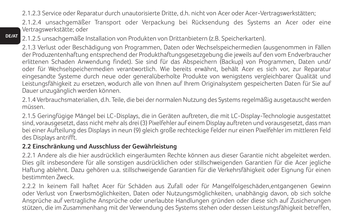2.1.2.3 Service oder Reparatur durch unautorisierte Dritte, d.h. nicht von Acer oder Acer-Vertragswerkstätten;

2.1.2.4 unsachgemäßer Transport oder Verpackung bei Rücksendung des Systems an Acer oder eine Vertragswerkstätte; oder

**DE/AT** 2.1.2.5 unsachgemäße Installation von Produkten von Drittanbietern (z.B. Speicherkarten).

2.1.3 Verlust oder Beschädigung von Programmen, Daten oder Wechselspeichermedien (ausgenommen in Fällen der Produzentenhaftung entsprechend der Produkthaftungsgesetzgebung die jeweils auf den vom Endverbraucher erlittenen Schaden Anwendung findet). Sie sind für das Abspeichern (Backup) von Programmen, Daten und/ oder für Wechselspeichermedien verantwortlich. Wie bereits erwähnt, behält Acer es sich vor, zur Reparatur eingesandte Systeme durch neue oder generalüberholte Produkte von wenigstens vergleichbarer Qualität und Leistungsfähigkeit zu ersetzen, wodurch alle von Ihnen auf Ihrem Originalsystem gespeicherten Daten für Sie auf Dauer unzugänglich werden können.

2.1.4 Verbrauchsmaterialien, d.h. Teile, die bei der normalen Nutzung des Systems regelmäßig ausgetauscht werden müssen.

2.1.5 Geringfügige Mängel bei LC-Displays, die in Geräten auftreten, die mit LC-Display-Technologie ausgestattet sind, vorausgesetzt, dass nicht mehr als drei (3) Pixelfehler auf einem Display auftreten und vorausgesetzt, dass man bei einer Aufteilung des Displays in neun (9) gleich große rechteckige Felder nur einen Pixelfehler im mittleren Feld des Displays antrifft.

#### **2.2 Einschränkung und Ausschluss der Gewährleistung**

2.2.1 Andere als die hier ausdrücklich eingeräumten Rechte können aus dieser Garantie nicht abgeleitet werden. Dies gilt insbesondere für alle sonstigen ausdrücklichen oder stillschweigenden Garantien für die Acer jegliche Haftung ablehnt. Dazu gehören u.a. stillschweigende Garantien für die Verkehrsfähigkeit oder Eignung für einen bestimmten Zweck.

2.2.2 In keinem Fall haftet Acer für Schäden aus Zufall oder für Mangelfolgeschäden,entgangenen Gewinn oder Verlust von Erwerbsmöglichkeiten, Daten oder Nutzungsmöglichkeiten, unabhängig davon, ob sich solche Ansprüche auf vertragliche Ansprüche oder unerlaubte Handlungen gründen oder diese sich auf Zusicherungen stützen, die im Zusammenhang mit der Verwendung des Systems stehen oder dessen Leistungsfähigkeit betreffen,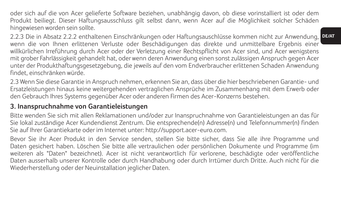oder sich auf die von Acer gelieferte Software beziehen, unabhängig davon, ob diese vorinstalliert ist oder dem Produkt beiliegt. Dieser Haftungsausschluss gilt selbst dann, wenn Acer auf die Möglichkeit solcher Schäden hingewiesen worden sein sollte.

**DE/AT** 2.2.3 Die in Absatz 2.2.2 enthaltenen Einschränkungen oder Haftungsauschlüsse kommen nicht zur Anwendung, wenn die von Ihnen erlittenen Verluste oder Beschädigungen das direkte und unmittelbare Ergebnis einer willkürlichen Irreführung durch Acer oder der Verletzung einer Rechtspflicht von Acer sind, und Acer wenigstens mit grober Fahrlässigkeit gehandelt hat, oder wenn deren Anwendung einen sonst zulässigen Anspruch gegen Acer unter der Produkthaftungsgesetzgebung, die jeweils auf den vom Endverbraucher erlittenen Schaden Anwendung findet, einschränken würde.

2.3 Wenn Sie diese Garantie in Anspruch nehmen, erkennen Sie an, dass über die hier beschriebenen Garantie- und Ersatzleistungen hinaus keine weitergehenden vertraglichen Ansprüche im Zusammenhang mit dem Erwerb oder den Gebrauch Ihres Systems gegenüber Acer oder anderen Firmen des Acer-Konzerns bestehen.

### **3. Inanspruchnahme von Garantieleistungen**

Bitte wenden Sie sich mit allen Reklamationen und/oder zur Inanspruchnahme von Garantieleistungen an das für Sie lokal zuständige Acer Kundendienst Zentrum. Die entsprechende(n) Adresse(n) und Telefonnummer(n) finden Sie auf Ihrer Garantiekarte oder im Internet unter: http://support.acer-euro.com.

Bevor Sie ihr Acer Produkt in den Service senden, stellen Sie bitte sicher, dass Sie alle ihre Programme und Daten gesichert haben. Löschen Sie bitte alle vertraulichen oder persönlichen Dokumente und Programme (im weiteren als "Daten" bezeichnet). Acer ist nicht verantwortlich für verlorene, beschädigte oder veröffentliche Daten ausserhalb unserer Kontrolle oder durch Handhabung oder durch Irrtümer durch Dritte. Auch nicht für die Wiederherstellung oder der Neuinstallation jeglicher Daten.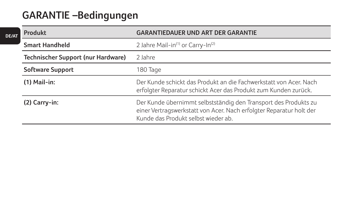## **GARANTIE –Bedingungen**

**DE/AT**

| Produkt                            | <b>GARANTIEDAUER UND ART DER GARANTIE</b>                                                                                                                                     |
|------------------------------------|-------------------------------------------------------------------------------------------------------------------------------------------------------------------------------|
| <b>Smart Handheld</b>              | 2 Jahre Mail-in <sup>(1)</sup> or Carry-In <sup>(2)</sup>                                                                                                                     |
| Technischer Support (nur Hardware) | 2 lahre                                                                                                                                                                       |
| Software Support                   | 180 Tage                                                                                                                                                                      |
| $(1)$ Mail-in:                     | Der Kunde schickt das Produkt an die Fachwerkstatt von Acer. Nach<br>erfolgter Reparatur schickt Acer das Produkt zum Kunden zurück.                                          |
| $(2)$ Carry-in:                    | Der Kunde übernimmt selbstständig den Transport des Produkts zu<br>einer Vertragswerkstatt von Acer. Nach erfolgter Reparatur holt der<br>Kunde das Produkt selbst wieder ab. |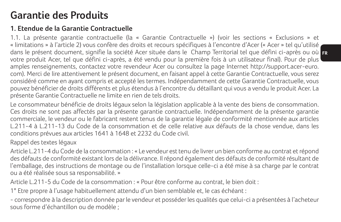## **Garantie des Produits**

## **1. Etendue de la Garantie Contractuelle**

dans le présent document, signifie la société Acer située dans le Champ Territorial tel que défini ci-après ou où <mark>er</mark> 1.1. La présente garantie contractuelle (la « Garantie Contractuelle ») (voir les sections « Exclusions » et « limitations » à l'article 2) vous confère des droits et recours spécifiques à l'encontre d'Acer (« Acer » tel qu'utilisé votre produit Acer, tel que défini ci-après, a été vendu pour la première fois à un utilisateur final). Pour de plus amples renseignements, contactez votre revendeur Acer ou consultez la page Internet http://support.acer-euro. com). Merci de lire attentivement le présent document, en faisant appel à cette Garantie Contractuelle, vous serez considéré comme en ayant compris et accepté les termes. Indépendamment de cette Garantie Contractuelle, vous pouvez bénéficier de droits différents et plus étendus à l'encontre du détaillant qui vous a vendu le produit Acer. La présente Garantie Contractuelle ne limite en rien de tels droits.

Le consommateur bénéficie de droits légaux selon la législation applicable à la vente des biens de consommation. Ces droits ne sont pas affectés par la présente garantie contractuelle. Indépendamment de la présente garantie commerciale, le vendeur ou le fabricant restent tenus de la garantie légale de conformité mentionnée aux articles L.211-4 à L.211-13 du Code de la consommation et de celle relative aux défauts de la chose vendue, dans les conditions prévues aux articles 1641 à 1648 et 2232 du Code civil.

## Rappel des textes légaux

Article L.211-4 du Code de la consommation : « Le vendeur est tenu de livrer un bien conforme au contrat et répond des défauts de conformité existant lors de la délivrance. Il répond également des défauts de conformité résultant de l'emballage, des instructions de montage ou de l'installation lorsque celle-ci a été mise à sa charge par le contrat ou a été réalisée sous sa responsabilité. »

Article L.211-5 du Code de la consommation : « Pour être conforme au contrat, le bien doit :

1° Etre propre à l'usage habituellement attendu d'un bien semblable et, le cas échéant :

- correspondre à la description donnée par le vendeur et posséder les qualités que celui-ci a présentées à l'acheteur sous forme d'échantillon ou de modèle ;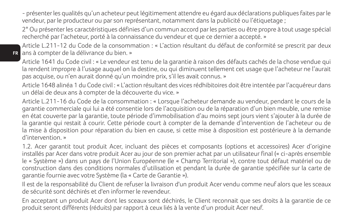- présenter les qualités qu'un acheteur peut légitimement attendre eu égard aux déclarations publiques faites par le vendeur, par le producteur ou par son représentant, notamment dans la publicité ou l'étiquetage ;

2° Ou présenter les caractéristiques définies d'un commun accord par les parties ou être propre à tout usage spécial recherché par l'acheteur, porté à la connaissance du vendeur et que ce dernier a accepté. »

**FR** ans à compter de la délivrance du bien. » Article L.211-12 du Code de la consommation : « L'action résultant du défaut de conformité se prescrit par deux

Article 1641 du Code civil : « Le vendeur est tenu de la garantie à raison des défauts cachés de la chose vendue qui la rendent impropre à l'usage auquel on la destine, ou qui diminuent tellement cet usage que l'acheteur ne l'aurait pas acquise, ou n'en aurait donné qu'un moindre prix, s'il les avait connus. »

Article 1648 alinéa 1 du Code civil : « L'action résultant des vices rédhibitoires doit être intentée par l'acquéreur dans un délai de deux ans à compter de la découverte du vice. »

Article L.211-16 du Code de la consommation : « Lorsque l'acheteur demande au vendeur, pendant le cours de la garantie commerciale qui lui a été consentie lors de l'acquisition ou de la réparation d'un bien meuble, une remise en état couverte par la garantie, toute période d'immobilisation d'au moins sept jours vient s'ajouter à la durée de la garantie qui restait à courir. Cette période court à compter de la demande d'intervention de l'acheteur ou de la mise à disposition pour réparation du bien en cause, si cette mise à disposition est postérieure à la demande d'intervention. »

1.2. Acer garantit tout produit Acer, incluant des pièces et composants (options et accessoires) Acer d'origine installés par Acer dans votre produit Acer au jour de son premier achat par un utilisateur final (« ci-après ensemble le « Système ») dans un pays de l'Union Européenne (le « Champ Territorial »), contre tout défaut matériel ou de construction dans des conditions normales d'utilisation et pendant la durée de garantie spécifiée sur la carte de garantie fournie avec votre Système (la « Carte de Garantie »).

Il est de la responsabilité du Client de refuser la livraison d'un produit Acer vendu comme neuf alors que les sceaux de sécurité sont déchirés et d'en informer le revendeur.

En acceptant un produit Acer dont les sceaux sont déchirés, le Client reconnait que ses droits à la garantie de ce produit seront différents (réduits) par rapport à ceux liés à la vente d'un produit Acer neuf.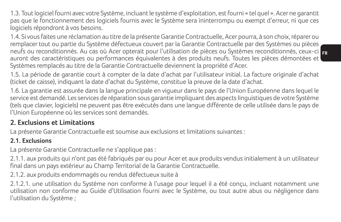1.3. Tout logiciel fourni avec votre Système, incluant le système d'exploitation, est fourni « tel quel ». Acer ne garantit pas que le fonctionnement des logiciels fournis avec le Système sera ininterrompu ou exempt d'erreur, ni que ces logiciels répondront à vos besoins.

**FR** neufs ou reconditionnés. Au cas où Acer opterait pour l'utilisation de pièces ou Systèmes reconditionnés, ceux-ci 1.4. Si vous faites une réclamation au titre de la présente Garantie Contractuelle, Acer pourra, à son choix, réparer ou remplacer tout ou partie du Système défectueux couvert par la Garantie Contractuelle par des Systèmes ou pièces auront des caractéristiques ou performances équivalentes à des produits neufs. Toutes les pièces démontées et Systèmes remplacés au titre de la Garantie Contractuelle deviennent la propriété d'Acer.

1.5. La période de garantie court à compter de la date d'achat par l'utilisateur initial. La facture originale d'achat (ticket de caisse), indiquant la date d'achat du Système, constitue la preuve de la date d'achat.

1.6. La garantie est assurée dans la langue principale en vigueur dans le pays de l'Union Européenne dans lequel le service est demandé. Les services de réparation sous garantie impliquant des aspects linguistiques de votre Système (tels que clavier, logiciels) ne peuvent pas être exécutés dans une langue différente de celle utilisée dans le pays de l'Union Européenne où les services sont demandés.

## **2. Exclusions et Limitations**

La présente Garantie Contractuelle est soumise aux exclusions et limitations suivantes :

### **2.1. Exclusions**

La présente Garantie Contractuelle ne s'applique pas :

2.1.1. aux produits qui n'ont pas été fabriqués par ou pour Acer et aux produits vendus initialement à un utilisateur final dans un pays extérieur au Champ Territorial de la Garantie Contractuelle.

2.1.2. aux produits endommagés ou rendus défectueux suite à

2.1.2.1. une utilisation du Système non conforme à l'usage pour lequel il a été conçu, incluant notamment une utilisation non conforme au Guide d'Utilisation fourni avec le Système, ou tout autre abus ou négligence dans l'utilisation du Système ;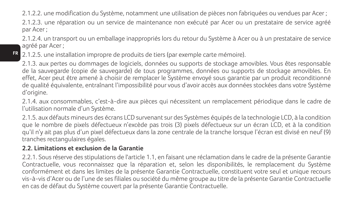2.1.2.2. une modification du Système, notamment une utilisation de pièces non fabriquées ou vendues par Acer ; 2.1.2.3. une réparation ou un service de maintenance non exécuté par Acer ou un prestataire de service agréé par Acer ;

2.1.2.4. un transport ou un emballage inappropriés lors du retour du Système à Acer ou à un prestataire de service agréé par Acer ;

2.1.2.5. une installation impropre de produits de tiers (par exemple carte mémoire).

2.1.3. aux pertes ou dommages de logiciels, données ou supports de stockage amovibles. Vous êtes responsable de la sauvegarde (copie de sauvegarde) de tous programmes, données ou supports de stockage amovibles. En effet, Acer peut être amené à choisir de remplacer le Système envoyé sous garantie par un produit reconditionné de qualité équivalente, entraînant l'impossibilité pour vous d'avoir accès aux données stockées dans votre Système d'origine.

2.1.4. aux consommables, c'est-à-dire aux pièces qui nécessitent un remplacement périodique dans le cadre de l'utilisation normale d'un Système.

2.1.5. aux défauts mineurs des écrans LCD survenant sur des Systèmes équipés de la technologie LCD, à la condition que le nombre de pixels défectueux n'excède pas trois (3) pixels défectueux sur un écran LCD, et à la condition qu'il n'y ait pas plus d'un pixel défectueux dans la zone centrale de la tranche lorsque l'écran est divisé en neuf (9) tranches rectangulaires égales.

#### **2.2. Limitations et exclusion de la Garantie**

**FR**

2.2.1. Sous réserve des stipulations de l'article 1.1, en faisant une réclamation dans le cadre de la présente Garantie Contractuelle, vous reconnaissez que la réparation et, selon les disponibilités, le remplacement du Système conformément et dans les limites de la présente Garantie Contractuelle, constituent votre seul et unique recours vis-à-vis d'Acer ou de l'une de ses filiales ou société du même groupe au titre de la présente Garantie Contractuelle en cas de défaut du Système couvert par la présente Garantie Contractuelle.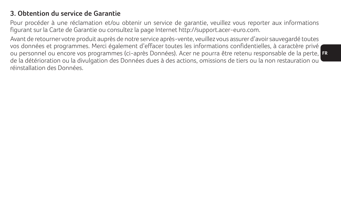## **3. Obtention du service de Garantie**

Pour procéder à une réclamation et/ou obtenir un service de garantie, veuillez vous reporter aux informations figurant sur la Carte de Garantie ou consultez la page Internet http://support.acer-euro.com.

ou personnel ou encore vos programmes (ci-après Données). Acer ne pourra être retenu responsable de la perte, <mark>Et</mark> Avant de retourner votre produit auprès de notre service après-vente, veuillez vous assurer d'avoir sauvegardé toutes vos données et programmes. Merci également d'effacer toutes les informations confidentielles, à caractère privé de la détérioration ou la divulgation des Données dues à des actions, omissions de tiers ou la non restauration ou réinstallation des Données.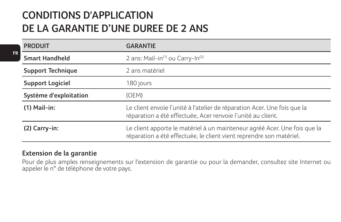## **CONDITIONS D'APPLICATION DE LA GARANTIE D'UNE DUREE DE 2 ANS**

| <b>PRODUIT</b>           | <b>GARANTIE</b>                                                                                                                                  |
|--------------------------|--------------------------------------------------------------------------------------------------------------------------------------------------|
| Smart Handheld           | 2 ans: Mail-in <sup>(1)</sup> ou Carry-In <sup>(2)</sup>                                                                                         |
| <b>Support Technique</b> | 2 ans matériel                                                                                                                                   |
| <b>Support Logiciel</b>  | 180 jours                                                                                                                                        |
| Système d'exploitation   | (OEM)                                                                                                                                            |
| $(1)$ Mail-in:           | Le client envoie l'unité à l'atelier de réparation Acer. Une fois que la<br>réparation a été effectuée, Acer renvoie l'unité au client.          |
| $(2)$ Carry-in:          | Le client apporte le matériel à un mainteneur agréé Acer. Une fois que la<br>réparation a été effectuée, le client vient reprendre son matériel. |

#### **Extension de la garantie**

Pour de plus amples renseignements sur l'extension de garantie ou pour la demander, consultez site Internet ou appeler le n° de téléphone de votre pays.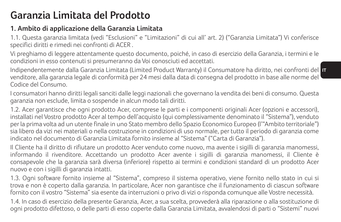## **Garanzia Limitata del Prodotto**

## **1. Ambito di applicazione della Garanzia Limitata**

1.1. Questa garanzia limitata (vedi "Esclusioni" e "Limitazioni" di cui all' art. 2) ("Garanzia Limitata") Vi conferisce specifici diritti e rimedi nei confronti di ACER .

Vi preghiamo di leggere attentamente questo documento, poiché, in caso di esercizio della Garanzia, i termini e le condizioni in esso contenuti si presumeranno da Voi conosciuti ed accettati.

Indipendentemente dalla Garanzia Limitata (Limited Product Warranty) il Consumatore ha diritto, nei confronti del <mark>II</mark> venditore, alla garanzia legale di conformità per 24 mesi dalla data di consegna del prodotto in base alle norme del Codice del Consumo.

I consumatori hanno diritti legali sanciti dalle leggi nazionali che governano la vendita dei beni di consumo. Questa garanzia non esclude, limita o sospende in alcun modo tali diritti.

1.2. Acer garantisce che ogni prodotto Acer, comprese le parti e i componenti originali Acer (opzioni e accessori), installati nel Vostro prodotto Acer al tempo dell'acquisto (qui complessivamente denominato il "Sistema"), venduto per la prima volta ad un utente finale in uno Stato membro dello Spazio Economico Europeo (l'"Ambito territoriale") sia libero da vizi nei materiali o nella costruzione in condizioni di uso normale, per tutto il periodo di garanzia come indicato nel documento di Garanzia Limitata fornito insieme al "Sistema" ("Carta di Garanzia").

Il Cliente ha il diritto di rifiutare un prodotto Acer venduto come nuovo, ma avente i sigilli di garanzia manomessi, informando il rivenditore. Accettando un prodotto Acer avente i sigilli di garanzia manomessi, il Cliente è consapevole che la garanzia sarà diversa (inferiore) rispetto ai termini e condizioni standard di un prodotto Acer nuovo e con i sigilli di garanzia intatti.

1.3. Ogni software fornito insieme al "Sistema", compreso il sistema operativo, viene fornito nello stato in cui si trova e non è coperto dalla garanzia. In particolare, Acer non garantisce che il funzionamento di ciascun software fornito con il vostro "Sistema" sia esente da interruzioni o privo di vizi o risponda comunque alle Vostre necessità.

1.4. In caso di esercizio della presente Garanzia, Acer, a sua scelta, provvederà alla riparazione o alla sostituzione di ogni prodotto difettoso, o delle parti di esso coperte dalla Garanzia Limitata, avvalendosi di parti o "Sistemi" nuovi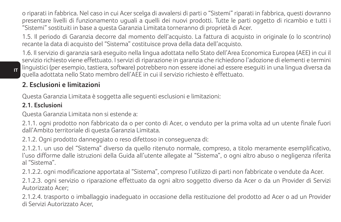o riparati in fabbrica. Nel caso in cui Acer scelga di avvalersi di parti o "Sistemi" riparati in fabbrica, questi dovranno presentare livelli di funzionamento uguali a quelli dei nuovi prodotti. Tutte le parti oggetto di ricambio e tutti i "Sistemi" sostituiti in base a questa Garanzia Limitata torneranno di proprietà di Acer.

1.5. Il periodo di Garanzia decorre dal momento dell'acquisto. La fattura di acquisto in originale (o lo scontrino) recante la data di acquisto del "Sistema" costituisce prova della data dell'acquisto.

1.6. Il servizio di garanzia sarà eseguito nella lingua adottata nello Stato dell'Area Economica Europea (AEE) in cui il servizio richiesto viene effettuato. I servizi di riparazione in garanzia che richiedono l'adozione di elementi e termini linguistici (per esempio, tastiera, software) potrebbero non essere idonei ad essere eseguiti in una lingua diversa da quella adottata nello Stato membro dell'AEE in cui il servizio richiesto è effettuato.

## **2. Esclusioni e limitazioni**

Questa Garanzia Limitata è soggetta alle seguenti esclusioni e limitazioni:

#### **2.1. Esclusioni**

Questa Garanzia Limitata non si estende a:

2.1.1. ogni prodotto non fabbricato da o per conto di Acer, o venduto per la prima volta ad un utente finale fuori dall'Ambito territoriale di questa Garanzia Limitata.

2.1.2. Ogni prodotto danneggiato o reso difettoso in conseguenza di:

2.1.2.1. un uso del "Sistema" diverso da quello ritenuto normale, compreso, a titolo meramente esemplificativo, l'uso difforme dalle istruzioni della Guida all'utente allegate al "Sistema", o ogni altro abuso o negligenza riferita al "Sistema".

2.1.2.2. ogni modificazione apportata al "Sistema", compreso l'utilizzo di parti non fabbricate o vendute da Acer. 2.1.2.3. ogni servizio o riparazione effettuato da ogni altro soggetto diverso da Acer o da un Provider di Servizi Autorizzato Acer;

2.1.2.4. trasporto o imballaggio inadeguato in occasione della restituzione del prodotto ad Acer o ad un Provider di Servizi Autorizzato Acer,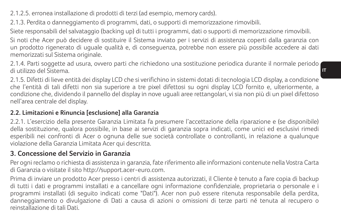2.1.2.5. erronea installazione di prodotti di terzi (ad esempio, memory cards).

2.1.3. Perdita o danneggiamento di programmi, dati, o supporti di memorizzazione rimovibili.

Siete responsabili del salvataggio (backing up) di tutti i programmi, dati o supporti di memorizzazione rimovibili.

Si noti che Acer può decidere di sostituire il Sistema inviato per i servizi di assistenza coperti dalla garanzia con un prodotto rigenerato di uguale qualità e, di conseguenza, potrebbe non essere più possibile accedere ai dati memorizzati sul Sistema originale.

2.1.4. Parti soggette ad usura, ovvero parti che richiedono una sostituzione periodica durante il normale periodo di utilizzo del Sistema.

2.1.5. Difetti di lieve entità dei display LCD che si verifichino in sistemi dotati di tecnologia LCD display, a condizione che l'entità di tali difetti non sia superiore a tre pixel difettosi su ogni display LCD fornito e, ulteriormente, a condizione che, dividendo il pannello del display in nove uguali aree rettangolari, vi sia non più di un pixel difettoso nell'area centrale del display.

#### **2.2. Limitazioni e Rinuncia [esclusione] alla Garanzia**

2.2.1. L'esercizio della presente Garanzia Limitata fa presumere l'accettazione della riparazione e (se disponibile) della sostituzione, qualora possibile, in base ai servizi di garanzia sopra indicati, come unici ed esclusivi rimedi esperibili nei confronti di Acer o ognuna delle sue società controllate o controllanti, in relazione a qualunque violazione della Garanzia Limitata Acer qui descritta.

## **3. Concessione del Servizio in Garanzia**

Per ogni reclamo o richiesta di assistenza in garanzia, fate riferimento alle informazioni contenute nella Vostra Carta di Garanzia o visitate il sito http://support.acer-euro.com.

Prima di inviare un prodotto Acer presso i centri di assistenza autorizzati, il Cliente è tenuto a fare copia di backup di tutti i dati e programmi installati e a cancellare ogni informazione confidenziale, proprietaria o personale e i programmi installati (di seguito indicati come "Dati"). Acer non può essere ritenuta responsabile della perdita, danneggiamento o divulgazione di Dati a causa di azioni o omissioni di terze parti né tenuta al recupero o reinstallazione di tali Dati.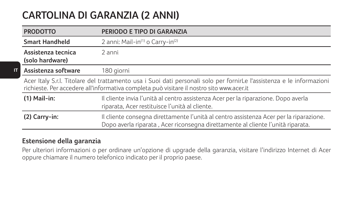## **CARTOLINA DI GARANZIA (2 ANNI)**

| <b>PRODOTTO</b>                                                                                                                                                                                                   | PERIODO E TIPO DI GARANZIA                                                                                                                                                |
|-------------------------------------------------------------------------------------------------------------------------------------------------------------------------------------------------------------------|---------------------------------------------------------------------------------------------------------------------------------------------------------------------------|
| <b>Smart Handheld</b>                                                                                                                                                                                             | 2 anni: Mail-in <sup>(1)</sup> o Carry-in <sup>(2)</sup>                                                                                                                  |
| Assistenza tecnica<br>(solo hardware)                                                                                                                                                                             | 2 anni                                                                                                                                                                    |
| Assistenza software                                                                                                                                                                                               | 180 giorni                                                                                                                                                                |
| Acer Italy S.r.l. Titolare del trattamento usa i Suoi dati personali solo per fornirLe l'assistenza e le informazioni<br>richieste. Per accedere all'informativa completa può visitare il nostro sito www.acer.it |                                                                                                                                                                           |
| $(1)$ Mail-in:                                                                                                                                                                                                    | Il cliente invia l'unità al centro assistenza Acer per la riparazione. Dopo averla<br>riparata, Acer restituisce l'unità al cliente.                                      |
| (2) Carry-in:                                                                                                                                                                                                     | Il cliente consegna direttamente l'unità al centro assistenza Acer per la riparazione.<br>Dopo averla riparata, Acer riconsegna direttamente al cliente l'unità riparata. |

#### **Estensione della garanzia**

**IT**

Per ulteriori informazioni o per ordinare un'opzione di upgrade della garanzia, visitare l'indirizzo Internet di Acer oppure chiamare il numero telefonico indicato per il proprio paese.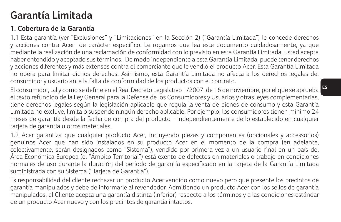## **Garantía Limitada**

## **1. Cobertura de la Garantía**

1.1 Esta garantía (ver "Exclusiones" y "Limitaciones" en la Sección 2) ("Garantía Limitada") le concede derechos y acciones contra Acer de carácter específico. Le rogamos que lea este documento cuidadosamente, ya que mediante la realización de una reclamación de conformidad con lo previsto en esta Garantía Limitada, usted acepta haber entendido y aceptado sus términos. De modo independiente a esta Garantía Limitada, puede tener derechos y acciones diferentes y más extensos contra el comerciante que le vendió el producto Acer. Esta Garantía Limitada no opera para limitar dichos derechos. Asimismo, esta Garantía Limitada no afecta a los derechos legales del consumidor y usuario ante la falta de conformidad de los productos con el contrato.

El consumidor, tal y como se define en el Real Decreto Legislativo 1/2007, de 16 de noviembre, por el que se aprueba el texto refundido de la Ley General para la Defensa de los Consumidores y Usuarios y otras leyes complementarias, tiene derechos legales según la legislación aplicable que regula la venta de bienes de consumo y esta Garantía Limitada no excluye, limita o suspende ningún derecho aplicable. Por ejemplo, los consumidores tienen mínimo 24 meses de garantía desde la fecha de compra del producto - independientemente de lo establecido en cualquier tarjeta de garantía u otros materiales.

1.2 Acer garantiza que cualquier producto Acer, incluyendo piezas y componentes (opcionales y accessorios) genuinos Acer que han sido instalados en su producto Acer en el momento de la compra (en adelante, colectivamente, serán designados como "Sistema"), vendido por primera vez a un usuario final en un país del Área Económica Europea (el "Ámbito Territorial") está exento de defectos en materiales o trabajo en condiciones normales de uso durante la duración del período de garantía especificado en la tarjeta de la Garantía Limitada suministrada con su Sistema ("Tarjeta de Garantía").

Es responsabilidad del cliente rechazar un producto Acer vendido como nuevo pero que presente los precintos de garantía manipulados y debe de informarle al revendedor. Admitiendo un producto Acer con los sellos de garantía manipulados, el Cliente acepta una garantía distinta (inferior) respecto a los términos y a las condiciones estándar de un producto Acer nuevo y con los precintos de garantía intactos.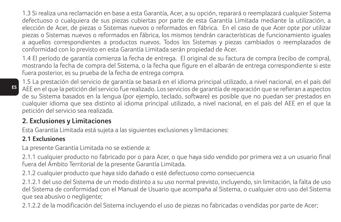1.3 Si realiza una reclamación en base a esta Garantía, Acer, a su opción, reparará o reemplazará cualquier Sistema defectuoso o cualquiera de sus piezas cubiertas por parte de esta Garantía Limitada mediante la utilización, a elección de Acer, de piezas o Sistemas nuevos o reformados en fábrica. En el caso de que Acer opte por utilizar piezas o Sistemas nuevos o reformados en fábrica, los mismos tendrán características de funcionamiento iguales a aquellos correspondientes a productos nuevos. Todos los Sistemas y piezas cambiados o reemplazados de conformidad con lo previsto en esta Garantía Limitada serán propiedad de Acer.

1.4 El período de garantía comienza la fecha de entrega. El original de su factura de compra (recibo de compra), mostrando la fecha de compra del Sistema, o la fecha que figure en el albarán de entrega correspondiente si este fuera posterior, es su prueba de la fecha de entrega compra.

1.5 La prestación del servicio de garantía se basará en el idioma principal utilizado, a nivel nacional, en el país del AEE en el que la petición del servicio fue realizado. Los servicios de garantía de reparación que se refieran a aspectos de su Sistema basados en la lengua (por ejemplo, teclado, software) es posible que no puedan ser prestados en cualquier idioma que sea distinto al idioma principal utilizado, a nivel nacional, en el país del AEE en el que la petición del servicio sea realizada.

## **2. Exclusiones y Limitaciones**

Esta Garantía Limitada está sujeta a las siguientes exclusiones y limitaciones:

### **2.1 Exclusiones**

La presente Garantía Limitada no se extiende a:

2.1.1 cualquier producto no fabricado por o para Acer, o que haya sido vendido por primera vez a un usuario final fuera del Ámbito Territorial de la presente Garantía Limitada.

2.1.2 cualquier producto que haya sido dañado o esté defectuoso como consecuencia

2.1.2.1 del uso del Sistema de un modo distinto a su uso normal previsto, incluyendo, sin limitación, la falta de uso del Sistema de conformidad con el Manual de Usuario que acompaña al Sistema, o cualquier otro uso del Sistema que sea abusivo o negligente;

2.1.2.2 de la modificación del Sistema incluyendo el uso de piezas no fabricadas o vendidas por parte de Acer;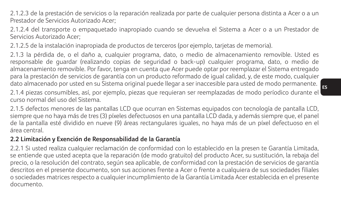2.1.2.3 de la prestación de servicios o la reparación realizada por parte de cualquier persona distinta a Acer o a un Prestador de Servicios Autorizado Acer;

2.1.2.4 del transporte o empaquetado inapropiado cuando se devuelva el Sistema a Acer o a un Prestador de Servicios Autorizado Acer;

2.1.2.5 de la instalación inapropiada de productos de terceros (por ejemplo, tarjetas de memoria).

dato almacenado por usted en su Sistema original puede llegar a ser inaccesible para usted de modo permanente.<br>**E**s 2.1.3 la pérdida de, o el daño a, cualquier programa, dato, o medio de almacenamiento removible. Usted es responsable de guardar (realizando copias de seguridad o back-up) cualquier programa, dato, o medio de almacenamiento removible. Por favor, tenga en cuenta que Acer puede optar por reemplazar el Sistema entregado para la prestación de servicios de garantía con un producto reformado de igual calidad, y, de este modo, cualquier

2.1.4 piezas consumibles, así, por ejemplo, piezas que requieran ser reemplazadas de modo períodico durante el curso normal del uso del Sistema.

2.1.5 defectos menores de las pantallas LCD que ocurran en Sistemas equipados con tecnología de pantalla LCD, siempre que no haya más de tres (3) píxeles defectuosos en una pantalla LCD dada, y además siempre que, el panel de la pantalla esté dividido en nueve (9) áreas rectangulares iguales, no haya más de un píxel defectuoso en el área central.

#### **2.2 Limitación y Exención de Responsabilidad de la Garantía**

2.2.1 Si usted realiza cualquier reclamación de conformidad con lo establecido en la presen te Garantía Limitada, se entiende que usted acepta que la reparación (de modo gratuito) del producto Acer, su sustitución, la rebaja del precio, o la resolución del contrato, según sea aplicable, de conformidad con la prestación de servicios de garantía descritos en el presente documento, son sus acciones frente a Acer o frente a cualquiera de sus sociedades filiales o sociedades matrices respecto a cualquier incumplimiento de la Garantía Limitada Acer establecida en el presente documento.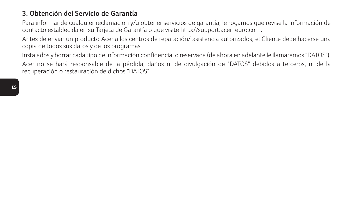## **3. Obtención del Servicio de Garantía**

Para informar de cualquier reclamación y/u obtener servicios de garantía, le rogamos que revise la información de contacto establecida en su Tarjeta de Garantía o que visite http://support.acer-euro.com.

Antes de enviar un producto Acer a los centros de reparación/ asistencia autorizados, el Cliente debe hacerse una copia de todos sus datos y de los programas

instalados y borrar cada tipo de información confidencial o reservada (de ahora en adelante le llamaremos "DATOS"). Acer no se hará responsable de la pérdida, daños ni de divulgación de "DATOS" debidos a terceros, ni de la recuperación o restauración de dichos "DATOS"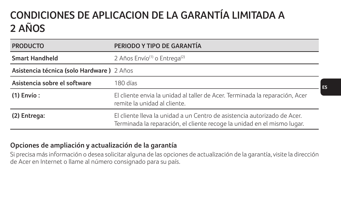## **CONDICIONES DE APLICACION DE LA GARANTÍA LIMITADA A 2 AÑOS**

| <b>PRODUCTO</b>                           | PERIODO Y TIPO DE GARANTÍA                                                                                                                          |  |
|-------------------------------------------|-----------------------------------------------------------------------------------------------------------------------------------------------------|--|
| <b>Smart Handheld</b>                     | 2 Años Envío <sup>(1)</sup> o Entrega <sup>(2)</sup>                                                                                                |  |
| Asistencia técnica (solo Hardware) 2 Años |                                                                                                                                                     |  |
| Asistencia sobre el software              | 180 días                                                                                                                                            |  |
| $(1)$ Envío:                              | El cliente envia la unidad al taller de Acer. Terminada la reparación, Acer<br>remite la unidad al cliente.                                         |  |
| (2) Entrega:                              | El cliente lleva la unidad a un Centro de asistencia autorizado de Acer.<br>Terminada la reparación, el cliente recoge la unidad en el mismo lugar. |  |

#### **Opciones de ampliación y actualización de la garantía**

Si precisa más información o desea solicitar alguna de las opciones de actualización de la garantía, visite la dirección de Acer en Internet o llame al número consignado para su país.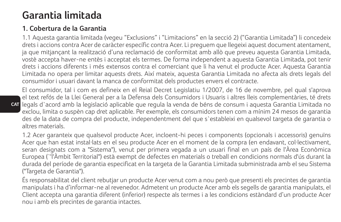## **Garantia limitada**

## **1. Cobertura de la Garantia**

1.1 Aquesta garantia limitada (vegeu "Exclusions" i "Limitacions" en la secció 2) ("Garantia Limitada") li concedeix drets i accions contra Acer de caràcter específic contra Acer. Li preguem que llegeixi aquest document atentament, ja que mitjançant la realització d'una reclamació de conformitat amb allò que preveu aquesta Garantia Limitada, vostè accepta haver-ne entès i acceptat els termes. De forma independent a aquesta Garantia Limitada, pot tenir drets i accions diferents i més extensos contra el comerciant que li ha venut el producte Acer. Aquesta Garantia Limitada no opera per limitar aquests drets. Així mateix, aquesta Garantia Limitada no afecta als drets legals del consumidor i usuari davant la manca de conformitat dels productes envers el contracte.

**CAT** legals d`acord amb la legislació aplicable que regula la venda de béns de consum i aquesta Garantia Limitada no El consumidor, tal i com es defineix en el Reial Decret Legislatiu 1/2007, de 16 de novembre, pel qual s'aprova el text refós de la Llei General per a la Defensa dels Consumidors i Usuaris i altres lleis complementàries, té drets exclou, limita o suspèn cap dret aplicable. Per exemple, els consumidors tenen com a mínim 24 mesos de garantia des de la data de compra del producte, independentment del que s`estableixi en qualsevol targeta de garantia o altres materials.

1.2 Acer garanteix que qualsevol producte Acer, incloent-hi peces i components (opcionals i accessoris) genuïns Acer que han estat instal·lats en el seu producte Acer en el moment de la compra (en endavant, col·lectivament, seran designats com a "Sistema"), venut per primera vegada a un usuari final en un país de l'Àrea Econòmica Europea (`'l'Àmbit Territorial") està exempt de defectes en materials o treball en condicions normals d'ús durant la durada del període de garantia especificat en la targeta de la Garantia Limitada subministrada amb el seu Sistema ("Targeta de Garantia").

És responsabilitat del client rebutjar un producte Acer venut com a nou però que presenti els precintes de garantia manipulats i ha d'informar-ne al revenedor. Admetent un producte Acer amb els segells de garantia manipulats, el Client accepta una garantia diferent (inferior) respecte als termes i a les condicions estàndard d'un producte Acer nou i amb els precintes de garantia intactes.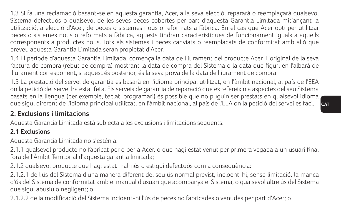1.3 Si fa una reclamació basant-se en aquesta garantia, Acer, a la seva elecció, repararà o reemplaçarà qualsevol Sistema defectuós o qualsevol de les seves peces cobertes per part d'aquesta Garantia Limitada mitjançant la utilització, a elecció d'Acer, de peces o sistemes nous o reformats a fàbrica. En el cas que Acer opti per utilitzar peces o sistemes nous o reformats a fàbrica, aquests tindran característiques de funcionament iguals a aquells corresponents a productes nous. Tots els sistemes i peces canviats o reemplaçats de conformitat amb allò que preveu aquesta Garantia Limitada seran propietat d'Acer.

1.4 El període d'aquesta Garantia Limitada, comença la data de lliurament del producte Acer. L'original de la seva factura de compra (rebut de compra) mostrant la data de compra del Sistema o la data que figuri en l'albarà de lliurament corresponent, si aquest és posterior, és la seva prova de la data de lliurament de compra.

1.5 La prestació del servei de garantia es basarà en l'idioma principal utilitzat, en l'àmbit nacional, al país de l'EEA on la petició del servei ha estat feta. Els serveis de garantia de reparació que es refereixin a aspectes del seu Sistema basats en la llengua (per exemple, teclat, programari) és possible que no puguin ser prestats en qualsevol idioma que sigui diferent de l'idioma principal utilitzat, en l'àmbit nacional, al país de l'EEA on la petició del servei es faci.

## **2. Exclusions i limitacions**

Aquesta Garantia Limitada està subjecta a les exclusions i limitacions següents:

#### **2.1 Exclusions**

Aquesta Garantia Limitada no s'estén a:

2.1.1 qualsevol producte no fabricat per o per a Acer, o que hagi estat venut per primera vegada a un usuari final fora de l'Àmbit Territorial d'aquesta garantia limitada;

2.1.2 qualsevol producte que hagi estat malmès o estigui defectuós com a conseqüència:

2.1.2.1 de l'ús del Sistema d'una manera diferent del seu ús normal previst, incloent-hi, sense limitació, la manca d'ús del Sistema de conformitat amb el manual d'usuari que acompanya el Sistema, o qualsevol altre ús del Sistema que sigui abusiu o negligent; o

2.1.2.2 de la modificació del Sistema incloent-hi l'ús de peces no fabricades o venudes per part d'Acer; o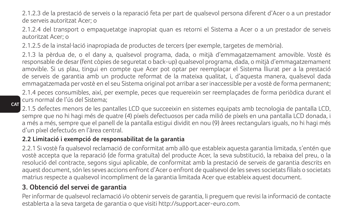2.1.2.3 de la prestació de serveis o la reparació feta per part de qualsevol persona diferent d'Acer o a un prestador de serveis autoritzat Acer; o

2.1.2.4 del transport o empaquetatge inapropiat quan es retorni el Sistema a Acer o a un prestador de serveis autoritzat Acer; o

2.1.2.5 de la instal·lació inapropiada de productes de tercers (per exemple, targetes de memòria).

2.1.3 la pèrdua de, o el dany a, qualsevol programa, dada, o mitjà d'emmagatzemament amovible. Vostè és responsable de desar (fent còpies de seguretat o back-up) qualsevol programa, dada, o mitjà d'emmagatzemament amovible. Si us plau, tingui en compte que Acer pot optar per reemplaçar el Sistema lliurat per a la prestació de serveis de garantia amb un producte reformat de la mateixa qualitat, i, d'aquesta manera, qualsevol dada emmagatzemada per vostè en el seu Sistema original pot arribar a ser inaccessible per a vostè de forma permanent;

2.1.4 peces consumibles, així, per exemple, peces que requereixin ser reemplaçades de forma periòdica durant el curs normal de l'ús del Sistema;

**CAT** 2.1.5 defectes menors de les pantalles LCD que succeeixin en sistemes equipats amb tecnologia de pantalla LCD, sempre que no hi hagi més de quatre (4) píxels defectuosos per cada milió de píxels en una pantalla LCD donada, i

a més a més, sempre que el panell de la pantalla estigui dividit en nou (9) àrees rectangulars iguals, no hi hagi més d'un píxel defectuós en l'àrea central.

### **2.2 Limitació i exempció de responsabilitat de la garantia**

2.2.1 Si vostè fa qualsevol reclamació de conformitat amb allò que estableix aquesta garantia limitada, s'entén que vostè accepta que la reparació (de forma gratuïta) del producte Acer, la seva substitució, la rebaixa del preu, o la resolució del contracte, segons sigui aplicable, de conformitat amb la prestació de serveis de garantia descrits en aquest document, són les seves accions enfront d'Acer o enfront de qualsevol de les seves societats filials o societats matrius respecte a qualsevol incompliment de la garantia limitada Acer que estableix aquest document.

## **3. Obtenció del servei de garantia**

Per informar de qualsevol reclamació i/o obtenir serveis de garantia, li preguem que revisi la informació de contacte establerta a la seva targeta de garantia o que visiti http://support.acer-euro.com.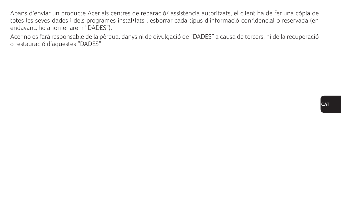Abans d'enviar un producte Acer als centres de reparació/ assistència autoritzats, el client ha de fer una còpia de totes les seves dades i dels programes instal•lats i esborrar cada tipus d'informació confidencial o reservada (en endavant, ho anomenarem "DADES").

Acer no es farà responsable de la pèrdua, danys ni de divulgació de "DADES" a causa de tercers, ni de la recuperació o restauració d'aquestes "DADES"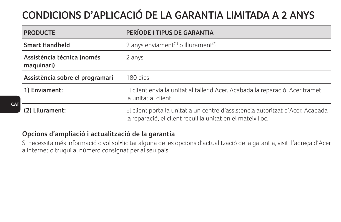# **CONDICIONS D'APLICACIÓ DE LA GARANTIA LIMITADA A 2 ANYS**

| <b>PRODUCTE</b>                          | PERÍODE I TIPUS DE GARANTIA                                                                                                                   |
|------------------------------------------|-----------------------------------------------------------------------------------------------------------------------------------------------|
| <b>Smart Handheld</b>                    | 2 anys enviament <sup>(1)</sup> o lliurament <sup>(2)</sup>                                                                                   |
| Assistència tècnica (només<br>maquinari) | 2 anys                                                                                                                                        |
| Assistència sobre el programari          | 180 dies                                                                                                                                      |
| 1) Enviament:                            | El client envia la unitat al taller d'Acer. Acabada la reparació, Acer tramet<br>la unitat al client.                                         |
| (2) Lliurament:                          | El client porta la unitat a un centre d'assistència autoritzat d'Acer. Acabada<br>la reparació, el client recull la unitat en el mateix lloc. |

### **Opcions d'ampliació i actualització de la garantia**

**CAT**

Si necessita més informació o vol sol•licitar alguna de les opcions d'actualització de la garantia, visiti l'adreça d'Acer a Internet o truqui al número consignat per al seu país.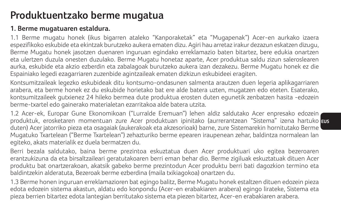## **Produktuentzako berme mugatua**

#### **1. Berme mugatuaren estaldura.**

1.1 Berme mugatu honek (ikus bigarren ataleko "Kanporaketak" eta "Mugapenak") Acer-en aurkako izaera espezifikoko eskubide eta ekintzak burutzeko aukera ematen dizu. Agiri hau arretaz irakur dezazun eskatzen dizugu, Berme Mugatu honek jasotzen duenaren inguruan egindako erreklamazio baten bitartez, bere edukia onartzen eta ulertzen duzula onesten duzulako. Berme Mugatu honetaz aparte, Acer produktua saldu zizun saleroslearen aurka, eskubide eta akzio ezberdin eta zabalagoak burutzeko aukera izan dezakezu. Berme Mugatu honek ez die Espainiako legedi ezagarriaren zuzenbide agintzaileak ematen dizkizun eskubideei eragiten.

Kontsumitzaileak legezko eskubideak ditu kontsumo-ondasunen salmenta arautzen duen legeria aplikagarriaren arabera, eta berme honek ez du eskubide horietako bat ere alde batera uzten, mugatzen edo eteten. Esaterako, kontsumitzaileek gutxienez 24 hileko bermea dute produktua erosten duten egunetik zenbatzen hasita -edozein berme-txartel edo gainerako materialetan ezarritakoa alde batera utzita.

produktuk, erosketaren momentuan zure Acer produktuan ipinitako (aurrerantzean "Sistema" izena hartuko <mark>aus</mark> 1.2 Acer-ek, Europar Gune Ekonomikoan ("Lurralde Eremuan") lehen aldiz saldutako Acer enpresako edozein duten) Acer jatorriko pieza eta osagaiak (aukerakoak eta akzesorioak) barne, zure Sistemarekin hornitutako Berme Mugatuko Txartelean ("Berme Txartelean") zehazturiko berme epearen iraupenean zehar, baldintza normalean lan egiteko, akats materialik ez duela bermatzen du.

Berri bezala saldutako, baina berme prezintoa eskuztatua duen Acer produktuari uko egitea bezeroaren erantzukizuna da eta birsaltzaileari geratutakoaren berri eman behar dio. Berme zigiluak eskuztatuak dituen Acer produktu bat onartzerakoan, akatsik gabeko berme prezintodun Acer produktu berri bati dagozkion termino eta baldintzekin alderatuta, Bezeroak berme ezberdina (maila txikiagokoa) onartzen du.

1.3 Berme honen inguruan erreklamazioren bat egingo balitz, Berme Mugatu honek estaltzen dituen edozein pieza edota edozein sistema akastun, aldatu edo konpondu (Acer-en erabakiaren arabera) egingo lirateke, Sistema eta pieza berrien bitartez edota lantegian berritutako sistema eta piezen bitartez, Acer-en erabakiaren arabera.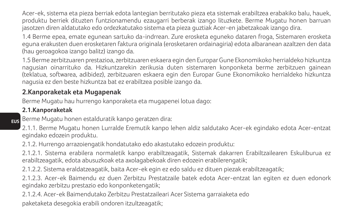Acer-ek, sistema eta pieza berriak edota lantegian berritutako pieza eta sistemak erabiltzea erabakiko balu, hauek, produktu berriek dituzten funtzionamendu ezaugarri berberak izango lituzkete. Berme Mugatu honen barruan jasotzen diren aldatutako edo ordezkatutako sistema eta pieza guztiak Acer-en jabetzakoak izango dira.

1.4 Berme epea, emate egunean sartuko da-indrrean. Zure erosketa eguneko dataren froga, Sistemaren erosketa eguna erakusten duen erosketaren faktura originala (erosketaren ordainagiria) edota albaranean azaltzen den data (hau geroagokoa izango balitz) izango da.

1.5 Berme zerbitzuaren prestazioa, zerbitzuaren eskaera egin den Europar Gune Ekonomikoko herrialdeko hizkuntza nagusian oinarrituko da. Hizkuntzarekin zerikusia duten sistemaren konponketa berme zerbitzuen gainean (teklatua, softwarea, adibidez), zerbitzuaren eskaera egin den Europar Gune Ekonomikoko herrialdeko hizkuntza nagusia ez den beste hizkuntza bat ez erabiltzea posible izango da.

## **2.Kanporaketak eta Mugapenak**

Berme Mugatu hau hurrengo kanporaketa eta mugapenei lotua dago:

#### **2.1.Kanporaketak**

**EUS** Berme Mugatu honen estalduratik kanpo geratzen dira:

2.1.1. Berme Mugatu honen Lurralde Eremutik kanpo lehen aldiz saldutako Acer-ek egindako edota Acer-entzat egindako edozein produktu.

2.1.2. Hurrengo arrazoiengatik hondatutako edo akastutako edozein produktu:

2.1.2.1. Sistema erabilera normaletik kanpo erabiltzeagatik, Sistemak dakarren Erabiltzailearen Eskuliburua ez erabiltzeagatik, edota abusuzkoak eta axolagabekoak diren edozein erabilerengatik;

2.1.2.2. Sistema eraldatzeagatik, baita Acer-ek egin ez edo saldu ez dituen piezak erabiltzeagatik;

2.1.2.3. Acer-ek Baimendu ez duen Zerbitzu Prestatzaile batek edota Acer-entzat lan egiten ez duen edonork egindako zerbitzu prestazio edo konponketengatik;

2.1.2.4. Acer-ek Baimendutako Zerbitzu Prestatzaileari Acer Sistema garraiaketa edo

paketaketa desegokia erabili ondoren itzultzeagatik;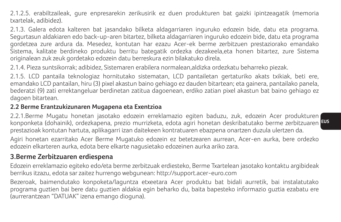2.1.2.5. erabiltzaileak, gure enpresarekin zerikusirik ez duen produkturen bat gaizki ipintzeagatik (memoria txartelak, adibidez).

2.1.3. Galera edota kalteren bat jasandako bilketa aldagarriaren inguruko edozein bide, datu eta programa. Segurtasun aldakiaren edo back-up-aren bitartez, bilketa aldagarriaren inguruko edozein bide, datu eta programa gordetzea zure ardura da. Mesedez, kontutan har ezazu Acer-ek berme zerbitzuen prestaziorako emandako Sistema, kalitate berdineko produktu berritu bategatik ordezka dezakeela,eta honen bitartez, zure Sistema originalean zuk zeuk gordetako edozein datu berreskura ezin bilakatuko direla.

2.1.4. Pieza suntsikorrak; adibidez, Sistemaren erabilera normalean,aldizka ordezkatu beharreko piezak.

2.1.5. LCD pantaila teknologiaz hornitutako sistematan, LCD pantailetan gertaturiko akats txikiak, beti ere, emandako LCD pantailan, hiru (3) pixel akastun baino gehiago ez dauden bitartean; eta gainera, pantailako panela, bederatzi (9) zati errektangeluar berdinetan zatitua dagoenean, erdiko zatian pixel akastun bat baino gehiago ez dagoen bitartean.

#### **2.2 Berme Erantzukizunaren Mugapena eta Exentzioa**

**EUS** konponketa (dohainik), ordezkapena, prezio murrizketa, edota agiri honetan deskribatutako berme zerbitzuaren 2.2.1.Berme Mugatu honetan jasotako edozein erreklamazio egiten baduzu, zuk, edozein Acer produkturen prestazioak kontutan hartuta, aplikagarri izan daitekeen kontratuaren ebazpena onartzen duzula ulertzen da.

Agiri honetan ezarritako Acer Berme Mugatuko edozein ez betetzearen aurrean, Acer-en aurka, bere ordezko edozein elkarteren aurka, edota bere elkarte nagusietako edozeinen aurka ariko zara.

### **3.Berme Zerbitzuaren erdiespena**

Edozein erreklamazio egiteko edo/eta berme zerbitzuak erdiesteko, Berme Txartelean jasotako kontaktu argibideak berrikus itzazu, edota sar zaitez hurrengo webgunean: http://support.acer-euro.com

Bezeroak, baimendutako konpoketa/laguntza etxeetara Acer produktu bat bidali aurretik, bai instalatutako programa guztien bai bere datu guztien aldakia egin beharko du, baita bapesteko informazio guztia ezabatu ere (aurrerantzean "DATUAK" izena emango dioguna).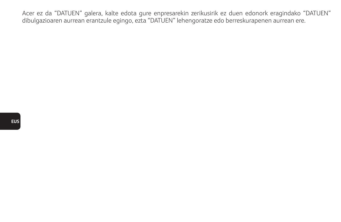Acer ez da "DATUEN" galera, kalte edota gure enpresarekin zerikusirik ez duen edonork eragindako "DATUEN" dibulgazioaren aurrean erantzule egingo, ezta "DATUEN" lehengoratze edo berreskurapenen aurrean ere.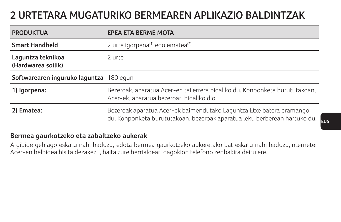## **2 URTETARA MUGATURIKO BERMEAREN APLIKAZIO BALDINTZAK**

| <b>PRODUKTUA</b>                        | <b>EPEA ETA BERME MOTA</b>                                                                                                                        |
|-----------------------------------------|---------------------------------------------------------------------------------------------------------------------------------------------------|
| <b>Smart Handheld</b>                   | 2 urte igorpena(1) edo ematea(2)                                                                                                                  |
| Laguntza teknikoa<br>(Hardwarea soilik) | 2 urte                                                                                                                                            |
| Softwarearen inguruko laguntza 180 egun |                                                                                                                                                   |
| 1) Igorpena:                            | Bezeroak, aparatua Acer-en tailerrera bidaliko du. Konponketa burututakoan,<br>Acer-ek, aparatua bezeroari bidaliko dio.                          |
| 2) Ematea:                              | Bezeroak aparatua Acer-ek baimendutako Laguntza Etxe batera eramango<br>du. Konponketa burututakoan, bezeroak aparatua leku berberean hartuko du. |

#### **Bermea gaurkotzeko eta zabaltzeko aukerak**

Argibide gehiago eskatu nahi baduzu, edota bermea gaurkotzeko aukeretako bat eskatu nahi baduzu,Interneten Acer-en helbidea bisita dezakezu, baita zure herrialdeari dagokion telefono zenbakira deitu ere.

**EUS**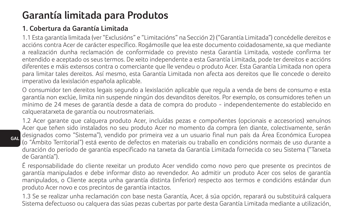## **Garantía limitada para Produtos**

### **1. Cobertura da Garantía Limitada**

1.1 Esta garantía limitada (ver "Exclusións" e "Limitacións" na Sección 2) ("Garantía Limitada") concédelle dereitos e accións contra Acer de carácter específico. Rogámoslle que lea este documento coidadosamente, xa que mediante a realización dunha reclamación de conformidade co previsto nesta Garantía Limitada, vostede confirma ter entendido e aceptado os seus termos. De xeito independente a esta Garantía Limitada, pode ter dereitos e accións diferentes e máis extensos contra o comerciante que lle vendeu o produto Acer. Esta Garantía Limitada non opera para limitar tales dereitos. Así mesmo, esta Garantía Limitada non afecta aos dereitos que lle concede o dereito imperativo da lexislación española aplicable.

O consumidor ten dereitos legais segundo a lexislación aplicable que regula a venda de bens de consumo e esta garantía non exclúe, limita nin suspende ningún dos devanditos dereitos. Por exemplo, os consumidores teñen un mínimo de 24 meses de garantía desde a data de compra do produto - independentemente do establecido en calqueratarxeta de garantía ou noutrosmateriais.

1.2 Acer garante que calquera produto Acer, incluídas pezas e compoñentes (opcionais e accesorios) xenuínos Acer que teñen sido instalados no seu produto Acer no momento da compra (en diante, colectivamente, serán designados como "Sistema"), vendido por primeira vez a un usuario final nun país da Área Económica Europea (o "Ámbito Territorial") está exento de defectos en materiais ou traballo en condicións normais de uso durante a duración do período de garantía especificado na tarxeta da Garantía Limitada fornecida co seu Sistema ("Tarxeta de Garantía").

É responsabilidade do cliente rexeitar un produto Acer vendido como novo pero que presente os precintos de garantía manipulados e debe informar disto ao revendedor. Ao admitir un produto Acer cos selos de garantía manipulados, o Cliente acepta unha garantía distinta (inferior) respecto aos termos e condicións estándar dun produto Acer novo e cos precintos de garantía intactos.

1.3 Se se realizar unha reclamación con base nesta Garantía, Acer, á súa opción, reparará ou substituirá calquera Sistema defectuoso ou calquera das súas pezas cubertas por parte desta Garantía Limitada mediante a utilización,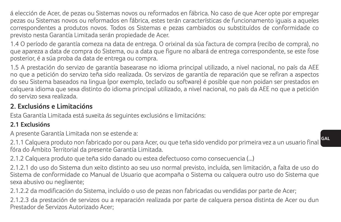á elección de Acer, de pezas ou Sistemas novos ou reformados en fábrica. No caso de que Acer opte por empregar pezas ou Sistemas novos ou reformados en fábrica, estes terán características de funcionamento iguais a aqueles correspondentes a produtos novos. Todos os Sistemas e pezas cambiados ou substituídos de conformidade co previsto nesta Garantía Limitada serán propiedade de Acer.

1.4 O período de garantía comeza na data de entrega. O orixinal da súa factura de compra (recibo de compra), no que apareza a data de compra do Sistema, ou a data que figure no albará de entrega correspondente, se este fose posterior, é a súa proba da data de entrega ou compra.

1.5 A prestación do servizo de garantía basearase no idioma principal utilizado, a nivel nacional, no país da AEE no que a petición do servizo teña sido realizada. Os servizos de garantía de reparación que se refiran a aspectos do seu Sistema baseados na lingua (por exemplo, teclado ou software) é posible que non poidan ser prestados en calquera idioma que sexa distinto do idioma principal utilizado, a nivel nacional, no país da AEE no que a petición do servizo sexa realizada.

### **2. Exclusións e Limitacións**

Esta Garantía Limitada está suxeita ás seguintes exclusións e limitacións:

### **2.1 Exclusións**

A presente Garantía Limitada non se estende a:

2.1.1 Calquera produto non fabricado por ou para Acer, ou que teña sido vendido por primeira vez a un usuario final fóra do Ámbito Territorial da presente Garantía Limitada.

2.1.2 Calquera produto que teña sido danado ou estea defectuoso como consecuencia (...)

2.1.2.1 do uso do Sistema dun xeito distinto ao seu uso normal previsto, incluída, sen limitación, a falta de uso do Sistema de conformidade co Manual de Usuario que acompaña o Sistema ou calquera outro uso do Sistema que sexa abusivo ou neglixente;

2.1.2.2 da modificación do Sistema, incluído o uso de pezas non fabricadas ou vendidas por parte de Acer;

2.1.2.3 da prestación de servizos ou a reparación realizada por parte de calquera persoa distinta de Acer ou dun Prestador de Servizos Autorizado Acer;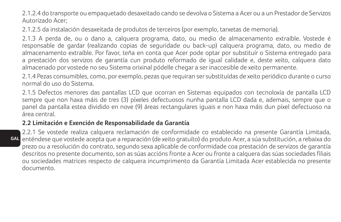2.1.2.4 do transporte ou empaquetado desaxeitado cando se devolva o Sistema a Acer ou a un Prestador de Servizos Autorizado Acer;

2.1.2.5 da instalación desaxeitada de produtos de terceiros (por exemplo, tarxetas de memoria).

2.1.3 A perda de, ou o dano a, calquera programa, dato, ou medio de almacenamento extraíble. Vostede é responsable de gardar (realizando copias de seguridade ou back-up) calquera programa, dato, ou medio de almacenamento extraíble. Por favor, teña en conta que Acer pode optar por substituír o Sistema entregado para a prestación dos servizos de garantía cun produto reformado de igual calidade e, deste xeito, calquera dato almacenado por vostede no seu Sistema orixinal pódelle chegar a ser inaccesible de xeito permanente.

2.1.4 Pezas consumibles, como, por exemplo, pezas que requiran ser substituídas de xeito periódico durante o curso normal do uso do Sistema.

2.1.5 Defectos menores das pantallas LCD que ocorran en Sistemas equipados con tecnoloxía de pantalla LCD sempre que non haxa máis de tres (3) píxeles defectuosos nunha pantalla LCD dada e, ademais, sempre que o panel da pantalla estea dividido en nove (9) áreas rectangulares iguais e non haxa máis dun píxel defectuoso na área central.

#### **2.2 Limitación e Exención de Responsabilidade da Garantía**

**GAL** 2.2.1 Se vostede realiza calquera reclamación de conformidade co establecido na presente Garantía Limitada, enténdese que vostede acepta que a reparación (de xeito gratuíto) do produto Acer, a súa substitución, a rebaixa do prezo ou a resolución do contrato, segundo sexa aplicable de conformidade coa prestación de servizos de garantía descritos no presente documento, son as súas accións fronte a Acer ou fronte a calquera das súas sociedades filiais ou sociedades matrices respecto de calquera incumprimento da Garantía Limitada Acer establecida no presente documento.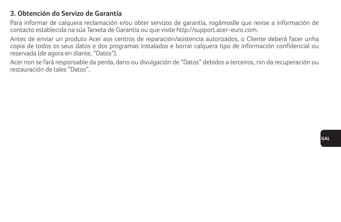### **3. Obtención do Servizo de Garantía**

Para informar de calquera reclamación e/ou obter servizos de garantía, rogámoslle que revise a información de contacto establecida na súa Tarxeta de Garantía ou que visite http://support.acer-euro.com.

Antes de enviar un produto Acer aos centros de reparación/asistencia autorizados, o Cliente deberá facer unha copia de todos os seus datos e dos programas instalados e borrar calquera tipo de información confidencial ou reservada (de agora en diante, "Datos").

Acer non se fará responsable da perda, dano ou divulgación de "Datos" debidos a terceiros, nin da recuperación ou restauración de tales "Datos".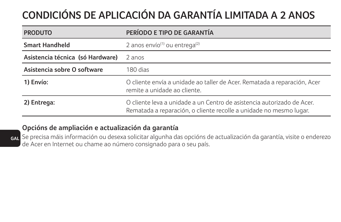# **CONDICIÓNS DE APLICACIÓN DA GARANTÍA LIMITADA A 2 ANOS**

| <b>PRODUTO</b>                   | PERÍODO E TIPO DE GARANTÍA                                                                                                                   |
|----------------------------------|----------------------------------------------------------------------------------------------------------------------------------------------|
| <b>Smart Handheld</b>            | 2 anos envío <sup>(1)</sup> ou entrega <sup>(2)</sup>                                                                                        |
| Asistencia técnica (só Hardware) | 2 anos                                                                                                                                       |
| Asistencia sobre O software      | 180 dias                                                                                                                                     |
| 1) Envío:                        | O cliente envía a unidade ao taller de Acer. Rematada a reparación, Acer<br>remite a unidade ao cliente.                                     |
| 2) Entrega:                      | O cliente leva a unidade a un Centro de asistencia autorizado de Acer.<br>Rematada a reparación, o cliente recolle a unidade no mesmo lugar. |

#### **Opcións de ampliación e actualización da garantía**

**GAL** Se precisa máis información ou desexa solicitar algunha das opcións de actualización da garantía, visite o enderezo de Acer en Internet ou chame ao número consignado para o seu país.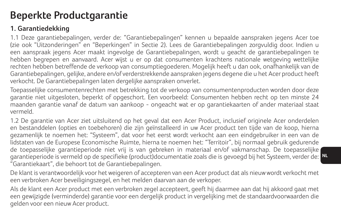## **Beperkte Productgarantie**

## **1. Garantiedekking**

1.1 Deze garantiebepalingen, verder de: "Garantiebepalingen" kennen u bepaalde aanspraken jegens Acer toe (zie ook "Uitzonderingen" en "Beperkingen" in Sectie 2). Lees de Garantiebepalingen zorgvuldig door. Indien u een aanspraak jegens Acer maakt ingevolge de Garantiebepalingen, wordt u geacht de garantiebepalingen te hebben begrepen en aanvaard. Acer wijst u er op dat consumenten krachtens nationale wetgeving wettelijke rechten hebben betreffende de verkoop van consumptiegoederen. Mogelijk heeft u dan ook, onafhankelijk van de Garantiebepalingen, gelijke, andere en/of verderstrekkende aanspraken jegens degene die u het Acer product heeft verkocht. De Garantiebepalingen laten dergelijke aanspraken onverlet.

Toepasselijke consumentenrechten met betrekking tot de verkoop van consumentenproducten worden door deze garantie niet uitgesloten, beperkt of opgeschort. Een voorbeeld: Consumenten hebben recht op ten minste 24 maanden garantie vanaf de datum van aankoop - ongeacht wat er op garantiekaarten of ander materiaal staat vermeld.

garantieperiode is vermeld op de specifieke (product)documentatie zoals die is gevoegd bij het Systeem, verder de: <mark>N</mark> 1.2 De garantie van Acer ziet uitsluitend op het geval dat een Acer Product, inclusief originele Acer onderdelen en bestanddelen (opties en toebehoren) die zijn geïnstalleerd in uw Acer product ten tijde van de koop, hierna gezamenlijk te noemen het: "Systeem", dat voor het eerst wordt verkocht aan een eindgebruiker in een van de lidstaten van de Europese Economische Ruimte, hierna te noemen het: "Territoir", bij normaal gebruik gedurende de toepasselijke garantieperiode niet vrij is van gebreken in materiaal en/of vakmanschap. De toepasselijke "Garantiekaart", die behoort tot de Garantiebepalingen.

De klant is verantwoordelijk voor het weigeren of accepteren van een Acer product dat als nieuw wordt verkocht met een verbroken Acer beveiligingszegel, en het melden daarvan aan de verkoper.

Als de klant een Acer product met een verbroken zegel accepteert, geeft hij daarmee aan dat hij akkoord gaat met een gewijzigde (verminderde) garantie voor een dergelijk product in vergelijking met de standaardvoorwaarden die gelden voor een nieuw Acer product.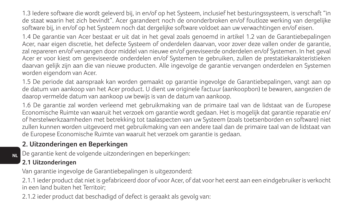1.3 Iedere software die wordt geleverd bij, in en/of op het Systeem, inclusief het besturingssysteem, is verschaft "in de staat waarin het zich bevindt". Acer garandeert noch de ononderbroken en/of foutloze werking van dergelijke software bij, in en/of op het Systeem noch dat dergelijke software voldoet aan uw verwachtingen en/of eisen.

1.4 De garantie van Acer bestaat er uit dat in het geval zoals genoemd in artikel 1.2 van de Garantiebepalingen Acer, naar eigen discretie, het defecte Systeem of onderdelen daarvan, voor zover deze vallen onder de garantie, zal repareren en/of vervangen door middel van nieuwe en/of gereviseerde onderdelen en/of Systemen. In het geval Acer er voor kiest om gereviseerde onderdelen en/of Systemen te gebruiken, zullen de prestatiekarakteristieken daarvan gelijk zijn aan die van nieuwe producten. Alle ingevolge de garantie vervangen onderdelen en Systemen worden eigendom van Acer.

1.5 De periode dat aanspraak kan worden gemaakt op garantie ingevolge de Garantiebepalingen, vangt aan op de datum van aankoop van het Acer product. U dient uw originele factuur (aankoopbon) te bewaren, aangezien de daarop vermelde datum van aankoop uw bewijs is van de datum van aankoop.

1.6 De garantie zal worden verleend met gebruikmaking van de primaire taal van de lidstaat van de Europese Economische Ruimte van waaruit het verzoek om garantie wordt gedaan. Het is mogelijk dat garantie reparatie en/ of herstelwerkzaamheden met betrekking tot taalaspecten van uw Systeem (zoals toetsenborden en software) niet zullen kunnen worden uitgevoerd met gebruikmaking van een andere taal dan de primaire taal van de lidstaat van de Europese Economische Ruimte van waaruit het verzoek om garantie is gedaan.

### **2. Uitzonderingen en Beperkingen**

De garantie kent de volgende uitzonderingen en beperkingen:

### **2.1 Uitzonderingen**

**NL**

Van garantie ingevolge de Garantiebepalingen is uitgezonderd:

2.1.1 ieder product dat niet is gefabriceerd door of voor Acer, of dat voor het eerst aan een eindgebruiker is verkocht in een land buiten het Territoir;

2.1.2 ieder product dat beschadigd of defect is geraakt als gevolg van: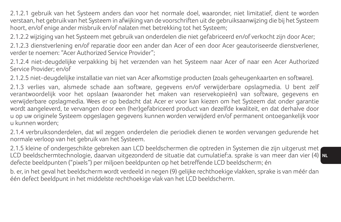2.1.2.1 gebruik van het Systeem anders dan voor het normale doel, waaronder, niet limitatief, dient te worden verstaan, het gebruik van het Systeem in afwijking van de voorschriften uit de gebruiksaanwijzing die bij het Systeem hoort, en/of enige ander misbruik en/of nalaten met betrekking tot het Systeem;

2.1.2.2 wijziging van het Systeem met gebruik van onderdelen die niet gefabriceerd en/of verkocht zijn door Acer; 2.1.2.3 dienstverlening en/of reparatie door een ander dan Acer of een door Acer geautoriseerde dienstverlener, verder te noemen: "Acer Authorized Service Provider";

2.1.2.4 niet-deugdelijke verpakking bij het verzenden van het Systeem naar Acer of naar een Acer Authorized Service Provider; en/of

2.1.2.5 niet-deugdelijke installatie van niet van Acer afkomstige producten (zoals geheugenkaarten en software).

2.1.3 verlies van, alsmede schade aan software, gegevens en/of verwijderbare opslagmedia. U bent zelf verantwoordelijk voor het opslaan (waaronder het maken van reservekopieën) van software, gegevens en verwijderbare opslagmedia. Wees er op bedacht dat Acer er voor kan kiezen om het Systeem dat onder garantie wordt aangeleverd, te vervangen door een (her)gefabriceerd product van dezelfde kwaliteit, en dat derhalve door u op uw originele Systeem opgeslagen gegevens kunnen worden verwijderd en/of permanent ontoegankelijk voor u kunnen worden;

2.1.4 verbruiksonderdelen, dat wil zeggen onderdelen die periodiek dienen te worden vervangen gedurende het normale verloop van het gebruik van het Systeem.

**NL** LCD beeldschermtechnologie, daarvan uitgezonderd de situatie dat cumulatief:a. sprake is van meer dan vier (4) 2.1.5 kleine of ondergeschikte gebreken aan LCD beeldschermen die optreden in Systemen die zijn uitgerust met defecte beeldpunten ("pixels") per miljoen beeldpunten op het betreffende LCD beeldscherm; én

b. er, in het geval het beeldscherm wordt verdeeld in negen (9) gelijke rechthoekige vlakken, sprake is van méér dan één defect beeldpunt in het middelste rechthoekige vlak van het LCD beeldscherm.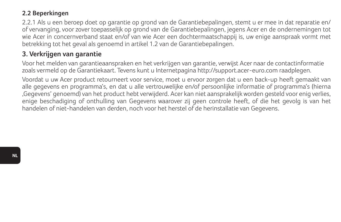#### **2.2 Beperkingen**

2.2.1 Als u een beroep doet op garantie op grond van de Garantiebepalingen, stemt u er mee in dat reparatie en/ of vervanging, voor zover toepasselijk op grond van de Garantiebepalingen, jegens Acer en de ondernemingen tot wie Acer in concernverband staat en/of van wie Acer een dochtermaatschappij is, uw enige aanspraak vormt met betrekking tot het geval als genoemd in artikel 1.2 van de Garantiebepalingen.

### **3. Verkrijgen van garantie**

Voor het melden van garantieaanspraken en het verkrijgen van garantie, verwijst Acer naar de contactinformatie zoals vermeld op de Garantiekaart. Tevens kunt u Internetpagina http://support.acer-euro.com raadplegen.

Voordat u uw Acer product retourneert voor service, moet u ervoor zorgen dat u een back-up heeft gemaakt van alle gegevens en programma's, en dat u alle vertrouwelijke en/of persoonlijke informatie of programma's (hierna 'Gegevens' genoemd) van het product hebt verwijderd. Acer kan niet aansprakelijk worden gesteld voor enig verlies, enige beschadiging of onthulling van Gegevens waarover zij geen controle heeft, of die het gevolg is van het handelen of niet-handelen van derden, noch voor het herstel of de herinstallatie van Gegevens.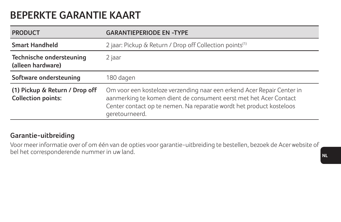## **BEPERKTE GARANTIE KAART**

| <b>PRODUCT</b>                                              | <b>GARANTIEPERIODE EN -TYPE</b>                                                                                                                                                                                                       |
|-------------------------------------------------------------|---------------------------------------------------------------------------------------------------------------------------------------------------------------------------------------------------------------------------------------|
| <b>Smart Handheld</b>                                       | 2 jaar: Pickup & Return / Drop off Collection points <sup>(1)</sup>                                                                                                                                                                   |
| Technische ondersteuning<br>(alleen hardware)               | 2 jaar                                                                                                                                                                                                                                |
| Software ondersteuning                                      | 180 dagen                                                                                                                                                                                                                             |
| (1) Pickup & Return / Drop off<br><b>Collection points:</b> | Om voor een kosteloze verzending naar een erkend Acer Repair Center in<br>aanmerking te komen dient de consument eerst met het Acer Contact<br>Center contact op te nemen. Na reparatie wordt het product kosteloos<br>geretourneerd. |

#### **Garantie-uitbreiding**

Voor meer informatie over of om één van de opties voor garantie-uitbreiding te bestellen, bezoek de Acer website of bel het corresponderende nummer in uw land.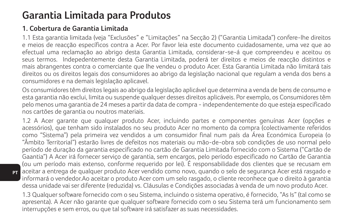## **Garantia Limitada para Produtos**

### **1. Cobertura de Garantia Limitada**

**PT**

1.1 Esta garantia limitada (veja "Exclusões" e "Limitações" na Secção 2) ("Garantia Limitada") confere-lhe direitos e meios de reacção específicos contra a Acer. Por favor leia este documento cuidadosamente, uma vez que ao efectual uma reclamação ao abrigo desta Garantia Limitada, considerar-se-á que compreendeu e aceitou os seus termos. Indepedentemente desta Garantia Limitada, poderá ter direitos e meios de reacção distintos e mais abrangentes contra o comerciante que lhe vendeu o produto Acer. Esta Garantia Limitada não limitará tais direitos ou os direitos legais dos consumidores ao abrigo da legislação nacional que regulam a venda dos bens a consumidores e na demais legislação aplicavel.

Os consumidores têm direitos legais ao abrigo da legislação aplicável que determina a venda de bens de consumo e esta garantia não exclui, limita ou suspende qualquer desses direitos aplicáveis. Por exemplo, os Consumidores têm pelo menos uma garantia de 24 meses a partir da data de compra - independentemente do que esteja especificado nos cartões de garantia ou noutros materiais.

1.2 A Acer garante que qualquer produto Acer, incluindo partes e componentes genuínas Acer (opções e acessórios), que tenham sido instalados no seu produto Acer no momento da compra (colectivamente referidos como "Sistema") pela primeira vez vendidos a um consumidor final num país da Área Económica Europeia (o "Âmbito Territorial") estarão livres de defeitos nos materiais ou mão-de-obra sob condições de uso normal pelo período de duração da garantia especificado no cartão de Garantia Limitada fornecido com o Sistema ("Cartão de Gaantia") A Acer irá fornecer serviço de garantia, sem encargos, pelo período especificado no Cartão de Garantia (ou um período mais extenso, conforme requerido por lei). É responsabilidade dos clientes que se recusam em aceitar a entrega de qualquer produto Acer vendido como novo, quando o selo de segurança Acer está rasgado e informará o vendedor.Ao aceitar o produto Acer com um selo rasgado, o cliente reconhece que o direito à garantia dessa unidade vai ser diferente (reduzida) vs. Cláusulas e Condições associadas à venda de um novo produto Acer.

1.3 Qualquer software fornecido com o seu Sistema, incluindo o sistema operativo, é fornecido, "As Is" (tal como se apresenta). A Acer não garante que qualquer software fornecido com o seu Sistema terá um funcionamento sem interrupções e sem erros, ou que tal software irá satisfazer as suas necessidades.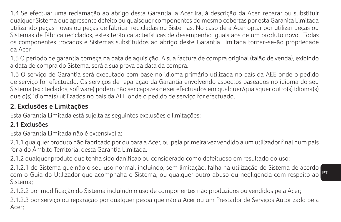1.4 Se efectuar uma reclamação ao abrigo desta Garantia, a Acer irá, à descrição da Acer, reparar ou substituir qualquer Sistema que apresente defeito ou quaisquer componentes do mesmo cobertas por esta Garanita Limitada utilizando peças novas ou peças de fábrica recicladas ou Sistemas. No caso de a Acer optar por utilizar peças ou Sistemas de fábrica reciclados, estes terão características de desempenho iguais aos de um produto novo. Todas os componentes trocados e Sistemas substituídos ao abrigo deste Garantia Limitada tornar-se-ão propriedade da Acer.

1.5 O período de garantia começa na data de aquisição. A sua factura de compra original (talão de venda), exibindo a data de compra do Sistema, será a sua prova da data da compra.

1.6 O serviço de Garantia será executado com base no idioma primário utilizada no país da AEE onde o pedido de serviço for efectuado. Os serviços de reparação da Garantia envolvendo aspectos baseados no idioma do seu Sistema (ex.: teclados, software) podem não ser capazes de ser efectuados em qualquer/quaisquer outro(s) idioma(s) que o(s) idioma(s) utilizados no país da AEE onde o pedido de serviço for efectuado.

### **2. Exclusões e Limitações**

Esta Garantia Limitada está sujeita às seguintes exclusões e limitações:

### **2.1 Exclusões**

Esta Garantia Limitada não é extensível a:

2.1.1 qualquer produto não fabricado por ou para a Acer, ou pela primeira vez vendido a um utilizador final num país for a do Âmbito Territorial desta Garantia Limitada.

2.1.2 qualquer produto que tenha sido danificao ou considerado como defeituoso em resultado do uso:

2.1.2.1 do Sistema que não o seu uso normal, incluindo, sem limitação, falha na utilização do Sistema de acordo com o Guia do Utilizador que acompnaha o Sistema, ou qualquer outro abuso ou negligencia com respeito ao Sistema;

2.1.2.2 por modificação do Sistema incluindo o uso de componentes não produzidos ou vendidos pela Acer;

2.1.2.3 por serviço ou reparação por qualquer pesoa que não a Acer ou um Prestador de Serviços Autorizado pela Acer;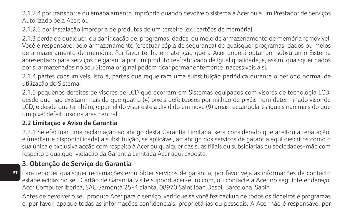2.1.2.4 por transporte ou emabalamento impróprio quando devolve o sistema à Acer ou a um Prestador de Serviços Autorizado pela Acer; ou

2.1.2.5 por instalação imprópria de produtos de um terceiro (ex.: cartões de memória).

2.1.3 perda de qualquer, ou danificação de, programas, dados, ou meio de armazenamento de memória removível. Você é responsável pelo armazenamento (efectuar cópia de segurança) de quaisquer programas, dados ou meios de armazenamento de memória. Por favor tenha em atenção que a Acer poderá optar por substituir o Sistema apresentado para serviços de garantia por um produto re-frabricado de igual qualidade, e, assim, quaisquer dados por si armazenados no seu Sitema original podem ficar permanentemente inacessíveis a si.

2.1.4 partes consumíveis, isto é, partes que requeiram uma substituição periódica durante o período normal de utilização do Sistema.

2.1.5 pequenos defeitos de visores de LCD que ocorram em Sistemas equipados com visores de tecnologia LCD, desde que não existam mais do que quatro (4) pixéis defeituosos por milhão de pixéis num determinado visor de LCD, e desde que também, o painel do visor esteja dividido em nove (9) areas rectangulares iguais não mais do que um pixel defeituoso na área central.

#### **2.2 Limitação e Aviso de Garantia**

2.2.1 Se efectuar uma reclamação ao abrigo desta Garantia Limitada, será considerado que aceitou a reparação, e (mediante disponibilidade) a substituição, se aplicável, ao abrigo dos serviços de garantia aqui descritos como o sua única e exclusiva acção com respeito à Acer ou qualquer das suas filiais ou subsidiárias ou sociedades-mãe com respeito a qualquer violação da Garantia Limitada Acer aqui exposta.

### **3. Obtenção de Serviço de Garantia**

Para reporter quaisquer reclamações e/ou obter serviços de garantia, por favor veja as informações de contacto estabelecidas no seu Cartão de Garantia, visite support.acer-euro.com, ou contacte a Acer no seguinte endereço: Acer Computer Iberica, SAU Samontà 25-4 planta, 08970 Saint Joan Despi, Barcelona, Sapin

Antes de devolver o seu produto Acer para o serviço, verifique se você fez backup de todos os ficheiros e programas e, por favor, apague todas as informações confidenciais, proprietárias ou pessoais. A Acer não é responsável por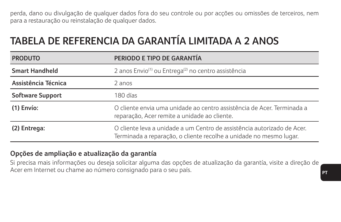perda, dano ou divulgação de qualquer dados fora do seu controle ou por acções ou omissões de terceiros, nem para a restauração ou reinstalação de qualquer dados.

## **TABELA DE REFERENCIA DA GARANTÍA LIMITADA A 2 ANOS**

| <b>PRODUTO</b>        | PERIODO E TIPO DE GARANTÍA                                                                                                                    |
|-----------------------|-----------------------------------------------------------------------------------------------------------------------------------------------|
| <b>Smart Handheld</b> | 2 anos Envio <sup>(1)</sup> ou Entrega <sup>(2)</sup> no centro assistência                                                                   |
| Assistência Técnica   | 2 anos                                                                                                                                        |
| Software Support      | 180 días                                                                                                                                      |
| (1) Envío:            | O cliente envia uma unidade ao centro assistência de Acer. Terminada a<br>reparação, Acer remite a unidade ao cliente.                        |
| (2) Entrega:          | O cliente leva a unidade a um Centro de assistência autorizado de Acer.<br>Terminada a reparação, o cliente recolhe a unidade no mesmo lugar. |

#### **Opções de ampliação e atualização da garantía**

Si precisa mais informações ou deseja solicitar alguma das opções de atualização da garantía, visite a direção de Acer em Internet ou chame ao número consignado para o seu país.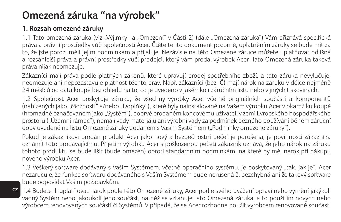## **Omezená záruka "na výrobek"**

## **1. Rozsah omezené záruky**

**CZ**

1.1 Tato omezená záruka (viz "Výjimky" a "Omezení" v Části 2) (dále "Omezená záruka") Vám přiznává specifická práva a právní prostředky vůči společnosti Acer. Čtěte tento dokument pozorně, uplatněním záruky se bude mít za to, že jste porozuměli jejím podmínkám a přijali je. Nezávisle na této Omezené záruce můžete uplatňovat odlišná a rozsáhlejší práva a právní prostředky vůči prodejci, který vám prodal výrobek Acer. Tato Omezená záruka taková práva nijak neomezuje.

Zákazníci mají práva podle platných zákonů, které upravují prodej spotřebního zboží, a tato záruka nevylučuje, neomezuje ani nepozastavuje platnost těchto práv. Např. zákazníci (bez IČ) mají nárok na záruku v délce nejméně 24 měsíců od data koupě bez ohledu na to, co je uvedeno v jakémkoli záručním listu nebo v jiných tiskovinách.

1.2 Společnost Acer poskytuje záruku, že všechny výrobky Acer včetně originálních součástí a komponentů (nabízených jako "Možnosti" a/nebo "Doplňky"), které byly nainstalované na Vašem výrobku Acer v okamžiku koupě (hromadně označovaném jako "Systém"), poprvé prodaném koncovému uživateli v zemi Evropského hospodářského prostoru ("Územní rámec"), nemají vady materiálu ani výrobní vady za podmínek běžného používání během záruční doby uvedené na listu Omezené záruky dodaném s Vaším Systémem ("Podmínky omezené záruky").

Pokud je zákazníkovi prodán produkt Acer jako nový a bezpečnostní pečeť je porušena, je povinností zákazníka oznámit toto prodávajícímu. Přijetím výrobku Acer s poškozenou pečetí zákazník uznává, že jeho nárok na záruku tohoto produktu se bude lišit (bude omezen) oproti standardním podmínkám, na které by měl nárok při nákupu nového výrobku Acer.

1.3 Veškerý software dodávaný s Vaším Systémem, včetně operačního systému, je poskytovaný "tak, jak je". Acer nezaručuje, že funkce softwaru dodávaného s Vaším Systémem bude nerušená či bezchybná ani že takový software bude odpovídat Vašim požadavkům.

1.4 Budete-li uplatňovat nárok podle této Omezené záruky, Acer podle svého uvážení opraví nebo vymění jakýkoli vadný Systém nebo jakoukoli jeho součást, na něž se vztahuje tato Omezená záruka, a to použitím nových nebo výrobcem renovovaných součástí či Systémů. V případě, že se Acer rozhodne použít výrobcem renovované součásti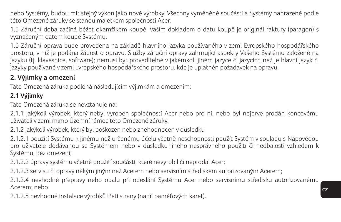nebo Systémy, budou mít stejný výkon jako nové výrobky. Všechny vyměněné součásti a Systémy nahrazené podle této Omezené záruky se stanou majetkem společnosti Acer.

1.5 Záruční doba začíná běžet okamžikem koupě. Vaším dokladem o datu koupě je originál faktury (paragon) s vyznačeným datem koupě Systému.

1.6 Záruční oprava bude provedena na základě hlavního jazyka používaného v zemi Evropského hospodářského prostoru, v níž je podána žádost o opravu. Služby záruční opravy zahrnující aspekty Vašeho Systému založené na jazyku (tj. klávesnice, software); nemusí být proveditelné v jakémkoli jiném jazyce či jazycích než je hlavní jazyk či jazyky používané v zemi Evropského hospodářského prostoru, kde je uplatněn požadavek na opravu.

## **2. Výjimky a omezení**

Tato Omezená záruka podléhá následujícím výjimkám a omezením:

### **2.1 Výjimky**

Tato Omezená záruka se nevztahuje na:

2.1.1 jakýkoli výrobek, který nebyl vyroben společností Acer nebo pro ni, nebo byl nejprve prodán koncovému uživateli v zemi mimo Územní rámec této Omezené záruky.

2.1.2 jakýkoli výrobek, který byl poškozen nebo znehodnocen v důsledku

2.1.2.1 použití Systému k jinému než určenému účelu včetně neschopnosti použít Systém v souladu s Nápovědou pro uživatele dodávanou se Systémem nebo v důsledku jiného nesprávného použití či nedbalosti vzhledem k Systému, bez omezení;

2.1.2.2 úpravy systému včetně použití součástí, které nevyrobil či neprodal Acer;

2.1.2.3 servisu či opravy někým jiným než Acerem nebo servisním střediskem autorizovaným Acerem;

2.1.2.4 nevhodné přepravy nebo obalu při odeslání Systému Acer nebo servisnímu středisku autorizovanému Acerem; nebo

2.1.2.5 nevhodné instalace výrobků třetí strany (např. paměťových karet).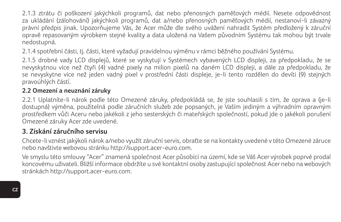2.1.3 ztrátu či poškození jakýchkoli programů, dat nebo přenosných paměťových médií. Nesete odpovědnost za ukládání (zálohování) jakýchkoli programů, dat a/nebo přenosných paměťových médií, nestanoví-li závazný právní předpis jinak. Upozorňujeme Vás, že Acer může dle svého uvážení nahradit Systém předložený k záruční opravě repasovaným výrobkem stejné kvality a data uložená na Vašem původním Systému tak mohou být trvale nedostupná.

2.1.4 spotřební části, tj. části, které vyžadují pravidelnou výměnu v rámci běžného používání Systému.

2.1.5 drobné vady LCD displejů, které se vyskytují v Systémech vybavených LCD displeji, za předpokladu, že se nevyskytnou více než čtyři (4) vadné pixely na milion pixelů na daném LCD displeji, a dále za předpokladu, že se nevyskytne více než jeden vadný pixel v prostřední části displeje, je-li tento rozdělen do devíti (9) stejných pravoúhlých částí.

#### **2.2 Omezení a neuznání záruky**

2.2.1 Uplatníte-li nárok podle této Omezené záruky, předpokládá se, že jste souhlasili s tím, že oprava a (je-li dostupná) výměna, použitelná podle záručních služeb zde popsaných, je Vaším jediným a výhradním opravným prostředkem vůči Aceru nebo jakékoli z jeho sesterských či mateřských společností, pokud jde o jakékoli porušení Omezené záruky Acer zde uvedené.

#### **3. Získání záručního servisu**

Chcete-li vznést jakýkoli nárok a/nebo využít záruční servis, obraťte se na kontakty uvedené v této Omezené záruce nebo navštivte webovou stránku http://support.acer-euro.com.

Ve smyslu této smlouvy "Acer" znamená společnost Acer působící na území, kde se Váš Acer výrobek poprvé prodal koncovému uživateli. Bližší informace obdržíte u své kontaktní osoby zastupující společnost Acer nebo na webových stránkách http://support.acer-euro.com.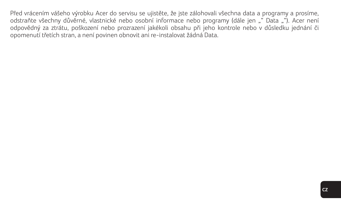Před vrácením vášeho výrobku Acer do servisu se ujistěte, že jste zálohovali všechna data a programy a prosíme, odstraňte všechny důvěrné, vlastnické nebo osobní informace nebo programy (dále jen "" Data ""). Acer není odpovědný za ztrátu, poškození nebo prozrazení jakékoli obsahu při jeho kontrole nebo v důsledku jednání či opomenutí třetích stran, a není povinen obnovit ani re-instalovat žádná Data.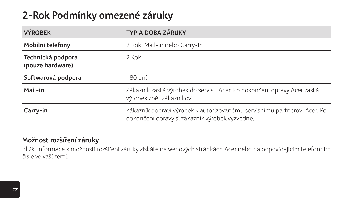## **2-Rok Podmínky omezené záruky**

| <b>VÝROBEK</b>                        | TYP A DOBA ZÁRUKY                                                                                                          |
|---------------------------------------|----------------------------------------------------------------------------------------------------------------------------|
| Mobilní telefony                      | 2 Rok: Mail-in nebo Carry-In                                                                                               |
| Technická podpora<br>(pouze hardware) | 2 Rok                                                                                                                      |
| Softwarová podpora                    | 180 dní                                                                                                                    |
| Mail-in                               | Zákazník zasílá výrobek do servisu Acer. Po dokončení opravy Acer zasílá<br>výrobek zpět zákazníkovi.                      |
| Carry-in                              | Zákazník dopraví výrobek k autorizovanému servisnímu partnerovi Acer. Po<br>dokončení opravy si zákazník výrobek vyzvedne. |
|                                       |                                                                                                                            |

#### **Možnost rozšíření záruky**

Bližší informace k možnosti rozšíření záruky získáte na webových stránkách Acer nebo na odpovídajícím telefonním čísle ve vaší zemi.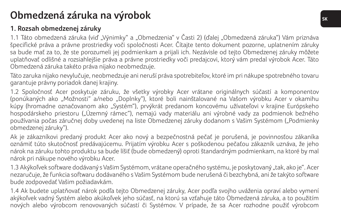## **Obmedzená záruka na výrobok SK**

## **1. Rozsah obmedzenej záruky**

1.1 Táto obmedzená záruka (viď "Výnimky" a "Obmedzenia" v Časti 2) (ďalej "Obmedzená záruka") Vám priznáva špecifické práva a právne prostriedky voči spoločnosti Acer. Čítajte tento dokument pozorne, uplatnením záruky sa bude mať za to, že ste porozumeli jej podmienkam a prijali ich. Nezávisle od tejto Obmedzenej záruky môžete uplatňovať odlišné a rozsiahlejšie práva a právne prostriedky voči predajcovi, ktorý vám predal výrobok Acer. Táto Obmedzená záruka takéto práva nijako neobmedzuje.

Táto zaruka nijako nevylučuje, neobmedzuje ani neruší práva spotrebiteľov, ktoré im pri nákupe spotrebného tovaru garantuje právny poriadok danej krajiny.

1.2 Spoločnosť Acer poskytuje záruku, že všetky výrobky Acer vrátane originálnych súčastí a komponentov (ponúkaných ako "Možnosti" a/nebo "Doplnky"), ktoré boli nainštalované na Vašom výrobku Acer v okamihu kúpy (hromadne označovanom ako "Systém"), prvýkrát predanom koncovému užívateľovi v krajine Európskeho hospodárskeho priestoru ("Územný rámec"), nemajú vady materiálu ani výrobné vady za podmienok bežného používania počas záručnej doby uvedenej na liste Obmedzenej záruky dodanom s Vašim Systémom ("Podmienky obmedzenej záruky").

Ak je zákazníkovi predaný produkt Acer ako nový a bezpečnostná pečať je porušená, je povinnosťou zákaníka oznámiť túto skutočnosť predávajúcemu. Prijatím výrobku Acer s poškodenou pečaťou zákazník uznáva, že jeho nárok na záruku tohto produktu sa bude líšiť (bude obmedzený) oproti štandardným podmienkam, na ktoré by mal nárok pri nákupe nového výrobku Acer.

1.3 Akýkoľvek software dodávaný s Vašim Systémom, vrátane operačného systému, je poskytovaný "tak, ako je". Acer nezaručuje, že funkcia softwaru dodávaného s Vašim Systémom bude nerušená či bezchybná, ani že takýto software bude zodpovedať Vašim požiadavkám.

1.4 Ak budete uplatňovať nárok podľa tejto Obmedzenej záruky, Acer podľa svojho uváženia opraví alebo vymení akýkoľvek vadný Systém alebo akúkoľvek jeho súčasť, na ktorú sa vzťahuje táto Obmedzená záruka, a to použitím nových alebo výrobcom renovovaných súčastí či Systémov. V prípade, že sa Acer rozhodne použiť výrobcom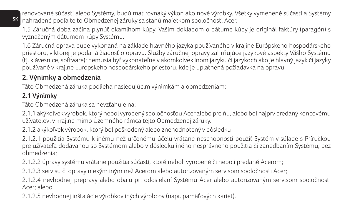renovované súčasti alebo Systémy, budú mať rovnaký výkon ako nové výrobky. Všetky vymenené súčasti a Systémy nahradené podľa tejto Obmedzenej záruky sa stanú majetkom spoločnosti Acer.

1.5 Záručná doba začína plynúť okamihom kúpy. Vašim dokladom o dátume kúpy je originál faktúry (paragón) s vyznačeným dátumom kúpy Systému.

1.6 Záručná oprava bude vykonaná na základe hlavného jazyka používaného v krajine Európskeho hospodárskeho priestoru, v ktorej je podaná žiadosť o opravu. Služby záručnej opravy zahrňujúce jazykové aspekty Vášho Systému (tj. klávesnice, software); nemusia byť vykonateľné v akomkoľvek inom jazyku či jazykoch ako je hlavný jazyk či jazyky používané v krajine Európskeho hospodárskeho priestoru, kde je uplatnená požiadavka na opravu.

### **2. Výnimky a obmedzenia**

Táto Obmedzená záruka podlieha nasledujúcim výnimkám a obmedzeniam:

### **2.1 Výnimky**

**SK**

Táto Obmedzená záruka sa nevzťahuje na:

2.1.1 akýkoľvek výrobok, ktorý nebol vyrobený spoločnosťou Acer alebo pre ňu, alebo bol najprv predaný koncovému užívateľovi v krajine mimo Územného rámca tejto Obmedzenej záruky.

2.1.2 akýkoľvek výrobok, ktorý bol poškodený alebo znehodnotený v dôsledku

2.1.2.1 použitia Systému k inému než určenému účelu vrátane neschopnosti použiť Systém v súlade s Príručkou pre užívateľa dodávanou so Systémom alebo v dôsledku iného nesprávneho použitia či zanedbaním Systému, bez obmedzenia;

2.1.2.2 úpravy systému vrátane použitia súčastí, ktoré neboli vyrobené či neboli predané Acerom;

2.1.2.3 servisu či opravy niekým iným než Acerom alebo autorizovaným servisom spoločnosti Acer;

2.1.2.4 nevhodnej prepravy alebo obalu pri odosielaní Systému Acer alebo autorizovaným servisom spoločnosti Acer; alebo

2.1.2.5 nevhodnej inštalácie výrobkov iných výrobcov (napr. pamäťových kariet).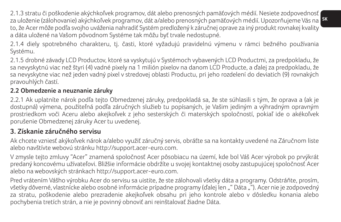**SK** za uloženie (zálohovanie) akýchkoľvek programov, dát a/alebo prenosných pamäťových médií. Upozorňujeme Vás na 2.1.3 stratu či poškodenie akýchkoľvek programov, dát alebo prenosných pamäťových médií. Nesiete zodpovednosť to, že Acer môže podľa svojho uváženia nahradiť Systém predložený k záručnej oprave za iný produkt rovnakej kvality a dáta uložené na Vašom pôvodnom Systéme tak môžu byť trvale nedostupné.

2.1.4 diely spotrebného charakteru, tj. časti, ktoré vyžadujú pravidelnú výmenu v rámci bežného používania Systému.

2.1.5 drobné závady LCD Productov, ktoré sa vyskytujú v Systémoch vybavených LCD Productmi, za predpokladu, že sa nevyskytnú viac než štyri (4) vadné pixely na 1 milión pixelov na danom LCD Producte, a ďalej za predpokladu, že sa nevyskytne viac než jeden vadný pixel v stredovej oblasti Productu, pri jeho rozdelení do deviatich (9) rovnakých pravouhlých častí.

#### **2.2 Obmedzenie a neuznanie záruky**

2.2.1 Ak uplatníte nárok podľa tejto Obmedzenej záruky, predpokladá sa, že ste súhlasili s tým, že oprava a (ak je dostupná) výmena, použiteľná podľa záručných služieb tu popísaných, je Vašim jediným a výhradným opravným prostriedkom voči Aceru alebo akejkoľvek z jeho sesterských či materských spoločností, pokiaľ ide o akékoľvek porušenie Obmedzenej záruky Acer tu uvedenej.

### **3. Získanie záručného servisu**

Ak chcete vzniesť akýkoľvek nárok a/alebo využiť záručný servis, obráťte sa na kontakty uvedené na Záručnom liste alebo navštívte webovú stránku http://support.acer-euro.com.

V zmysle tejto zmluvy "Acer" znamená spoločnosť Acer pôsobiacu na území, kde bol Váš Acer výrobok po prvýkrát predaný koncovému užívateľovi. Bližšie informácie obdržíte u svojej kontaktnej osoby zastupujúcej spoločnosť Acer alebo na webovských stránkach http://support.acer-euro.com.

Pred vrátením Vášho výrobku Acer do servisu sa uistite, že ste zálohovali všetky dáta a programy. Odstráňte, prosím, všetky dôverné, vlastnícke alebo osobné informácie prípadne programy (ďalej len "" Dáta ""). Acer nie je zodpovedný za stratu, poškodenie alebo prezradenie akejkoľvek obsahu pri jeho kontrole alebo v dôsledku konania alebo pochybenia tretích strán, a nie je povinný obnoviť ani reinštalovať žiadne Dáta.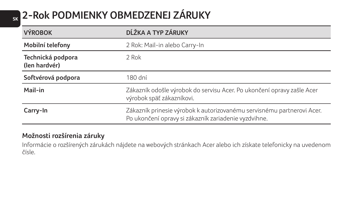# **SK 2-Rok PODMIENKY OBMEDZENEJ ZÁRUKY**

| DĹŽKA A TYP ZÁRUKY                                                                                                             |
|--------------------------------------------------------------------------------------------------------------------------------|
| 2 Rok: Mail-in alebo Carry-In                                                                                                  |
| 2 Rok                                                                                                                          |
| 180 dní                                                                                                                        |
| Zákazník odošle výrobok do servisu Acer. Po ukončení opravy zašle Acer<br>výrobok späť zákazníkovi.                            |
| Zákazník prinesie výrobok k autorizovanému servisnému partnerovi Acer.<br>Po ukončení opravy si zákazník zariadenie vyzdvihne. |
|                                                                                                                                |

## **Možnosti rozšírenia záruky**

Informácie o rozšírených zárukách nájdete na webových stránkach Acer alebo ich získate telefonicky na uvedenom čísle.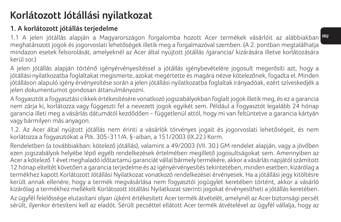## **Korlátozott Jótállási nyilatkozat**

## **1. A korlátozott jótállás terjedelme**

1.1 A jelen jótállás alapján a Magyarországon forgalomba hozott Acer termékek vásárlóit az alábbiakban <mark>H</mark> meghatározott jogok és jogorvoslati lehetőségek illetik meg a forgalmazóval szemben. (A 2. pontban megtalálhatja mindazon esetek felsorolását, amelyeknél az Acer által nyújtott jótállás /garancia/ kizárására illetve korlátozására kerül sor.)

A jelen jótállás alapján történő igényérvényesítéssel a jótállás igénybevételére jogosult megerősíti azt, hogy a jótállási nyilatkozatba foglaltakat megismerte, azokat megértette és magára nézve kötelezőnek, fogadta el. Minden jótálláson alapuló igény érvényesítése során a jelen jótállási nyilatkozatba foglaltak irányadóak, ezért szíveskedjék a jelen dokumentumot gondosan áttanulmányozni.

A fogyasztót a fogyasztási cikkek értékesítésére vonatkozó jogszabályokban foglalt jogok illetik meg, és ez a garancia nem zárja ki, korlátozza vagy függeszti fel a nevezett jogok egyikét sem. Például a Fogyasztót legalább 24 hónap garancia illeti meg a vásárlás dátumától kezdődően - függetlenül attól, hogy mi van feltüntetve a garancia kártyán vagy bármilyen más anyagon.

1.2. Az Acer által nyújtott jótállás nem érinti a vásárlók törvényes jogait és jogorvoslati lehetőségeit, és nem korlátozza a fogyasztókat a Ptk. 305-311/A. §-aiban, a 151/2003 (IX.22.) Korm.

Rendeletben (a továbbiakban: kötelező jótállás), valamint a 49/2003 (VII. 30.) GM rendelet alapján, vagy a jövőben ezen jogszabályok helyébe lépő egyéb rendelkezések értelmében megillető jogosultságokat sem. Amennyiben az Acer a kötelező 1 évet meghaladó időtartamú garanciát vállal bármely termékére, akkor a vásárlás napjától számított 12 hónap elteltét követően a garancia terjedelme és az igényérvényesítés tekintetében, minden esetben, kizárólag a termékhez kapott Korlátozott Jótállási Nyilatkozat vonatkozó rendelkezései érvényesek. Ha a jótállási jegy kitöltésre került annak ellenére, hogy a termék megvásárlása nem fogyasztói jogügylet keretében történt, akkor a vásárló kizárólag a termékhez mellékelt Korlátozott Jótállási Nyilatkozat szerinti jogokat érvényesítheti a jótállás keretében. Az ügyfél felelőssége elutasítani olyan újként értékesített Acer termék átvételét, amelynél az Acer biztonsági pecsét sérült, ilyenkor értesíteni kell az eladót. Sérült pecséttel ellátott Acer termék átvételével az ügyfél vállalja, hogy az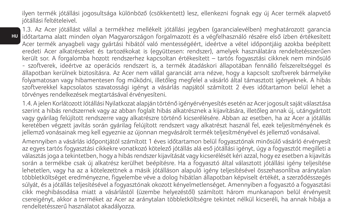ilyen termék jótállási jogosultsága különböző (csökkentett) lesz, ellenkezni fognak egy új Acer termék alapvető jótállási feltételeivel.

**HU**

1.3. Az Acer jótállást vállal a termékhez mellékelt jótállási jegyben (garancialevélben) meghatározott garancia időtartama alatt minden olyan Magyarországon forgalmazott és a végfelhasználó részére első ízben értékesített Acer termék anyagbeli vagy gyártási hibától való mentességéért, ideértve a vétel időpontjáig azokba beépített eredeti Acer alkatrészeket és tartozékokat is (együttesen: rendszer), amelyek használatára rendeltetésszerűen került sor. A forgalomba hozott rendszerhez kapcsoltan értékesített – tartós fogyasztási cikknek nem minősülő - szoftverek, ideértve az operációs rendszert is, a termék átadáskori állapotában fennálló felszereltséggel és állapotban kerülnek biztosításra. Az Acer nem vállal garanciát arra nézve, hogy a kapcsolt szoftverek bármelyike folyamatosan vagy hibamentesen fog működni, illetőleg megfelel a vásárló által támasztott igényeknek. A hibás szoftverekkel kapcsolatos szavatossági igényt a vásárlás napjától számított 2 éves időtartamon belül lehet a törvényes rendelkezések megtartásával érvényesíteni.

1.4. A jelen Korlátozott Jótállási Nyilatkozat alapján történő igényérvényesítés esetén az Acer jogosult saját választása szerint a hibás rendszernek vagy az abban foglalt hibás alkatrésznek a kijavítására, illetőleg annak új, utángyártott vagy gyárilag felújított rendszerre vagy alkatrészre történő kicserélésére. Abban az esetben, ha az Acer a jótállás keretében végzett javítás során gyárilag felújított rendszert vagy alkatrészt használ fel, ezek teljesítményének és jellemző vonásainak meg kell egyeznie az újonnan megvásárolt termék teljesítményével és jellemző vonásaival.

Amennyiben a vásárlás időpontjától számított 1 éves időtartamon belül fogyasztónak minősülő vásárló érvényesít az egyes tartós fogyasztási cikkekre vonatkozó kötelező jótállás alá eső jótállási igényt, úgy a fogyasztót megilleti a választás joga a tekintetben, hogy a hibás rendszer kijavítását vagy kicserélését kéri azzal, hogy ez esetben a kijavítás során a termékbe csak új alkatrész kerülhet beépítésre. Ha a fogyasztó által választott jótállási igény teljesítése lehetetlen, vagy ha az a kötelezettnek a másik jótálláson alapuló igény teljesítésével összehasonlítva aránytalan többletköltséget eredményezne, figyelembe véve a dolog hibátlan állapotban képviselt értékét, a szerződésszegés súlyát, és a jótállás teljesítésével a fogyasztónak okozott kényelmetlenséget. Amennyiben a fogyasztó a fogyasztási cikk meghibásodása miatt a vásárlástól (üzembe helyezéstől) számított három munkanapon belül érvényesít csereigényt, akkor a terméket az Acer az aránytalan többletköltségre tekintet nélkül kicseréli, ha annak hibája a rendeltetésszerű használatot akadályozza.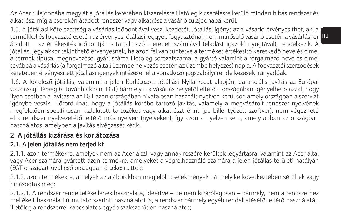Az Acer tulajdonába megy át a jótállás keretében kiszerelésre illetőleg kicserélésre kerülő minden hibás rendszer és alkatrész, míg a cserekén átadott rendszer vagy alkatrész a vásárló tulajdonába kerül.

termékkel és fogyasztó esetén az érvényes jótállási jeggyel, fogyasztónak nem minősülő vásárló esetén a vásárláskor <mark>HU</mark> 1.5. A jótállási kötelezettség a vásárlás időpontjával veszi kezdetét. Jótállási igényt az a vásárló érvényesíthet, aki a átadott – az értékesítés időpontját is tartalmazó - eredeti számlával (eladást igazoló nyugtával), rendelkezik. A jótállási jegy akkor tekinthető érvényesnek, ha azon fel van tüntetve a terméket értékesítő kereskedő neve és címe, a termék típusa, megnevezése, gyári száma illetőleg sorozatszáma, a gyártó valamint a forgalmazó neve és címe, továbbá a vásárlás (a forgalmazó általi üzembe helyezés esetén az üzembe helyezés) napja. A fogyasztói szerzödések keretében érvényesített jótállási igények intézésénél a vonatkozó jogszabályi rendelkezések irányadóak.

1.6. A kötelező jótállás, valamint a jelen Korlátozott Jótállási Nyilatkozat alapján, garanciális javítás az Európai Gazdasági Térség (a továbbiakban: EGT) bármely – a vásárlás helyétől eltérő - országában igényelhető azzal, hogy ilyen esetben a javításra az EGT azon országában hivatalosan használt nyelven kerül sor, amely országban a szervizt igénybe veszik. Előfordulhat, hogy a jótállás körébe tartozó javítás, valamely a megvásárolt rendszer nyelvének megfelelően specifikusan kialakított tartozékot vagy alkatrészt érint (pl. billentyűzet, szoftver), nem végezhető el a rendszer nyelvezetétől eltérő más nyelven (nyelveken), így azon a nyelven sem, amely abban az országban használatos, amelyben a javítás elvégzését kérik.

## **2. A jótállás kizárása és korlátozása**

### **2.1. A jelen jótállás nem terjed ki:**

2.1.1. azon termékekre, amelyek nem az Acer által, vagy annak részére kerültek legyártásra, valamint az Acer által vagy Acer számára gyártott azon termékre, amelyeket a végfelhasználó számára a jelen jótállás területi hatályán (EGT országai) kívül eső országban értékesítettek;

2.1.2. azon termékekre, amelyek az alábbiakban megjelölt cselekmények bármelyike következtében sérültek vagy hibásodtak meg:

2.1.2.1. A rendszer rendeltetésellenes használata, ideértve – de nem kizárólagosan – bármely, nem a rendszerhez mellékelt használati útmutató szerinti használatot is, a rendszer bármely egyéb rendeltetésétől eltérő használatát, illetőleg a rendszerrel kapcsolatos egyéb szakszerűtlen használatot;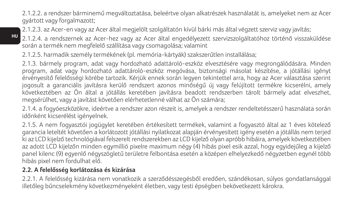2.1.2.2. a rendszer bárminemű megváltoztatása, beleértve olyan alkatrészek használatát is, amelyeket nem az Acer gyártott vagy forgalmazott;

2.1.2.3. az Acer-en vagy az Acer által megjelölt szolgáltatón kívül bárki más által végzett szerviz vagy javítás;

2.1.2.4. a rendszernek az Acer-hez vagy az Acer által engedélyezett szervizszolgáltatóhoz történő visszaküldése során a termék nem megfelelő szállítása vagy csomagolása; valamint

2.1.2.5. harmadik személy termékének (pl. memória-kártyák) szakszerűtlen installálása;

2.1.3. bármely program, adat vagy hordozható adattároló-eszköz elvesztésére vagy megrongálódására. Minden program, adat vagy hordozható adattároló-eszköz megóvása, biztonsági másolat készítése, a jótállási igényt érvényesítő felelősségi körébe tartozik. Kérjük ennek során legyen tekintettel arra, hogy az Acer választása szerint jogosult a garanciális javításra kerülő rendszert azonos minőségű új vagy felújított termékre kicserélni, amely következtében az Ön által a jótállás keretében javításra beadott rendszerben tárolt bármely adat elveszhet, megsérülhet, vagy a javítást követően elérhetetlenné válhat az Ön számára;

2.1.4. a fogyóeszközökre, ideértve a rendszer azon részeit is, amelyek a rendszer rendeltetésszerű használata során időnként kicserélést igényelnek.

2.1.5. A nem fogyasztói jogügylet keretében értékesített termékek, valamint a fogyasztó által az 1 éves kötelező garancia leteltét követően a korlátozott jótállási nyilatkozat alapján érvényesített igény esetén a jótállás nem terjed ki az LCD kijelző technológiával felszerelt rendszerekben az LCD kijelző olyan apróbb hibáira, amelyek következtében az adott LCD kijelzőn minden egymillió pixelre maximum négy (4) hibás pixel esik azzal, hogy egyidejűleg a kijelző panel kilenc (9) egyenlő négyszögletű területre felbontása esetén a középen elhelyezkedő négyzetben egynél több hibás pixel nem fordulhat elő.

### **2.2. A felelősség korlátozása és kizárása**

**HU**

2.2.1. A felelősség kizárása nem vonatkozik a szerződésszegésből eredően, szándékosan, súlyos gondatlansággal illetőleg bűncselekmény következményeként életben, vagy testi épségben bekövetkezett károkra.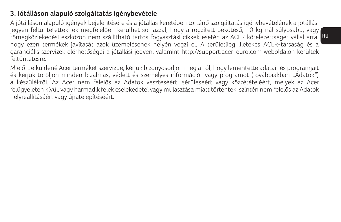### **3. Jótálláson alapuló szolgáltatás igénybevétele**

tömegközlekedési eszközön nem szállítható tartós fogyasztási cikkek esetén az ACER kötelezettséget vállal arra, <mark>H</mark> A jótálláson alapuló igények bejelentésére és a jótállás keretében történő szolgáltatás igénybevételének a jótállási jegyen feltüntetetteknek megfelelően kerülhet sor azzal, hogy a rögzített bekötésű, 10 kg-nál súlyosabb, vagy hogy ezen termékek javítását azok üzemelésének helyén végzi el. A területileg illetékes ACER-társaság és a garanciális szervizek elérhetőségei a jótállási jegyen, valamint http://support.acer-euro.com weboldalon kerültek feltüntetésre.

Mielőtt elküldené Acer termékét szervizbe, kérjük bizonyosodjon meg arról, hogy lementette adatait és programjait és kérjük töröljön minden bizalmas, védett és személyes információt vagy programot (továbbiakban "Ádatok") a készülékről. Az Acer nem felelős az Adatok vesztéséért, sérüléséért vagy közzétételéért, melyek az Acer felügyeletén kívül, vagy harmadik felek cselekedetei vagy mulasztása miatt történtek, szintén nem felelős az Adatok helyreállításáért vagy újratelepítéséért.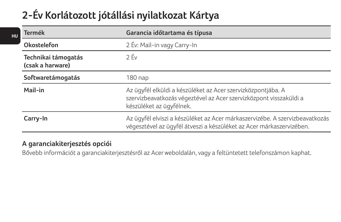# **2-Év Korlátozott jótállási nyilatkozat Kártya**

| <b>Termék</b>                           | Garancia időtartama és típusa                                                                                                                                  |
|-----------------------------------------|----------------------------------------------------------------------------------------------------------------------------------------------------------------|
| Okostelefon                             | 2 Év: Mail-in vagy Carry-In                                                                                                                                    |
| Technikai támogatás<br>(csak a harware) | 2 Év                                                                                                                                                           |
| Softwaretámogatás                       | 180 nap                                                                                                                                                        |
| Mail-in                                 | Az ügyfél elküldi a készüléket az Acer szervizközpontjába. A<br>szervizbeavatkozás végeztével az Acer szervizközpont visszaküldi a<br>készüléket az ügyfélnek. |
| Carry-In                                | Az ügyfél elviszi a készüléket az Acer márkaszervizébe. A szervizbeavatkozás<br>végesztével az ügyfél átveszi a készüléket az Acer márkaszervizében.           |
|                                         |                                                                                                                                                                |

### **A garanciakiterjesztés opciói**

**HU**

Bővebb információt a garanciakiterjesztésről az Acer weboldalán, vagy a feltüntetett telefonszámon kaphat.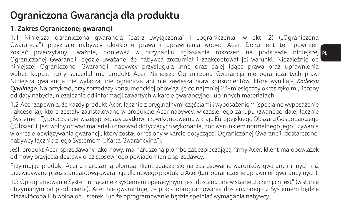## **Ograniczona Gwarancja dla produktu**

## **1. Zakres Ograniczonej gwarancji**

zostać przeczytany uważnie, ponieważ w przypadku zgłaszania roszczeń na podstawie niniejszej <sub>PL</sub> 1.1 Niniejsza ograniczona gwarancja (patrz "wyłączenia" i "ograniczenia" w pkt. 2) ("Ograniczona Gwarancja") przyznaje nabywcy określone prawa i uprawnienia wobec Acer. Dokument ten powinien Ograniczonej Gwarancji, będzie uważane, że nabywca zrozumiał i zaakceptował jej warunki. Niezależnie od niniejszej Ograniczonej Gwarancji, nabywcy przysługują inne oraz dalej idące prawa oraz uprawnienia wobec kupca, który sprzedał mu produkt Acer. Niniejsza Ograniczona Gwarancja nie ogranicza tych praw. Niniejsza gwarancja nie wyłącza, nie ogranicza ani nie zawiesza praw konsumentów, które wynikają *Kodeksu Cywilnego*. Na przykład, przy sprzedaży konsumenckiej obowiązuje co najmniej 24-miesięczny okres rękojmi, liczony od daty nabycia, niezależnie od informacji zawartych w karcie gwarancyjnej lub innych materiałach.

1.2 Acer zapewnia, że każdy produkt Acer, łącznie z oryginalnymi częściami i wyposażeniem (specjalne wyposażenie i akcesoria), które zostały zainstalowane w produkcie Acer nabywcy, w czasie jego zakupu (zwanego dalej łącznie "Systemem"), podczas pierwszej sprzedaży użytkownikowi końcowemu w kraju Europejskiego Obszaru Gospodarczego ("Obszar"), jest wolny od wad materiału oraz wad dotyczących wykonania, pod warunkiem normalnego jego używania w okresie obwiązywania gwarancji, który został określony w karcie dotyczącej Ograniczonej Gwarancji, dostarczonej nabywcy łącznie z jego Systemem ("Karta Gwarancyjna").

Jeśli produkt Acer, sprzedawany jako nowy, ma naruszoną plombę zabezpieczającą firmy Acer, klient ma obowiązek odmowy przyjęcia dostawy oraz stosownego powiadomienia sprzedawcy.

Przyjmując produkt Acer z naruszoną plombą klient zgadza się na zastosowanie warunków gwarancji innych niż przewidywane przez standardową gwarancję dla nowego produktu Acer (tzn. ograniczenie uprawnień gwarancyjnych).

1.3 Oprogramowanie Systemu, łącznie z systemem operacyjnym, jest dostarczone w stanie "takim jaki jest" (w stanie otrzymanym od producenta). Acer nie gwarantuje, że praca oprogramowania dostarczonego z Systemem będzie niezakłócona lub wolna od usterek, lub że oprogramowanie będzie spełniać wymagania nabywcy.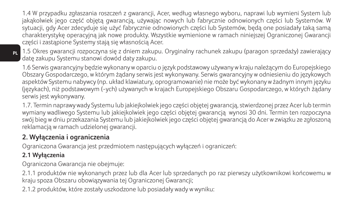1.4 W przypadku zgłaszania roszczeń z gwarancji, Acer, według własnego wyboru, naprawi lub wymieni System lub jakąkolwiek jego część objętą gwarancją, używając nowych lub fabrycznie odnowionych części lub Systemów. W sytuacji, gdy Acer zdecyduje się użyć fabrycznie odnowionych części lub Systemów, będą one posiadały taką samą charakterystykę operacyjną jak nowe produkty. Wszystkie wymienione w ramach niniejszej Ograniczonej Gwarancji części i zastąpione Systemy stają się własnością Acer.

1.5 Okres gwarancji rozpoczyna się z dniem zakupu. Oryginalny rachunek zakupu (paragon sprzedaży) zawierający datę zakupu Systemu stanowi dowód daty zakupu.

1.6 Serwis gwarancyjny będzie wykonany w oparciu o język podstawowy używany w kraju należącym do Europejskiego Obszary Gospodarczego, w którym żądany serwis jest wykonywany. Serwis gwarancyjny w odniesieniu do językowych aspektów Systemu nabywcy (np. układ klawiatury, oprogramowanie) nie może być wykonany w żadnym innym języku (językach), niż podstawowym (-ych) używanych w krajach Europejskiego Obszaru Gospodarczego, w których żądany serwis jest wykonywany.

1.7. Termin naprawy wady Systemu lub jakiejkolwiek jego części objętej gwarancją, stwierdzonej przez Acer lub termin wymiany wadliwego Systemu lub jakiejkolwiek jego części objętej gwarancją wynosi 30 dni. Termin ten rozpoczyna swój bieg w dniu przekazania Systemu lub jakiejkolwiek jego części objętej gwarancją do Acer w związku ze zgłoszoną reklamacją w ramach udzielonej gwarancji.

## **2. Wyłączenia i ograniczenia**

Ograniczona Gwarancja jest przedmiotem następujących wyłączeń i ograniczeń:

## **2.1 Wyłączenia**

Ograniczona Gwarancja nie obejmuje:

2.1.1 produktów nie wykonanych przez lub dla Acer lub sprzedanych po raz pierwszy użytkownikowi końcowemu w kraju spoza Obszaru obowiązywania tej Ograniczonej Gwarancji;

2.1.2 produktów, które zostały uszkodzone lub posiadały wady w wyniku: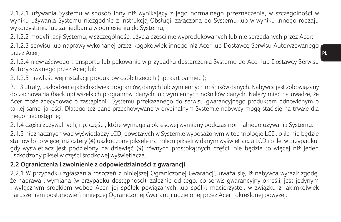2.1.2.1 używania Systemu w sposób inny niż wynikający z jego normalnego przeznaczenia, w szczególności w wyniku używania Systemu niezgodnie z Instrukcją Obsługi, załączoną do Systemu lub w wyniku innego rodzaju wykorzystania lub zaniedbania w odniesieniu do Systemu;

2.1.2.2 modyfikacji Systemu, w szczególności użycia części nie wyprodukowanych lub nie sprzedanych przez Acer;

2.1.2.3 serwisu lub naprawy wykonanej przez kogokolwiek innego niż Acer lub Dostawcę Serwisu Autoryzowanego przez Acer;

2.1.2.4 niewłaściwego transportu lub pakowania w przypadku dostarczenia Systemu do Acer lub Dostawcy Serwisu Autoryzowanego przez Acer; lub

2.1.2.5 niewłaściwej instalacji produktów osób trzecich (np. kart pamięci);

2.1.3 utraty, uszkodzenia jakichkolwiek programów, danych lub wymiennych nośników danych. Nabywca jest zobowiązany do zachowania (back up) wszelkich programów, danych lub wymiennych nośników danych. Należy mieć na uwadze, że Acer może zdecydować o zastąpieniu Systemu przekazanego do serwisu gwarancyjnego produktem odnowionym o takiej samej jakości. Dlatego też dane przechowywane w oryginalnym Systemie nabywcy mogą stać się na trwałe dla niego niedostępne;

2.1.4 części zużywalnych, np. części, które wymagają okresowej wymiany podczas normalnego używania Systemu.

2.1.5 nieznacznych wad wyświetlaczy LCD, powstałych w Systemie wyposażonym w technologię LCD, o ile nie będzie stanowiło to więcej niż cztery (4) uszkodzone piksele na milion pikseli w danym wyświetlaczu LCD i o ile, w przypadku, gdy wyświetlacz jest podzielony na dziewięć (9) równych prostokątnych części, nie będzie to więcej niż jeden uszkodzony piksel w części środkowej wyświetlacza.

### **2.2 Ograniczenia i zwolnienie z odpowiedzialności z gwarancji**

2.2.1 W przypadku zgłaszania roszczeń z niniejszej Ograniczonej Gwarancji, uważa się, iż nabywca wyraził zgodę, że naprawa i wymiana (w przypadku dostępności), zależnie od tego, co serwis gwarancyjny określi, jest jedynym i wyłącznym środkiem wobec Acer, jej spółek powiązanych lub spółki macierzystej, w związku z jakimkolwiek naruszeniem postanowień niniejszej Ograniczonej Gwarancji udzielonej przez Acer i określonej powyżej.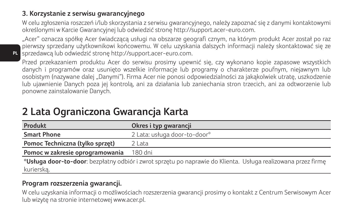### **3. Korzystanie z serwisu gwarancyjnego**

W celu zgłoszenia roszczeń i/lub skorzystania z serwisu gwarancyjnego, należy zapoznać się z danymi kontaktowymi określonymi w Karcie Gwarancyjnej lub odwiedzić stronę http://support.acer-euro.com.

**PL** sprzedawcą lub odwiedzić stronę http://support.acer-euro.com. "Acer" oznacza spółkę Acer świadczącą usługi na obszarze geografi cznym, na którym produkt Acer został po raz pierwszy sprzedany użytkownikowi końcowemu. W celu uzyskania dalszych informacji należy skontaktować się ze

Przed przekazaniem produktu Acer do serwisu prosimy upewnić się, czy wykonano kopie zapasowe wszystkich danych i programów oraz usunięto wszelkie informacje lub programy o charakterze poufnym, niejawnym lub osobistym (nazywane dalej "Danymi"). Firma Acer nie ponosi odpowiedzialności za jakąkolwiek utratę, uszkodzenie lub ujawnienie Danych poza jej kontrolą, ani za działania lub zaniechania stron trzecich, ani za odtworzenie lub ponowne zainstalowanie Danych.

| Produkt                                                                                                       | Okres i typ gwarancji        |
|---------------------------------------------------------------------------------------------------------------|------------------------------|
| <b>Smart Phone</b>                                                                                            | 2 Lata: usługa door-to-door* |
| Pomoc Techniczna (tylko sprzet)                                                                               | 2 Lata                       |
| Pomoc w zakresie oprogramowania                                                                               | 180 dni                      |
| *Usługa door-to-door: bezpłatny odbiór i zwrot sprzętu po naprawie do Klienta. Usługa realizowana przez firmę |                              |
| kurierska.                                                                                                    |                              |

## **2 Lata Ograniczona Gwarancja Karta**

### **Program rozszerzenia gwarancji.**

W celu uzyskania informacji o możliwościach rozszerzenia gwarancji prosimy o kontakt z Centrum Serwisowym Acer lub wizytę na stronie internetowej www.acer.pl.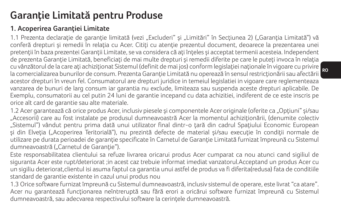## **Garanţie Limitată pentru Produse**

## **1. Acoperirea Garanţiei Limitate**

1.1 Prezenta declarație de garanție limitată (vezi "Excluderi" și "Limitări" în Secțiunea 2) ("Garanția Limitată") vă conferă drepturi și remedii în relația cu Acer. Citiți cu atenție prezentul document, deoarece la prezentarea unei pretenții în baza prezentei Garanții Limitate, se va considera că ați înțeles și acceptat termenii acesteia. Independent de prezenta Garantie Limitată, beneficiați de mai multe drepturi și remedii diferite pe care le puteți invoca în relația cu vânzătorul de la care ați achiziționat Sistemul (definit de mai jos) conform legislației naționale în vigoare cu privire la comercializarea bunurilor de consum. Prezenta Garanție Limitată nu operează în sensul restricționării sau afectării acestor drepturi în vreun fel. Consumatorul are drepturi juridice in temeiul legislatiei in vigoare care reglementeaza vanzarea de bunuri de larg consum iar garantia nu exclude, limiteaza sau suspenda aceste drepturi aplicabile. De Exemplu, consumatorii au cel putin 24 luni de garantie incepand cu data achizitiei, indiferent de ce este inscris pe orice alt card de garantie sau alte materiale.

1.2 Acer garantează că orice produs Acer, inclusiv piesele și componentele Acer originale (oferite ca "Optiuni" și/sau "Accesorii) care au fost instalate pe produsul dumneavoastră Acer la momentul achiziţionării, (denumite colectiv "Sistemul") vândut pentru prima dată unui utilizator final dintr-o tară din cadrul Spatiului Economic European si din Elveția ("Acoperirea Teritorială"), nu prezintă defecte de material și/sau execuție în condiții normale de utilizare pe durata perioadei de garanție specificate în Carnetul de Garanție Limitată furnizat împreună cu Sistemul dumneavoastră ("Carnetul de Garanție").

Este responsabilitatea clientului sa refuze livrarea oricarui produs Acer cumparat ca nou atunci cand sigiliul de siguranta Acer este rupt/deteriorat ;in acest caz trebuie informat imediat vanzatorul.Acceptand un produs Acer cu un sigiliu deteriorat,clientul isi asuma faptul ca garantia unui astfel de produs va fi diferita(redusa) fata de conditiile standard de garantie existente in cazul unui produs nou

1.3 Orice software furnizat împreună cu Sistemul dumneavoastră, inclusiv sistemul de operare, este livrat "ca atare". Acer nu garantează funcționarea neîntreruptă sau fără erori a oricărui software furnizat împreună cu Sistemul dumneavoastră, sau adecvarea respectivului software la cerinţele dumneavoastră.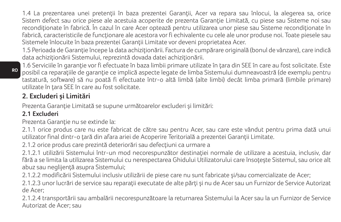1.4 La prezentarea unei pretenții în baza prezentei Garanții, Acer va repara sau înlocui, la alegerea sa, orice Sistem defect sau orice piese ale acestuia acoperite de prezenta Garantie Limitată, cu piese sau Sisteme noi sau reconditionate în fabrică. În cazul în care Acer optează pentru utilizarea unor piese sau Sisteme reconditionate în fabrică, caracteristicile de funcționare ale acestora vor fi echivalente cu cele ale unor produse noi. Toate piesele sau Sistemele înlocuite în baza prezentei Garanții Limitate vor deveni proprietatea Acer.

1.5 Perioada de Garanție începe la data achiziționării. Factura de cumpărare originală (bonul de vânzare), care indică data achizitionării Sistemului, reprezintă dovada datei achizitionării.

1.6 Serviciile în garanţie vor fi efectuate în baza limbii primare utilizate în ţara din SEE în care au fost solicitate. Este posibil ca reparaţiile de garanţie ce implică aspecte legate de limba Sistemului dumneavoastră (de exemplu pentru tastatură, software) să nu poată fi efectuate într-o altă limbă (alte limbi) decât limba primară (limbile primare) utilizate în tara SEE în care au fost solicitate.

## **2. Excluderi şi Limitări**

Prezenta Garanţie Limitată se supune următoarelor excluderi şi limitări:

### **2.1 Excluderi**

Prezenta Garantie nu se extinde la:

2.1.1 orice produs care nu este fabricat de către sau pentru Acer, sau care este vândut pentru prima dată unui utilizator final dintr-o tară din afara ariei de Acoperire Teritorială a prezentei Garanții Limitate.

2.1.2 orice produs care prezintă deteriorări sau defecțiuni ca urmare a

2.1.2.1 utilizării Sistemului într-un mod necorespunzător destinaţiei normale de utilizare a acestuia, inclusiv, dar fără a se limita la utilizarea Sistemului cu nerespectarea Ghidului Utilizatorului care însotește Sistemul, sau orice alt abuz sau neglijenţă asupra Sistemului;

2.1.2.2 modificării Sistemului inclusiv utilizării de piese care nu sunt fabricate şi/sau comercializate de Acer;

2.1.2.3 unor lucrări de service sau reparații executate de alte părți și nu de Acer sau un Furnizor de Service Autorizat de Acer;

2.1.2.4 transportării sau ambalării necorespunzătoare la returnarea Sistemului la Acer sau la un Furnizor de Service Autorizat de Acer; sau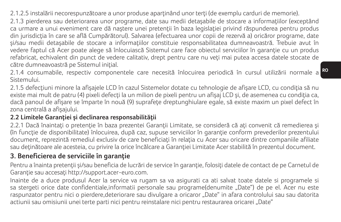2.1.2.5 instalării necorespunzătoare a unor produse aparţinând unor terţi (de exemplu carduri de memorie).

2.1.3 pierderea sau deteriorarea unor programe, date sau medii detasabile de stocare a informatiilor (exceptând ca urmare a unui eveniment care dă naștere unei pretenții în baza legislației privind răspunderea pentru produs din jurisdicția în care se află Cumpărătorul). Salvarea (efectuarea unor copii de rezervă a) oricăror programe, date si/sau medii detasabile de stocare a informatiilor constituie responsabilitatea dumneavoastră. Trebuie avut în vedere faptul că Acer poate alege să înlocuiască Sistemul care face obiectul serviciilor în garanţie cu un produs refabricat, echivalent din punct de vedere calitativ, drept pentru care nu veti mai putea accesa datele stocate de către dumneavoastră pe Sistemul inițial.

2.1.4 consumabile, respectiv componentele care necesită înlocuirea periodică în cursul utilizării normale a <sup>ko</sup> Sistemului.

2.1.5 defecţiuni minore la afişajele LCD în cazul Sistemelor dotate cu tehnologie de afişare LCD, cu condiţia să nu existe mai mult de patru (4) pixeli defecți la un milion de pixeli pentru un afișaj LCD și, de asemenea cu condiția ca, dacă panoul de afişare se împarte în nouă (9) suprafeţe dreptunghiulare egale, să existe maxim un pixel defect în zona centrală a afişajului.

### **2.2 Limitele Garanţiei şi declinarea responsabilităţii**

2.2.1 Dacă înaintaţi o pretenţie în baza prezentei Garanţii Limitate, se consideră că aţi convenit că remedierea şi (în funcție de disponibilitate) înlocuirea, după caz, supuse serviciilor în garanție conform prevederilor prezentului document, reprezintă remediul exclusiv de care beneficiați în relația cu Acer sau oricare dintre companiile afiliate sau deţinătoare ale acesteia, cu privire la orice încălcare a Garanţiei Limitate Acer stabilită în prezentul document.

### **3. Beneficierea de serviciile în garanţie**

Pentru a înainta pretenții și/sau beneficia de lucrări de service în garanție, folosiți datele de contact de pe Carnetul de Garanţie sau accesaţi http://support.acer-euro.com.

Inainte de a duce produsul Acer la service va rugam sa va asigurati ca ati salvat toate datele si programele si sa stergeti orice date confidentiale,informatii personale sau programe(denumite "Date") de pe el. Acer nu este raspunzator pentru nici o pierdere,deteriorare sau divulgare a oricaror "Date" in afara controlului sau sau datorita actiunii sau omisiunii unei terte parti nici pentru reinstalare nici pentru restaurarea oricarei "Date"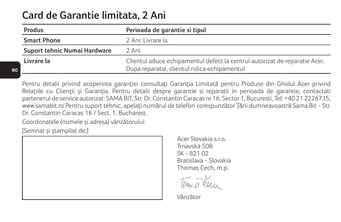## **Card de Garantie limitata, 2 Ani**

| Produs                       | Perioada de garantie si tipul                                                                                              |
|------------------------------|----------------------------------------------------------------------------------------------------------------------------|
| <b>Smart Phone</b>           | 2 Ani: Livrare la                                                                                                          |
| Suport tehnic Numai Hardware | 2 Ani                                                                                                                      |
| Livrare la                   | Clientul aduce echipamentul defect la centrul autorizat de reparatie Acer.<br>Dupa reparatie, clientul ridica echipamentul |

Pentru detalii privind acoperirea garanției consultați Garanția Limitată pentru Produse din Ghidul Acer privind Relatiile cu Clienții și Garanția. Pentru detalii despre garanție și reparații in perioada de garanție, contactati partenerul de service autorizat: SAMA BIT, Str. Dr. Constantin Caracas nr 16, Sector 1, Bucuresti, Tel: +40 21 2226735, www.samabit.ro Pentru suport tehnic, apelaţi numărul de telefon corespunzător Ţării dumneavoastră Sama Bit - Str. Dr. Constantin Caracas 16 / Sect. 1, Bucharest.

Coordonatele (numele şi adresa) vânzătorului:

[Semnat şi ştampilat de:]

Acer Slovakia s.r.o. Trnavská 50B SK - 821.02 Bratislava - Slovakia Thomas Cech, m.p.

Vânzător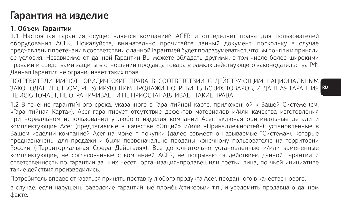## **Гарантия на изделие**

### **1. Объем Гарантии**

1.1 Настоящая гарантия осуществляется компанией ACER и определяет права для пользователей оборудования ACER. Пожалуйста, внимательно прочитайте данный документ, поскольку в случае предъявления претензии в соответствии с данной Гарантией будет подразумеваться, что Вы поняли и приняли ее условия. Независимо от данной Гарантии Вы можете обладать другими, в том числе более широкими правами и средствами защиты в отношении продавца товара в рамках действующего законодательства РФ. Данная Гарантия не ограничивает таких прав.

ЗАКОНОДАТЕЛЬСТВОМ, РЕГУЛИРУЮЩИМ ПРОДАЖИ ПОТРЕБИТЕЛЬСКИХ ТОВАРОВ, И ДАННАЯ ГАРАНТИЯ <mark>В</mark> ПОТРЕБИТЕЛИ ИМЕЮТ ЮРИДИЧЕСКИЕ ПРАВА В СООТВЕТСТВИИ С ДЕЙСТВУЮЩИМ НАЦИОНАЛЬНЫМ НЕ ИСКЛЮЧАЕТ, НЕ ОГРАНИЧИВАЕТ И НЕ ПРИОСТАНАВЛИВАЕТ ТАКИЕ ПРАВА.

1.2 В течение гарантийного срока, указанного в Гарантийной карте, приложенной к Вашей Системе (см. «Гарантийная Карта»), Acer гарантирует отсутствие дефектов материалов и/или качества изготовления при нормальном использовании у любого изделия компании Acer, включая оригинальные детали и комплектующие Acer (предлагаемые в качестве «Опций» и/или «Принадлежностей»), установленные в Вашем изделии компанией Acer на момент покупки (далее совместно называемые "Система»), которые предназначены для продажи и были первоначально проданы конечному пользователю на территории России («Территориальная Сфера Действия»). Все дополнительно установленные и/или замененные комплектующие, не согласованные с компанией ACER, не покрываются действием данной гарантии и ответственность по гарантии за них несет организация-продавец или третьи лица, по чьей инициативе такие действия производились.

Потребитель вправе отказаться принять поставку любого продукта Acer, проданного в качестве нового,

в случае, если нарушены заводские гарантийные пломбы/стикеры/и т.п., и уведомить продавца о данном факте.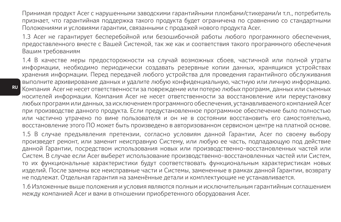Принимая продукт Acer с нарушенными заводскими гарантийными пломбами/стикерами/и т.п., потребитель признает, что гарантийная поддержка такого продукта будет ограничена по сравнению со стандартными Положениями и условиями гарантии, связанными с продажей нового продукта Acer.

1.3 Acer не гарантирует бесперебойной или безошибочной работы любого программного обеспечения, предоставленного вместе с Вашей Системой, так же как и соответствия такого программного обеспечения Вашим требованиям

1.4 В качестве меры предосторожности на случай возможных сбоев, частичной или полной утраты информации, необходимо периодически создавать резервные копии данных, хранящихся устройствах хранения информации. Перед передачей любого устройства для проведения гарантийного обслуживания выполните архивирование данных и удалите любую конфиденциальную, частную или личную информацию. Компания Acer не несет ответственности за повреждение или потерю любых программ, данных или съемных носителей информации. Компания Acer не несет ответственности за восстановление или переустановку любых программ или данных, за исключением программного обеспечения, устанавливаемого компанией Acer при производстве данного продукта. Если предустановленное программное обеспечение было полностью или частично утрачено по вине пользователя и он не в состоянии восстановить его самостоятельно, восстановление этого ПО может быть произведено в авторизованном сервисном центре на платной основе.

1.5 В случае предъявления претензии, согласно условиям данной Гарантии, Acer по своему выбору произведет ремонт, или заменит неисправную Систему, или любую ее часть, подпадающую под действие данной Гарантии, посредством использования новых или производственно-восстановленных частей или Систем. В случае если Acer выберет использование производственно-восстановленных частей или Систем, то их функциональные характеристики будут соответствовать функциональным характеристикам новых изделий. После замены все неисправные части и Системы, замененные в рамках данной Гарантии, возврату не подлежат. Отдельная гарантия на заменённые детали и комплектующие не устанавливается.

1.6 Изложенные выше положения и условия являются полным и исключительным гарантийным соглашением между компанией Acer и вами в отношении приобретенного оборудования Acer.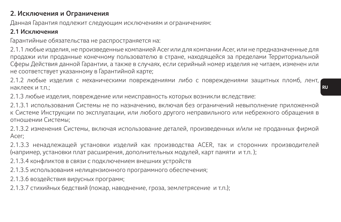### **2. Исключения и Ограничения**

Данная Гарантия подлежит следующим исключениям и ограничениям:

#### **2.1 Исключения**

Гарантийные обязательства не распространяется на:

2.1.1 любые изделия, не произведенные компанией Acer или для компании Acer, или не предназначенные для продажи или проданные конечному пользователю в стране, находящейся за пределами Территориальной Сферы Действия данной Гарантии, а также в случаях, если серийный номер изделия не читаем, изменен или не соответствует указанному в Гарантийной карте;

2.1.2 любые изделия с механическими повреждениями либо с повреждениями защитных пломб, лент, наклеек и т.п.;

2.1.3 любые изделия, повреждение или неисправность которых возникли вследствие:

2.1.3.1 использования Системы не по назначению, включая без ограничений невыполнение приложенной к Системе Инструкции по эксплуатации, или любого другого неправильного или небрежного обращения в отношении Системы;

2.1.3.2 изменения Системы, включая использование деталей, произведенных и/или не проданных фирмой Acer;

2.1.3.3 ненадлежащей установки изделий как производства ACER, так и сторонних производителей (например, установки плат расширения, дополнительных модулей, карт памяти и т.п. );

2.1.3.4 конфликтов в связи с подключением внешних устройств

2.1.3.5 использования нелицензионного программного обеспечения;

2.1.3.6 воздействия вирусных программ;

2.1.3.7 стихийных бедствий (пожар, наводнение, гроза, землетрясение и т.п.);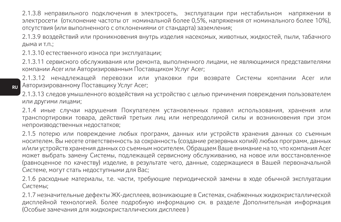2.1.3.8 неправильного подключения в электросеть, эксплуатации при нестабильном напряжении в электросети (отклонение частоты от номинальной более 0,5%, напряжения от номинального более 10%), отсутствия (или выполненного с отклонениями от стандарта) заземления;

2.1.3.9 воздействий или проникновения внутрь изделия насекомых, животных, жидкостей, пыли, табачного дыма и т.п.;

2.1.3.10 естественного износа при эксплуатации;

2.1.3.11 сервисного обслуживания или ремонта, выполненного лицами, не являющимися представителями компании Acer или Авторизированным Поставщиком Услуг Acer;

2.1.3.12 ненадлежащей перевозки или упаковки при возврате Системы компании Acer или Авторизированному Поставщику Услуг Acer;

2.1.3.13 следов умышленного воздействия на устройство с целью причинения повреждения пользователем или другими лицами;

2.1.4 иные случаи нарушения Покупателем установленных правил использования, хранения или транспортировки товара, действий третьих лиц или непреодолимой силы и возникновения при этом непроизводственных недостатков;

2.1.5 потерю или повреждение любых программ, данных или устройств хранения данных со съемным носителем. Вы несете ответственность за сохранность (создание резервных копий) любых программ, данных и/или устройств хранения данных со съемным носителем. Обращаем Ваше внимание на то, что компания Acer может выбрать замену Системы, подлежащей сервисному обслуживанию, на новое или восстановленное (равноценное по качеству) изделие, в результате чего, данные, содержащиеся в Вашей первоначальной Системе, могут стать недоступными для Вас;

2.1.6 расходные материалы, т.е. части, требующие периодической замены в ходе обычной эксплуатации Системы;

2.1.7 незначительные дефекты ЖК-дисплеев, возникающие в Системах, снабженных жидкокристаллической дисплейной технологией. Более подробную информацию см. в разделе Дополнительная информация (Особые замечания для жидкокристаллических дисплеев )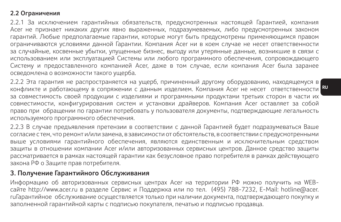#### **2.2 Ограничения**

2.2.1 За исключением гарантийных обязательств, предусмотренных настоящей Гарантией, компания Acer не признает никаких других явно выраженных, подразумеваемых, либо предусмотренных законом гарантий. Любые предполагаемые гарантии, которые могут быть предусмотрены применяющимся правом ограничиваются условиями данной Гарантии. Компания Acer ни в коем случае не несет ответственности за случайные, косвенные убытки, упущенные бизнес, выгоду или утерянные данные, возникшие в связи с использованием или эксплуатацией Системы или любого программного обеспечения, сопровождающего Систему и предоставленного компанией Acer, даже в том случае, если компания Acer была заранее осведомлена о возможности такого ущерба.

конфликте и работающему в сопряжении с данным изделием. Компания Acer не несет ответственности <mark>RU</mark> 2.2.2 Эта гарантия не распространяется на ущерб, причиненный другому оборудованию, находящемуся в за совместимость своей продукции с изделиями и программными продуктами третьих сторон в части их совместимости, конфигурирования систем и установки драйверов. Компания Acer оставляет за собой право при обращении по гарантии потребовать у пользователя документы, подтверждающие легальность используемого программного обеспечения.

2.2.3 В случае предъявления претензии в соответствии с данной Гарантией будет подразумеваться Ваше согласие с тем, что ремонт и/или замена, в зависимости от обстоятельств, в соответствии с предусмотренными выше условиями гарантийного обеспечения, являются единственным и исключительным средством защиты в отношении компании Acer и/или авторизованных сервисных центров. Данное средство защиты рассматривается в рамках настоящей гарантии как безусловное право потребителя в рамках действующего закона РФ о Защите прав потребителя.

### **3. Получение Гарантийного Обслуживания**

Информацию об авторизованных сервисных центрах Acer на территории РФ можно получить на WEBсайте http://www.acer.ru в разделе Сервис и Поддержка или по тел. (495) 788-7232, E-Mail: hotline@acer. ruГарантийное обслуживание осуществляется только при наличии документа, подтверждающего покупку и заполненной гарантийной карты с подписью покупателя, печатью и подписью продавца.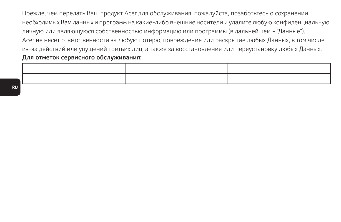Прежде, чем передать Ваш продукт Acer для обслуживания, пожалуйста, позаботьтесь о сохранении необходимых Вам данных и программ на какие-либо внешние носители и удалите любую конфиденциальную, личную или являющуюся собственностью информацию или программы (в дальнейшем - "Данные"). Acer не несет ответственности за любую потерю, повреждение или раскрытие любых Данных, в том числе из-за действий или упущений третьих лиц, а также за восстановление или переустановку любых Данных. **Для отметок сервисного обслуживания:**

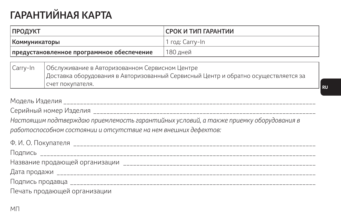# **ГАРАНТИЙНАЯ КАРТА**

| <b>ПРОДУКТ</b>                            |                                                | СРОК И ТИП ГАРАНТИИ |
|-------------------------------------------|------------------------------------------------|---------------------|
| Коммуникаторы                             |                                                | 1 год: Carry-In     |
| предустановленное программное обеспечение |                                                | 180 дней            |
|                                           |                                                |                     |
| l Carry-In                                | Обслуживание в Авторизованном Сервисном Пентре |                     |

Carry-In Обслуживание в Авторизованном Сервисном Центре Доставка оборудования в Авторизованный Сервисный Центр и обратно осуществляется за счет покупателя.

Модель Изделия и поставлять поддерживать на продукта на том на том на том на том на том на том на том на том н

Серийный номер Изделия \_\_\_\_\_\_\_\_\_\_\_\_\_\_\_\_\_\_\_\_\_\_\_\_\_\_\_\_\_\_\_\_\_\_\_\_\_\_\_\_\_\_\_\_\_\_\_\_\_\_\_\_\_\_\_\_\_\_\_\_\_\_\_\_\_\_\_ *Настоящим подтверждаю приемлемость гарантийных условий, а также приемку оборудования в работоспособном состоянии и отсутствие на нем внешних дефектов:*

| Ф. И. О. Покупателя          |  |
|------------------------------|--|
|                              |  |
|                              |  |
|                              |  |
|                              |  |
| Печать продающей организации |  |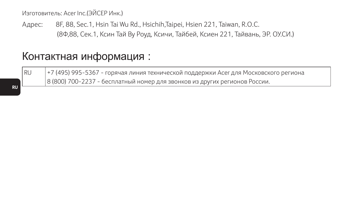Изготовитель: Acer Inc.(ЭЙСЕР Инк.)

Адрес: 8F, 88, Sec.1, Hsin Tai Wu Rd., Hsichih,Taipei, Hsien 221, Taiwan, R.O.C. (8Ф,88, Сек.1, Ксин Тай Ву Роуд, Ксичи, Тайбей, Ксиен 221, Тайвань, ЭР. ОУ.СИ.)

## Контактная информация :

RU +7 (495) 995-5367 - горячая линия технической поддержки Acer для Московского региона 8 (800) 700-2237 - бесплатный номер для звонков из других регионов России.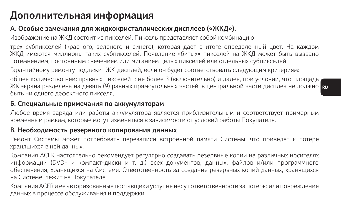## **Дополнительная информация**

### **А. Особые замечания для жидкокристаллических дисплеев («ЖКД»).**

Изображение на ЖКД состоит из пикселей. Пиксель представляет собой комбинацию

трех субпикселей (красного, зеленого и синего), которая дает в итоге определенный цвет. На каждом ЖКД имеются миллионы таких субпикселей. Появление «битых» пикселей на ЖКД может быть вызвано потемнением, постоянным свечением или миганием целых пикселей или отдельных субпикселей.

Гарантийному ремонту подлежит ЖК-дисплей, если он будет соответствовать следующим критериям:

ЖК экрана разделена на девять (9) равных прямоугольных частей, в центральной части дисплея не должно <mark>п</mark> общее количество неисправных пикселей : не более 3 (включительно) и далее, при условии, что площадь быть ни одного дефектного пикселя.

### **Б. Специальные примечания по аккумуляторам**

Любое время заряда или работы аккумулятора является приблизительным и соответствует примерным временным рамкам, которые могут изменяться в зависимости от условий работы Покупателя.

### **В. Необходимость резервного копирования данных**

Ремонт Системы может потребовать перезаписи встроенной памяти Системы, что приведет к потере хранящихся в ней данных.

Компания ACER настоятельно рекомендует регулярно создавать резервные копии на различных носителях информации (DVD- и компакт-диски и т. д.) всех документов, данных, файлов и/или программного обеспечения, хранящихся на Системе. Ответственность за создание резервных копий данных, хранящихся на Системе, лежит на Покупателе.

Компания ACER и ее авторизованные поставщики услуг не несут ответственности за потерю или повреждение данных в процессе обслуживания и поддержки.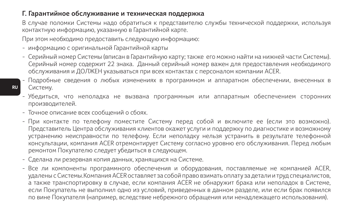### **Г. Гарантийное обслуживание и техническая поддержка**

В случае поломки Системы надо обратиться к представителю службы технической поддержки, используя контактную информацию, указанную в Гарантийной карте.

При этом необходимо предоставить следующую информацию:

- информацию с оригинальной Гарантийной карты
- Серийный номер Системы (вписан в Гарантийную карту; также его можно найти на нижней части Системы). Серийный номер содержит 22 знака. Данный серийный номер важен для предоставления необходимого обслуживания и ДОЛЖЕН указываться при всех контактах с персоналом компании ACER.
- Подробные сведения о любых изменениях в программном и аппаратном обеспечении, внесенных в Систему.
- Убедиться, что неполадка не вызвана программным или аппаратным обеспечением сторонних производителей.
- Точное описание всех сообщений о сбоях.
- При контакте по телефону поместите Систему перед собой и включите ее (если это возможно). Представитель Центра обслуживания клиентов окажет услуги и поддержку по диагностике и возможному устранению неисправности по телефону. Если неполадку нельзя устранить в результате телефонной консультации, компания ACER отремонтирует Систему согласно уровню его обслуживания. Перед любым ремонтом Покупателю следует убедиться в следующем.
- Сделана ли резервная копия данных, хранящихся на Системе.
- Все ли компоненты программного обеспечения и оборудования, поставляемые не компанией ACER, удалены с Системы.Компания ACER оставляет за собой право взимать оплату за детали и труд специалистов, а также транспортировку в случае, если компания ACER не обнаружит брака или неполадок в Системе, если Покупатель не выполнил одно из условий, приведенных в данном разделе, или если брак появился по вине Покупателя (например, вследствие небрежного обращения или ненадлежащего использования).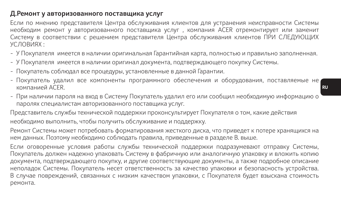### **Д.Ремонт у авторизованного поставщика услуг**

Если по мнению представителя Центра обслуживания клиентов для устранения неисправности Системы необходим ремонт у авторизованного поставщика услуг , компания ACER отремонтирует или заменит Систему в соответствии с решением представителя Центра обслуживания клиентов ПРИ СЛЕДУЮЩИХ УСЛОВИЯХ :

- У Покупателя имеется в наличии оригинальная Гарантийная карта, полностью и правильно заполненная.
- У Покупателя имеется в наличии оригинал документа, подтверждающего покупку Системы.
- Покупатель соблюдал все процедуры, установленные в данной Гарантии.
- Покупатель удалил все компоненты программного обеспечения и оборудования, поставляемые не компанией ACER.
- При наличии пароля на вход в Систему Покупатель удалил его или сообщил необходимую информацию о паролях специалистам авторизованного поставщика услуг.

Представитель службы технической поддержки проконсультирует Покупателя о том, какие действия необходимо выполнить, чтобы получить обслуживание и поддержку.

Ремонт Системы может потребовать форматирования жесткого диска, что приведет к потере хранящихся на нем данных. Поэтому необходимо соблюдать правила, приведенные в разделе В. выше.

Если оговоренные условия работы службы технической поддержки подразумевают отправку Системы, Покупатель должен надежно упаковать Систему в фабричную или аналогичную упаковку и вложить копию документа, подтверждающего покупку, и другие соответствующие документы, а также подробное описание неполадок Системы. Покупатель несет ответственность за качество упаковки и безопасность устройства. В случае повреждений, связанных с низким качеством упаковки, с Покупателя будет взыскана стоимость ремонта.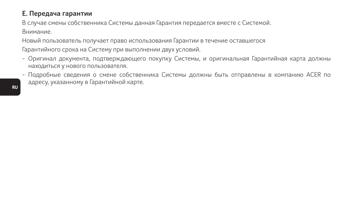## **Е. Передача гарантии**

В случае смены собственника Системы данная Гарантия передается вместе с Системой. Внимание.

Новый пользователь получает право использования Гарантии в течение оставшегося

Гарантийного срока на Систему при выполнении двух условий.

- Оригинал документа, подтверждающего покупку Системы, и оригинальная Гарантийная карта должны находиться у нового пользователя.
- Подробные сведения о смене собственника Системы должны быть отправлены в компанию ACER по адресу, указанному в Гарантийной карте.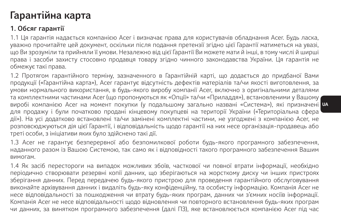## **Гарантійна карта**

## **1. Обсяг гарантії**

1.1 Ця гарантія надається компанією Acer і визначає права для користувачів обладнання Acer. Будь ласка, уважно прочитайте цей документ, оскільки після подання претензії згідно цієї Гарантії матиметься на увазі, що Ви зрозуміли та прийняли її умови. Незалежно від цієї Гарантії Ви можете мати й інші, в тому числі й ширші права і засоби захисту стосовно продавця товару згідно чинного законодавства України. Ця гарантія не обмежує такі права.

виробі компанією Acer на момент покупки (у подальшому загально названі «Система»), які призначені <mark>и</mark>з 1.2 Протягом гарантійного терміну, зазначенного в Гарантійній карті, що додається до придбаної Вами продукції («Гарантійна карта»), Acer гарантує відсутність дефектів матеріалів та/чи якості виготовлення, за умови нормального використання, в будь-якого виробу компанії Acer, включно з оригінальними деталями та комплектними частинами Acer (що пропонуються як «Опції» та/чи «Приладдя»), встановленими у Вашому для продажу і були початково продані кінцевому покупцеві на території України («Територіальна сфера дії»). На усі додатково встановлені та/чи замінені комплектні частини, не узгоджені з компанією Acer, не розповсюджуються дія цієї Гарантії, і відповідальність щодо гарантії на них несе організація-продавець або треті особи, з ініціативи яких було здійснено такі дії.

1.3 Acer не гарантує безперервної або безпомилкової роботи будь-якого програмного забезпечення, наданного разом із Вашою Системою, так само як і відповідності такого програмного забезпечення Вашим вимогам.

1.4 Як засіб перестороги на випадок можливих збоїв, часткової чи повної втрати інформації, необхідно періодично створювати резервні копії данних, що зберігаються на жорсткому диску чи інших пристроях зберігання данних. Перед передачею будь-якого пристрою для проведення гарантійного обслуговування виконайте архівування данних і видаліть будь-яку конфіденційну, та особисту інформацію. Компанія Acer не несе відповідальності за пошкодження чи втрату будь-яких програм, данних чи з'ємних носіїв інформації. Компанія Acer не несе відповідальності щодо відновлення чи повторного встановлення будь-яких програм чи данних, за винятком програмного забезпечення (далі ПЗ), яке встановлюється компанією Acer під час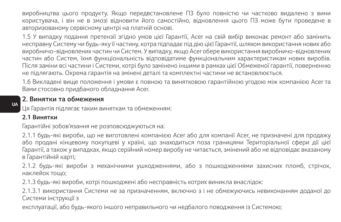виробництва цього продукту. Якщо передвстановлене ПЗ було повністю чи частково видалено з вини користувача, і він не в змозі відновити його самостійно, відновлення цього ПЗ може бути проведене в авторизованому сервісному центрі на платній основі.

1.5 У випадку подання претензії згідно умов цієї Гарантії, Acer на свій вибір виконає ремонт або замінить несправну Систему чи будь-яку її частину, котра підпадає під дію цієї Гарантії, шляхом використання нових або виробничо-відновлених частин чи Систем. У випадку, якщо Acer обере використання виробничо-відновлених частин або Систем, їхня функціональність відповідатиме функціональним характеристикам нових виробів. Після заміни всі частини і Системи, котрі було замінено іншими в рамках цієї Обмеженої гарантії, поверненню не підлягають. Окрема гарантія на змінені деталі та комплектні частини не встановлюється.

1.6 Викладені вище положення і умови є повною та винятковою гарантійною угодою між компанією Acer та Вами стосовно придбаного обладнання Acer.

#### **2. Винятки та обмеження**

Ця Гарантія підлягає таким виняткам та обмеженням:

#### **2.1 Винятки**

Гарантійні зобов'язання не розповсюджуються на:

2.1.1 будь-які вироби, що не виготовлені компанією Acer або для компанії Acer, не призначені для продажу або продані кінцевому покупцеві у країні, що знаходиться поза границями Територіальної сфери дії цієї Гарантії, а також у випадках, якщо серійний номер виробу не читається, змінений або не відповідає вказаному в Гарантійній карті;

2.1.2 будь-які вироби з механічними ушкодженнями, або з пошкодженнями захисних пломб, стрічок, наклейок тощо;

2.1.3 будь-які вироби, котрі пошкоджені або несправність котрих виникла внаслідок:

2.1.3.1 використання Системи не за призначенням, включно з і не обмежуючись невиконанням доданої до Системи інструкції з

експлуатації, або будь-якого іншого неправильного чи недбалого поводження із Системою;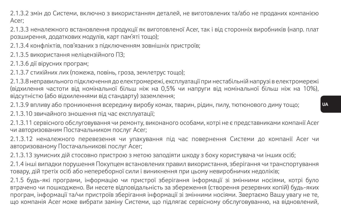2.1.3.2 змін до Системи, включно з використанням деталей, не виготовлених та/або не проданих компанією Acer;

2.1.3.3 неналежного встановлення продукції як виготовленої Acer, так і від сторонніх виробників (напр. плат розширення, додаткових модулів, карт пам'яті тощо);

2.1.3.4 конфліктів, пов'язаних з підключенням зовнішніх пристроїв;

2.1.3.5 використання неліцензійного ПЗ;

2.1.3.6 дії вірусних програм;

2.1.3.7 стихійних лих (пожежа, повінь, гроза, землетрус тощо);

2.1.3.8 неправильного підключення до електромережі, експлуатації при нестабільній напрузі в електромережі (відхилення частоти від номінальної більш ніж на 0,5% чи напруги від номінальної більш ніж на 10%), відсутністю (або відхиленнями від стандарту) заземлення;

2.1.3.9 впливу або проникнення всередину виробу комах, тварин, рідин, пилу, тютюнового диму тощо;

2.1.3.10 звичайного зношення під час експлуатації;

2.1.3.11 сервісного обслуговування чи ремонту, виконаного особами, котрі не є представниками компанії Acer чи авторизованим Постачальником послуг Acer;

2.1.3.12 неналежного перевезення чи упакування під час повернення Системи до компанії Acer чи авторизованому Постачальникові послуг Acer;

2.1.3.13 зумисних дій стосовно пристрою з метою заподіяти шкоду з боку користувача чи інших осіб;

2.1.4 інші випадки порушення Покупцем встановлених правил використання, зберігання чи транспортування товару, дій третіх осіб або непереборної сили і виникнення при цьому невиробничих недоліків;

2.1.5 будь-які програми, інформацію чи пристрої зберігання інформації зі змінними носіями, котрі було втрачено чи пошкоджено. Ви несете відповідальність за збереження (створення резервних копій) будь-яких програм, інформації та/чи пристроїв зберігання інформації зі змінними носіями. Звертаємо Вашу увагу не те, що компанія Acer може вибрати заміну Системи, що підлягає сервісному обслуговуванню, на відновлений,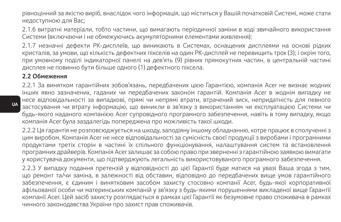рівноцінний за якістю виріб, внаслідок чого інформація, що міститься у Вашій початковій Системі, може стати недоступною для Вас;

2.1.6 витратні матеріали, тобто частини, що вимагають періодичної заміни в ході звичайного використання Системи (включаючи і не обмежуючись акумуляторними елементами живлення);

2.1.7 незначні дефекти РК-дисплеїв, що виникають в Системах, оснащених дисплеями на основі рідких кристалів, за умови, що кількість дефектних пікселів на один РК-дисплей не перевищить трох (3); і окрім того, при умовному поділі індикаторної панелі на дев'ять (9) рівних прямокутних частин, в центральній частині дисплея не повинно бути більше одного (1) дефектного піксела.

#### **2.2 Обмеження**

2.2.1 За винятком гарантійних зобов'язань, передбачених цією Гарантією, компанія Acer не визнає жодних інших явно зазначених, гаданих чи передбачених законом гарантій. Компанія Acer в жоднім випадку не несе відповідальності за випадкові, прямі чи непрямі втрати, втрачений зиск, непридатність для певного застосування чи втрату інформацію, що виникли в зв'язку з використанням чи експлуатацією Системи чи будь-якого наданого компанією Acer супровідного програмного забезпечення, навіть в тому випадку, якщо компанія Acer була заздалегідь попереджена про можливість такої шкоди.

2.2.2 Ця гарантія не розповсюджується на шкоду, заподіяну іншому обладнанню, котре працює в сполученні з цим виробом. Компанія Acer не несе відповідальності за сумісність своєї продукції з виробами і програмними продуктами третіх сторін в частині їх спільного функціонування, налаштування систем та встановлення програмних драйверів. Компанія Acer залишає за собою право при зверненні з гарантійною заявкою вимагати у користувача документи, що підтверджують легальність використовуваного програмного забезпечення.

2.2.3 У випадку подання претензій у відповідності до цієї Гарантії буде матися на увазі Ваша згода з тим, що ремонт та/чи заміна, в залежності від обставин, відповідно до передбачених вище умов гарантійного забезпечення, є єдиним і винятковим засобом захисту стосовно компанії Acer, будь-якої корпоративної афільованої особи чи материнських компаній у зв'язку з будь-якими порушеннями викладеної вище Гарантії компанії Acer. Цей засіб захисту розглядається в рамках цієї Гарантії як безумовне право споживача в рамках чинного законодавства України про захист прав споживачів.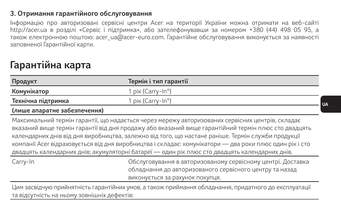### **3. Отримання гарантійного обслуговування**

Інформацію про авторизовані сервісні центри Acer на території України можна отримати на веб-сайті http://acer.ua в розділі «Сервіс і підтримка», або зателефонувавши за номером +380 (44) 498 05 95, а також електронною поштою: acer\_ua@acer-euro.com. Гарантійне обслуговування виконується за наявності заповненої Гарантійної карти.

## **Гарантійна карта**

| Продукт                                                                                                                                                                                                                                                                                                                                                                                                                                                                                                                     | Термін і тип гарантії                                                                                                                                     |  |
|-----------------------------------------------------------------------------------------------------------------------------------------------------------------------------------------------------------------------------------------------------------------------------------------------------------------------------------------------------------------------------------------------------------------------------------------------------------------------------------------------------------------------------|-----------------------------------------------------------------------------------------------------------------------------------------------------------|--|
| Комунікатор                                                                                                                                                                                                                                                                                                                                                                                                                                                                                                                 | 1 рік (Carry-In®)                                                                                                                                         |  |
| Технічна підтримка                                                                                                                                                                                                                                                                                                                                                                                                                                                                                                          | 1 рік (Carry-In®)                                                                                                                                         |  |
| (лише апаратне забезпечення)                                                                                                                                                                                                                                                                                                                                                                                                                                                                                                |                                                                                                                                                           |  |
| Максимальний термін гарантії, що надається через мережу авторизованих сервісних центрів, складає<br>вказаний вище термін гарантії від дня продажу або вказаний вище гарантійний термін плюс сто двадцять<br>календарних днів від дня виробництва, залежно від того, що настане раніше. Термін служби продукції<br>компанії Асег відраховується від дня виробництва і складає: комунікатори — два роки плюс один рік і сто<br>двадцять календарних днів; акумуляторні батареї — один рік плюс сто двадцять календарних днів. |                                                                                                                                                           |  |
| Carry-In                                                                                                                                                                                                                                                                                                                                                                                                                                                                                                                    | Обслуговування в авторизованому сервісному центрі. Доставка<br>обладнання до авторизованого сервісного центру та назад<br>виконується за рахунок покупця. |  |
| Huusaanin koosituksi etiintyy saanitiin uuruusa altaivuus eniilualue ofinan ja ule eniintyinee se ovee matajii                                                                                                                                                                                                                                                                                                                                                                                                              |                                                                                                                                                           |  |

Цим засвідчую прийнятність гарантійних умов, а також приймання обладнання, придатного до експлуатації та відсутність на ньому зовнішніх дефектів:

**UA**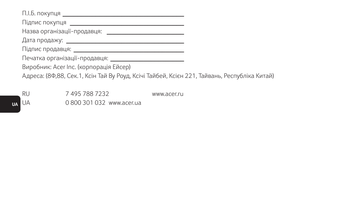П.І.Б. покупця **\_\_\_\_\_\_\_\_\_\_\_\_\_\_\_\_\_\_\_\_\_\_\_\_\_\_\_\_\_\_\_\_\_** Підпис покупця **\_\_\_\_\_\_\_\_\_\_\_\_\_\_\_\_\_\_\_\_\_\_\_\_\_\_\_\_\_\_\_** Назва організації-продавця: <u>**\_\_\_\_\_\_\_\_\_\_\_\_\_\_\_\_\_\_\_\_\_\_\_\_\_\_**</u> Дата продажу: **\_\_\_\_\_\_\_\_\_\_\_\_\_\_\_\_\_\_\_\_\_\_\_\_\_\_\_\_\_\_\_\_** Підпис продавця: **\_\_\_\_\_\_\_\_\_\_\_\_\_\_\_\_\_\_\_\_\_\_\_\_\_\_\_\_\_\_** Печатка організації-продавця: **\_\_\_\_\_\_\_\_\_\_\_\_\_\_\_\_\_\_\_\_** Виробник: Acer Inc. (корпорація Ейсер) Адреса: (8Ф,88, Сек.1, Ксін Тай Ву Роуд, Ксічі Тайбей, Ксієн 221, Тайвань, Республіка Китай)

**UA** RU 7 495 788 7232 www.acer.ru UA 0 800 301 032 www.acer.ua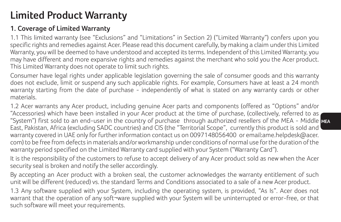## **Limited Product Warranty**

### **1. Coverage of Limited Warranty**

1.1 This limited warranty (see "Exclusions" and "Limitations" in Section 2) ("Limited Warranty") confers upon you specific rights and remedies against Acer. Please read this document carefully, by making a claim under this Limited Warranty, you will be deemed to have understood and accepted its terms. Independent of this Limited Warranty, you may have different and more expansive rights and remedies against the merchant who sold you the Acer product. This Limited Warranty does not operate to limit such rights.

Consumer have legal rights under applicable legislation governing the sale of consumer goods and this warranty does not exclude, limit or suspend any such applicable rights. For example, Consumers have at least a 24 month warranty starting from the date of purchase - independently of what is stated on any warranty cards or other materials.

**MEA** "System") first sold to an end-user in the country of purchase through authorized resellers of the MEA - Middle 1.2 Acer warrants any Acer product, including genuine Acer parts and components (offered as "Options" and/or "Accessories) which have been installed in your Acer product at the time of purchase, (collectively, referred to as East, Pakistan, Africa (excluding SADC countries) and CIS (the "Territorial Scope", currently this product is sold and warranty covered in UAE only for further information contact us on 0097148056400 or email:ame.helpdesk@acer. com) to be free from defects in materials and/or workmanship under conditions of normal use for the duration of the warranty period specified on the Limited Warranty card supplied with your System ("Warranty Card").

It is the responsibility of the customers to refuse to accept delivery of any Acer product sold as new when the Acer security seal is broken and notify the seller accordingly.

By accepting an Acer product with a broken seal, the customer acknowledges the warranty entitlement of such unit will be different (reduced) vs. the standard Terms and Conditions associated to a sale of a new Acer product.

1.3 Any software supplied with your System, including the operating system, is provided, "As Is". Acer does not warrant that the operation of any soft¬ware supplied with your System will be uninterrupted or error-free, or that such software will meet your requirements.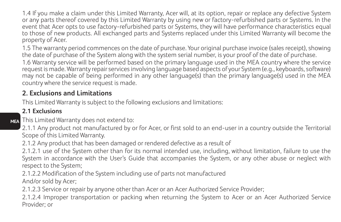1.4 If you make a claim under this Limited Warranty, Acer will, at its option, repair or replace any defective System or any parts thereof covered by this Limited Warranty by using new or factory-refurbished parts or Systems. In the event that Acer opts to use factory-refurbished parts or Systems, they will have performance characteristics equal to those of new products. All exchanged parts and Systems replaced under this Limited Warranty will become the property of Acer.

1.5 The warranty period commences on the date of purchase. Your original purchase invoice (sales receipt), showing the date of purchase of the System along with the system serial number, is your proof of the date of purchase.

1.6 Warranty service will be performed based on the primary language used in the MEA country where the service request is made. Warranty repair services involving language based aspects of your System (e.g., keyboards, software) may not be capable of being performed in any other language(s) than the primary language(s) used in the MEA country where the service request is made.

### **2. Exclusions and Limitations**

This Limited Warranty is subject to the following exclusions and limitations:

### **2.1 Exclusions**

**MEA** This Limited Warranty does not extend to:

2.1.1 Any product not manufactured by or for Acer, or first sold to an end-user in a country outside the Territorial Scope of this Limited Warranty.

2.1.2 Any product that has been damaged or rendered defective as a result of

2.1.2.1 use of the System other than for its normal intended use, including, without limitation, failure to use the System in accordance with the User's Guide that accompanies the System, or any other abuse or neglect with respect to the System;

2.1.2.2 Modification of the System including use of parts not manufactured And/or sold by Acer;

2.1.2.3 Service or repair by anyone other than Acer or an Acer Authorized Service Provider;

2.1.2.4 Improper transportation or packing when returning the System to Acer or an Acer Authorized Service Provider; or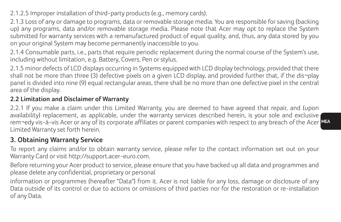2.1.2.5 Improper installation of third-party products (e.g., memory cards).

2.1.3 Loss of any or damage to programs, data or removable storage media. You are responsible for saving (backing up) any programs, data and/or removable storage media. Please note that Acer may opt to replace the System submitted for warranty services with a remanufactured product of equal quality, and, thus, any data stored by you on your original System may become permanently inaccessible to you.

2.1.4 Consumable parts, i.e., parts that require periodic replacement during the normal course of the System's use, including without limitation, e.g. Battery, Covers, Pen or stylus.

2.1.5 minor defects of LCD displays occurring in Systems equipped with LCD display technology, provided that there shall not be more than three (3) defective pixels on a given LCD display, and provided further that, if the dis¬play panel is divided into nine (9) equal rectangular areas, there shall be no more than one defective pixel in the central area of the display.

### **2.2 Limitation and Disclaimer of Warranty**

rem¬edy vis-à-vis Acer or any of its corporate affiliates or parent companies with respect to any breach of the Acer <mark>ME</mark> 2.2.1 If you make a claim under this Limited Warranty, you are deemed to have agreed that repair, and (upon availability) replacement, as applicable, under the warranty services described herein, is your sole and exclusive Limited Warranty set forth herein.

## **3. Obtaining Warranty Service**

To report any claims and/or to obtain warranty service, please refer to the contact information set out on your Warranty Card or visit http://support.acer-euro.com.

Before returning your Acer product to service, please ensure that you have backed up all data and programmes and please delete any confidential, proprietary or personal

information or programmes (hereafter "Data") from it. Acer is not liable for any loss, damage or disclosure of any Data outside of its control or due to actions or omissions of third parties nor for the restoration or re-installation of any Data.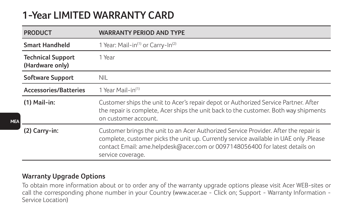## **1-Year LIMITED WARRANTY CARD**

| <b>PRODUCT</b>                              | <b>WARRANTY PERIOD AND TYPE</b>                                                                                                                                                                                                                                                   |
|---------------------------------------------|-----------------------------------------------------------------------------------------------------------------------------------------------------------------------------------------------------------------------------------------------------------------------------------|
| Smart Handheld                              | 1 Year: Mail-in <sup>(1)</sup> or Carry-In <sup>(2)</sup>                                                                                                                                                                                                                         |
| <b>Technical Support</b><br>(Hardware only) | 1 Year                                                                                                                                                                                                                                                                            |
| <b>Software Support</b>                     | <b>NII</b>                                                                                                                                                                                                                                                                        |
| <b>Accessories/Batteries</b>                | 1 Year Mail-in <sup>(1)</sup>                                                                                                                                                                                                                                                     |
| $(1)$ Mail-in:                              | Customer ships the unit to Acer's repair depot or Authorized Service Partner. After<br>the repair is complete. Acer ships the unit back to the customer. Both way shipments<br>on customer account.                                                                               |
| $(2)$ Carry-in:                             | Customer brings the unit to an Acer Authorized Service Provider. After the repair is<br>complete, customer picks the unit up. Currently service available in UAE only .Please<br>contact Email: ame.helpdesk@acer.com or 0097148056400 for latest details on<br>service coverage. |

### **Warranty Upgrade Options**

To obtain more information about or to order any of the warranty upgrade options please visit Acer WEB-sites or call the corresponding phone number in your Country (www.acer.ae - Click on; Support - Warranty Information - Service Location)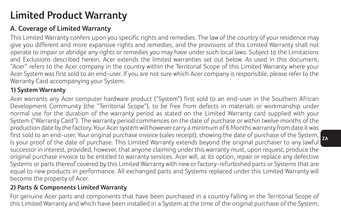## **Limited Product Warranty**

## **A. Coverage of Limited Warranty**

This Limited Warranty confers upon you specific rights and remedies. The law of the country of your residence may give you different and more expansive rights and remedies, and the provisions of this Limited Warranty shall not operate to impair or abridge any rights or remedies you may have under such local laws. Subject to the Limitations and Exclusions described herein, Acer extends the limited warranties set out below. As used in this document, "Acer" refers to the Acer company in the country within the Territorial Scope of this Limited Warranty where your Acer System was first sold to an end-user. If you are not sure which Acer company is responsible, please refer to the Warranty Card accompanying your System.

### **1) System Warranty**

first sold to an end-user. Your original purchase invoice (sales receipt), showing the date of purchase of the System, **2A** Acer warrants any Acer computer hardware product ("System") first sold to an end-user in the Southern African Development Community (the "Territorial Scope"), to be free from defects in materials or workmanship under normal use for the duration of the warranty period as stated on the Limited Warranty card supplied with your System ("Warranty Card"). The warranty period commences on the date of purchase or within twelve months of the production date by the factory. Your Acer system will however carry a minimum of 6 Months warranty from date it was is your proof of the date of purchase. This Limited Warranty extends beyond the original purchaser to any lawful successor in interest, provided, however, that anyone claiming under this warranty must, upon request, produce the original purchase invoice to be entitled to warranty services. Acer will, at its option, repair or replace any defective Systems or parts thereof covered by this Limited Warranty with new or factory-refurbished parts or Systems that are equal to new products in performance. All exchanged parts and Systems replaced under this Limited Warranty will become the property of Acer.

### **2) Parts & Components Limited Warranty**

For genuine Acer parts and components that have been purchased in a country falling in the Territorial Scope of this Limited Warranty and which have been installed in a System at the time of the original purchase of the System,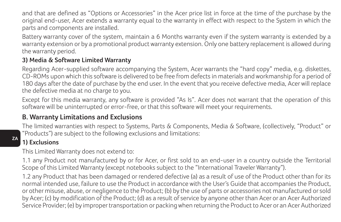and that are defined as "Options or Accessories" in the Acer price list in force at the time of the purchase by the original end-user, Acer extends a warranty equal to the warranty in effect with respect to the System in which the parts and components are installed.

Battery warranty cover of the system, maintain a 6 Months warranty even if the system warranty is extended by a warranty extension or by a promotional product warranty extension. Only one battery replacement is allowed during the warranty period.

### **3) Media & Software Limited Warranty**

Regarding Acer-supplied software accompanying the System, Acer warrants the "hard copy" media, e.g. diskettes, CD-ROMs upon which this software is delivered to be free from defects in materials and workmanship for a period of 180 days after the date of purchase by the end user. In the event that you receive defective media, Acer will replace the defective media at no charge to you.

Except for this media warranty, any software is provided "As Is". Acer does not warrant that the operation of this software will be uninterrupted or error-free, or that this software will meet your requirements.

### **B. Warranty Limitations and Exclusions**

The limited warranties with respect to Systems, Parts & Components, Media & Software, (collectively, "Product" or "Products") are subject to the following exclusions and limitations:

### **1) Exclusions**

This Limited Warranty does not extend to:

1.1 any Product not manufactured by or for Acer, or first sold to an end-user in a country outside the Territorial Scope of this Limited Warranty (except notebooks subject to the "International Traveler Warranty").

1.2 any Product that has been damaged or rendered defective (a) as a result of use of the Product other than for its normal intended use, failure to use the Product in accordance with the User's Guide that accompanies the Product, or other misuse, abuse, or negligence to the Product; (b) by the use of parts or accessories not manufactured or sold by Acer; (c) by modification of the Product; (d) as a result of service by anyone other than Acer or an Acer Authorized Service Provider; (e) by improper transportation or packing when returning the Product to Acer or an Acer Authorized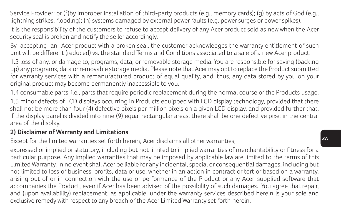Service Provider; or (f)by improper installation of third-party products (e.g., memory cards); (g) by acts of God (e.g., lightning strikes, flooding); (h) systems damaged by external power faults (e.g. power surges or power spikes).

It is the responsibility of the customers to refuse to accept delivery of any Acer product sold as new when the Acer security seal is broken and notify the seller accordingly.

By accepting an Acer product with a broken seal, the customer acknowledges the warranty entitlement of such unit will be different (reduced) vs. the standard Terms and Conditions associated to a sale of a new Acer product.

1.3 loss of any, or damage to, programs, data, or removable storage media. You are responsible for saving (backing up) any programs, data or removable storage media. Please note that Acer may opt to replace the Product submitted for warranty services with a remanufactured product of equal quality, and, thus, any data stored by you on your original product may become permanently inaccessible to you.

1.4 consumable parts, i.e., parts that require periodic replacement during the normal course of the Products usage.

1.5 minor defects of LCD displays occurring in Products equipped with LCD display technology, provided that there shall not be more than four (4) defective pixels per million pixels on a given LCD display, and provided further that, if the display panel is divided into nine (9) equal rectangular areas, there shall be one defective pixel in the central area of the display.

### **2) Disclaimer of Warranty and Limitations**

Except for the limited warranties set forth herein, Acer disclaims all other warranties,

expressed or implied or statutory, including but not limited to implied warranties of merchantability or fitness for a particular purpose. Any implied warranties that may be imposed by applicable law are limited to the terms of this Limited Warranty. In no event shall Acer be liable for any incidental, special or consequential damages, including but not limited to loss of business, profits, data or use, whether in an action in contract or tort or based on a warranty, arising out of or in connection with the use or performance of the Product or any Acer-supplied software that accompanies the Product, even if Acer has been advised of the possibility of such damages. You agree that repair, and (upon availability) replacement, as applicable, under the warranty services described herein is your sole and exclusive remedy with respect to any breach of the Acer Limited Warranty set forth herein.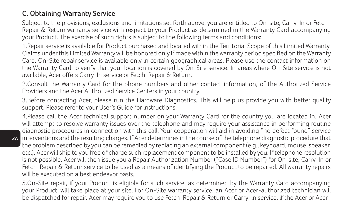### **C. Obtaining Warranty Service**

Subject to the provisions, exclusions and limitations set forth above, you are entitled to On-site, Carry-In or Fetch-Repair & Return warranty service with respect to your Product as determined in the Warranty Card accompanying your Product. The exercise of such rights is subject to the following terms and conditions:

1.Repair service is available for Product purchased and located within the Territorial Scope of this Limited Warranty. Claims under this Limited Warranty will be honored only if made within the warranty period specified on the Warranty Card. On-Site repair service is available only in certain geographical areas. Please use the contact information on the Warranty Card to verify that your location is covered by On-Site service. In areas where On-Site service is not available, Acer offers Carry-In service or Fetch-Repair & Return.

2.Consult the Warranty Card for the phone numbers and other contact information, of the Authorized Service Providers and the Acer Authorized Service Centers in your country.

3.Before contacting Acer, please run the Hardware Diagnostics. This will help us provide you with better quality support. Please refer to your User's Guide for instructions.

**ZA** interventions and the resulting charges. If Acer determines in the course of the telephone diagnostic procedure that 4.Please call the Acer technical support number on your Warranty Card for the country you are located in. Acer will attempt to resolve warranty issues over the telephone and may require your assistance in performing routine diagnostic procedures in connection with this call. Your cooperation will aid in avoiding "no defect found" service the problem described by you can be remedied by replacing an external component (e.g., keyboard, mouse, speaker, etc.), Acer will ship to you free of charge such replacement component to be installed by you. If telephone resolution is not possible, Acer will then issue you a Repair Authorization Number ("Case ID Number") for On-site, Carry-In or Fetch-Repair & Return service to be used as a means of identifying the Product to be repaired. All warranty repairs will be executed on a best endeavor basis.

5.On-Site repair, if your Product is eligible for such service, as determined by the Warranty Card accompanying your Product, will take place at your site. For On-Site warranty service, an Acer or Acer-authorized technician will be dispatched for repair. Acer may require you to use Fetch-Repair & Return or Carry-in service, if the Acer or Acer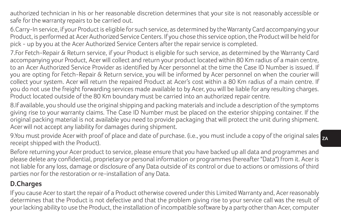authorized technician in his or her reasonable discretion determines that your site is not reasonably accessible or safe for the warranty repairs to be carried out.

6.Carry-In service, if your Product is eligible for such service, as determined by the Warranty Card accompanying your Product, is performed at Acer Authorized Service Centers. If you chose this service option, the Product will be held for pick - up by you at the Acer Authorized Service Centers after the repair service is completed.

7.For Fetch-Repair & Return service, if your Product is eligible for such service, as determined by the Warranty Card accompanying your Product, Acer will collect and return your product located within 80 Km radius of a main centre, to an Acer Authorized Service Provider as identified by Acer personnel at the time the Case ID Number is issued. If you are opting for Fetch-Repair & Return service, you will be informed by Acer personnel on when the courier will collect your system. Acer will return the repaired Product at Acer's cost within a 80 Km radius of a main centre. If you do not use the freight forwarding services made available to by Acer, you will be liable for any resulting charges. Product located outside of the 80 Km boundary must be carried into an authorized repair centre.

8.If available, you should use the original shipping and packing materials and include a description of the symptoms giving rise to your warranty claims. The Case ID Number must be placed on the exterior shipping container. If the original packing material is not available you need to provide packaging that will protect the unit during shipment. Acer will not accept any liability for damages during shipment.

9.You must provide Acer with proof of place and date of purchase. (i.e., you must include a copy of the original sales  $_{\rm ZP}$ receipt shipped with the Product).

Before returning your Acer product to service, please ensure that you have backed up all data and programmes and please delete any confidential, proprietary or personal information or programmes (hereafter "Data") from it. Acer is not liable for any loss, damage or disclosure of any Data outside of its control or due to actions or omissions of third parties nor for the restoration or re-installation of any Data.

### **D.Charges**

If you cause Acer to start the repair of a Product otherwise covered under this Limited Warranty and, Acer reasonably determines that the Product is not defective and that the problem giving rise to your service call was the result of your lacking ability to use the Product, the installation of incompatible software by a party other than Acer, computer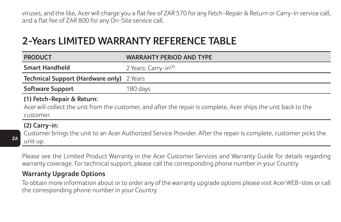viruses, and the like, Acer will charge you a flat fee of ZAR 570 for any Fetch-Repair & Return or Carry-In service call, and a flat fee of ZAR 800 for any On-Site service call.

## **2-Years LIMITED WARRANTY REFERENCE TABLE**

| <b>PRODUCT</b>                                                                                                                                             | <b>WARRANTY PERIOD AND TYPE</b>  |  |
|------------------------------------------------------------------------------------------------------------------------------------------------------------|----------------------------------|--|
| <b>Smart Handheld</b>                                                                                                                                      | 2 Years: Carry-in <sup>(2)</sup> |  |
| Technical Support (Hardware only) 2 Years                                                                                                                  |                                  |  |
| Software Support                                                                                                                                           | 180 days                         |  |
| (1) Fetch-Repair & Return:<br>Acer will collect the unit from the customer, and after the repair is complete, Acer ships the unit back to the<br>customer. |                                  |  |
| $(2)$ Carry-in:<br>Customer brings the unit to an Acer Authorized Service Provider. After the repair is complete, customer picks the<br>unit up.           |                                  |  |

Please see the Limited Product Warranty in the Acer Customer Services and Warranty Guide for details regarding warranty coverage. For technical support, please call the corresponding phone number in your Country

### **Warranty Upgrade Options**

**ZA**

To obtain more information about or to order any of the warranty upgrade options please visit Acer WEB-sites or call the corresponding phone number in your Country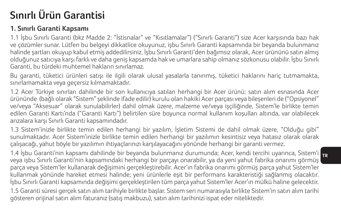# **Sınırlı Ürün Garantisi**

### **1. Sınırlı Garanti Kapsamı**

1.1 İşbu Sınırlı Garanti (bkz Madde 2: "İstisnalar" ve "Kısıtlamalar") ("Sınırlı Garanti") size Acer karşısında bazı hak ve çözümler sunar. Lütfen bu belgeyi dikkatlice okuyunuz, işbu Sınırlı Garanti kapsamında bir beyanda bulunmanız halinde şartları okuyup kabul etmiş addedilirsiniz. İşbu Sınırlı Garanti'den bağımsız olarak, Acer ürününü satın almış olduğunuz satıcıya karşı farklı ve daha geniş kapsamda hak ve umarlara sahip olmanız sözkonusu olabilir. İşbu Sınırlı Garanti, bu türdeki muhtemel hakların sınırlamaz.

Bu garanti, tüketici ürünleri satışı ile ilgili olarak ulusal yasalarla tanınmış, tüketici haklarını hariç tutmamakta, sınırlamamakta veya geçersiz kılmamaktadır.

1.2 Acer Türkiye sınırları dahilinde bir son kullanıcıya satılan herhangi bir Acer ürünü; satın alım esnasında Acer ürününde (bağlı olarak "Sistem" şeklinde ifade edilir) kurulu olan hakiki Acer parçası veya bileşenleri de ("Opsiyonel" ve/veya "Aksesuar" olarak sunulabilirler) dahil olmak üzere, malzeme ve/veya işçiliğinde, Sistem'le birlikte temin edilen Garanti Kartı'nda ("Garanti Kartı") belirtilen süre boyunca normal kullanım koşulları altında, var olabilecek arızalara karşı Sınırlı Garanti kapsamındadır.

1.3 Sistem'inizle birlikte temin edilen herhangi bir yazılım, İşletim Sistemi de dahil olmak üzere, "Olduğu gibi" sunulmaktadır. Acer Sistem'inizle birlikte temin edilen herhangi bir yazılımın kesintisiz veya hatasız olarak olarak çalışacağı, yahut böyle bir yazılımın ihtiyaçlarınızı karşılayacağını yönünde herhangi bir garanti vermez.

**TR** 1.4 İşbu Garanti'nin kapsamı dahilinde bir beyanda bulunmanız durumunda; Acer, kendi tercihi uyarınca, Sistem'i veya işbu Sınırlı Garanti'nin kapsamındaki herhangi bir parçayı onarabilir, ya da yeni yahut fabrika onarımı görmüş parça veya Sistem'ler kullanarak değişimini gerçekleştirebilir. Acer'ın fabrika onarımı görmüş parça yahut Sistem'ler kullanmak yönünde hareket etmesi halinde; yeni ürünlerle eşit bir performans karakteristiği sağlanmış olacaktır. İşbu Sınırlı Garanti kapsamında değişimi gerçekleştirilen tüm parça yahut Sistem'ler Acer'ın mülkü haline gelecektir.

1.5 Garanti süresi gerçek satın alım tarihiyle birlikte başlar. Sistem seri numarasıyla birlikte Sistem'in satın alım tarihi gösteren orijinal satın alım faturanız (satış makbuzu), satın alım tarihinizi ispat eder niteliktedir.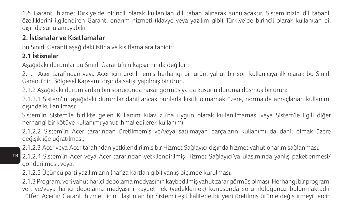1.6 Garanti hizmetiTürkiye'de birincil olarak kullanılan dil taban alınarak sunulacaktır. Sistem'inizin dil tabanlı özelliklerini ilgilendiren Garanti onarım hizmeti (klavye veya yazılım gibi) Türkiye'de birincil olarak kullanılan dil dışında sunulamayabilir.

## **2. İstisnalar ve Kısıtlamalar**

Bu Sınırlı Garanti aşağıdaki istina ve kısıtlamalara tabidir:

### **2.1 İstisnalar**

**TR**

Aşağıdaki durumlar bu Sınırlı Garanti'nin kapsamında değildir:

2.1.1 Acer tarafından veya Acer için üretilmemiş herhangi bir ürün, yahut bir son kullanıcıya ilk olarak bu Sınırlı Garanti'nin Bölgesel Kapsamı dışında satışı yapılmış bir ürün.

2.1.2 Aşağıdaki durumlardan biri sonucunda hasar görmüş ya da kusurlu duruma düşmüş bir ürün:

2.1.2.1 Sistem'in; aşağıdaki durumlar dahil ancak bunlarla kısıtlı olmamak üzere, normalde amaçlanan kullanımı dışında kullanılması:

Sistem'in Sistem'le birlikte gelen Kullanım Kılavuzu'na uygun olarak kullanılmaması veya Sistem'le ilgili diğer herhangi bir kötüye kullanımı yahut ihmal edilerek kullanımı

2.1.2.2 Sistem'in Acer tarafından üretilmemiş ve/veya satılmayan parçaların kullanımı da dahil olmak üzere değişikliğe uğratılması;

2.1.2.3 Acer veya Acer tarafından yetkilendirilmiş bir Hizmet Sağlayıcı dışında hizmet yahut onarım sağlanması;

2.1.2.4 Sistem'in Acer veya Acer tarafından yetkilendirilmiş Hizmet Sağlayıcı'ya ulaşımında yanlış paketlenmesi/ gönderilmesi, veya;

2.1.2.5 Üçüncü parti yazılımların (hafıza kartları gibi) yanlış biçimde kurulması.

2.1.3 Program, veri yahut harici depolama medyasının kaybedilmiş yahut zarar görmüş olması. Herhangi bir program, veri ve/veya harici depolama medyasını kaydetmek (yedeklemek) konusunda sorumluluğunuz bulunmaktadır. Lütfen Acer'ın Garanti hizmeti için ulaştırılan bir Sistem'i eşit kalitede bir yeni üretilmiş ürünle değiştirmeyi tercih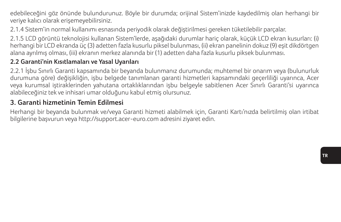edebileceğini göz önünde bulundurunuz. Böyle bir durumda; orijinal Sistem'inizde kaydedilmiş olan herhangi bir veriye kalıcı olarak erişemeyebilirsiniz.

2.1.4 Sistem'in normal kullanımı esnasında periyodik olarak değiştirilmesi gereken tüketilebilir parçalar.

2.1.5 LCD görüntü teknolojisi kullanan Sistem'lerde, aşağıdaki durumlar hariç olarak, küçük LCD ekran kusurları: (i) herhangi bir LCD ekranda üç (3) adetten fazla kusurlu piksel bulunması, (ii) ekran panelinin dokuz (9) eşit dikdörtgen alana ayrılmış olması, (iii) ekranın merkez alanında bir (1) adetten daha fazla kusurlu piksek bulunması.

### **2.2 Garanti'nin Kısıtlamaları ve Yasal Uyarıları**

2.2.1 İşbu Sınırlı Garanti kapsamında bir beyanda bulunmanız durumunda; muhtemel bir onarım veya (bulunurluk durumuna göre) değişikliğin, işbu belgede tanımlanan garanti hizmetleri kapsamındaki geçerliliği uyarınca, Acer veya kurumsal iştiraklerinden yahutana ortaklıklarından işbu belgeyle sabitlenen Acer Sınırlı Garanti'si uyarınca alabileceğiniz tek ve inhisari umar olduğunu kabul etmiş olursunuz.

### **3. Garanti hizmetinin Temin Edilmesi**

Herhangi bir beyanda bulunmak ve/veya Garanti hizmeti alabilmek için, Garanti Kartı'nızda belirtilmiş olan irtibat bilgilerine başvurun veya http://support.acer-euro.com adresini ziyaret edin.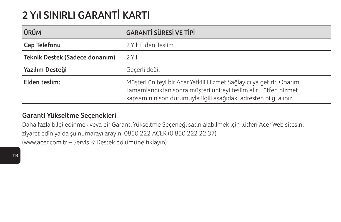# **2 Yıl SINIRLI GARANTİ KARTI**

| ÜRÜM                           | <b>GARANTİ SÜRESİ VE TİPİ</b>                                                                                                                                                                               |
|--------------------------------|-------------------------------------------------------------------------------------------------------------------------------------------------------------------------------------------------------------|
| Cep Telefonu                   | 2 Yıl: Elden Teslim                                                                                                                                                                                         |
| Teknik Destek (Sadece donanım) | 2 Yıl                                                                                                                                                                                                       |
| Yazılım Desteği                | Gecerli değil                                                                                                                                                                                               |
| Elden teslim:                  | Müşteri üniteyi bir Acer Yetkili Hizmet Sağlayıcı'ya getirir. Onarım<br>Tamamlandıktan sonra müşteri üniteyi teslim alır. Lütfen hizmet<br>kapsamının son durumuyla ilgili aşağıdaki adresten bilgi alınız. |

### **Garanti Yükseltme Seçenekleri**

Daha fazla bilgi edinmek veya bir Garanti Yükseltme Seçeneği satın alabilmek için lütfen Acer Web sitesini ziyaret edin ya da şu numarayı arayın: 0850 222 ACER (0 850 222 22 37) (www.acer.com.tr – Servis & Destek bölümüne tıklayın)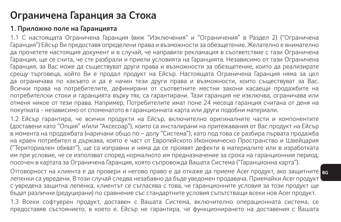## **Ограничена Гаранция за Стока**

### **1. Приложно поле на Гаранцията**

1.1 С настоящата Ограничена Гаранция (виж "Изключения" и "Ограничения" в Раздел 2) ("Ограничена Гаранция") Ейсър Ви предоставя определени права и възможности за обезщетение. Желателно е внимателно да прочетете настоящия документ и в случай, че направите рекламация в съответствие с тази Ограничена Гаранция, ще се счита, че сте разбрали и приели условията на Гаранцията. Независимо от тази Ограничена Гаранция, за Вас може да съществуват други права и възможности за обезщетение, които да реализирате срещу търговеца, който Ви е продал продукт на Ейсър. Настоящата Ограничена Гаранция няма за цел да ограничава по какъвто и да е начин тези други права и възможности, които съществуват за Вас. Всички права на потребителите, дефинирани от съответните местни закони касаещи продажбите на потребителски стоки и гаранцията върху тях, са гарантирани. Тази гаранция не изключва, ограничава или отменя никое от тези права. Например, Потребителите имат поне 24 месеца гаранция считана от деня на покупката - независимо от споменатото в гаранционната карта или други подобни материали.

1.2 Ейсър гарантира, че всички продукти на Ейсър, включително оригиналните части и компонентите (доставени като "Опция" и/или "Аксесоар"), които са инсталирани на притежавания от Вас продукт на Ейсър в момента на продажбата (наричани общо по – долу "Система"), като под това се разбира първата продажба на краен потребител в държава, която е част от Европейското Икономическо Пространство и Швейцария ("Териториален обхват"), ще са изправни и няма да се проявят дефекти в материалите или в изработката им при условие, че се използват според нормалното им предназначение за срока на гаранционния период, посочен в картата за Ограничена Гаранция, която съпровожда Вашата Система ("Гаранционна карта").

Отговорност на клиента е да провери и негово право е да откаже да приеме Acer продукт, ако защитните <mark>ве</mark> лепенки са увредени. В този случай следва незабавно да бъде уведомен продавача. Приемайки Acer продукт с увредена защитна лепенка, клиентът се съгласява с това, че гаранционните условия за този продукт ще бъдат различни (редуцирани) по сравнение със стандартните условия съпътстващи всеки нов Acer продукт.

1.3 Всеки софтуерен продукт, доставен с Вашата Система, включително операционната система, се предоставяв състоянието, в което е. Ейсър не гарантира, че функционирането на доставения с Вашата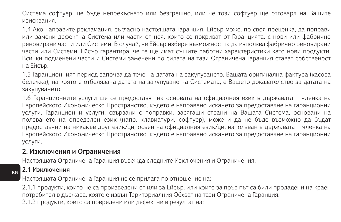Система софтуер ще бъде непрекъснато или безгрешно, или че този софтуер ще отговаря на Вашите изисквания.

1.4 Ако направите рекламация, съгласно настоящата Гаранция, Ейсър може, по своя преценка, да поправи или замени дефектна Система или части от нея, които се покриват от Гаранцията, с нови или фабрично реновирани части или Системи. В случай, че Ейсър избере възможността да използва фабрично реновирани части или Системи, Ейсър гарантира, че те ще имат същите работни характеристики като нови продукти. Всички подменени части и Системи заменени по силата на тази Ограничена Гаранция стават собственост на Ейсър.

1.5 Гаранционният период започва да тече на датата на закупуването. Вашата оригинална фактура (касова бележка), на която е отбелязана датата на закупуване на Системата, е Вашето доказателство за датата на закупуването.

1.6 Гаранционните услуги ще се предоставят на основата на официалния език в държавата – членка на Европейското Икономическо Пространство, където е направено искането за предоставяне на гаранционни услуги. Гаранционни услуги, свързани с поправки, засягащи страни на Вашата Система, основани на ползването на определен език (напр. клавиатури, софтуер), може и да не бъде възможно да бъдат предоставяни на никакъв друг език/ци, освен на официалния език/ци, използван в държавата – членка на Европейското Икономическо Пространство, където е направено искането за предоставяне на гаранционни услуги.

#### **2. Изключения и Ограничения**

Настоящата Ограничена Гаранция въвежда следните Изключения и Ограничения:

#### **2.1 Изключения**

**BG**

Настоящата Ограничена Гаранция не се прилага по отношение на:

2.1.1 продукти, които не са произведени от или за Ейсър, или които за пръв път са били продадени на краен потребител в държава, която е извън Териториалния Обхват на тази Ограничена Гаранция.

2.1.2 продукти, които са повредени или дефектни в резултат на: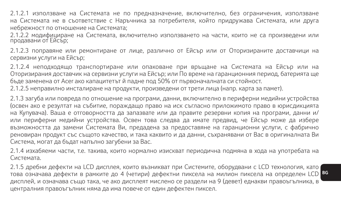2.1.2.1 използване на Системата не по предназначение, включително, без ограничения, използване на Системата не в съответствие с Наръчника за потребителя, който придружава Системата, или друга небрежност по отношение на Системата;

2.1.2.2 модифициране на Системата, включително използването на части, които не са произведени или продавани от Ейсър;

2.1.2.3 поправяне или ремонтиране от лице, различно от Ейсър или от Оторизираните доставчици на сервизни услуги на Ейсър;

2.1.2.4 неподходящо транспортиране или опаковане при връщане на Системата на Ейсър или на Оторизирания доставчик на сервизни услуги на Ейсър; или По време на гаранционния период, батерията ще бъде заменена от Acer ако капацитетът й падне под 50% от първоначалната си стойност.

2.1.2.5 неправилно инсталиране на продукти, произведени от трети лица (напр. карта за памет).

2.1.3 загуба или повреда по отношение на програми, данни, включително в периферни медийни устройства (освен ако е резултат на събитие, пораждащо право на иск съгласно приложимото право в юрисдикцията на Купувача). Ваша е отговорността да запазвате или да правите резервни копия на програми, данни и/ или периферни медийни устройства. Освен това следва да имате предвид, че Ейсър може да избере възможността да замени Системата Ви, предадена за предоставяне на гаранционни услуги, с фабрично реновиран продукт със същото качество, и така каквито и да данни, съхранявани от Вас в оригиналната Ви Система, могат да бъдат напълно загубени за Вас.

2.1.4 изхабяеми части, т.е. такива, които нормално изискват периодична подмяна в хода на употребата на Системата.

**BG** това означава дефекти в рамките до 4 (четири) дефектни пиксела на милион пиксела на определен LCD 2.1.5 дребни дефекти на LCD дисплея, които възникват при Системите, оборудвани с LCD технология, като дисплей, и означава също така, че ако дисплеят мислено се раздели на 9 (девет) еднакви правоъгълника, в централния правоъгълник няма да има повече от един дефектен пиксел.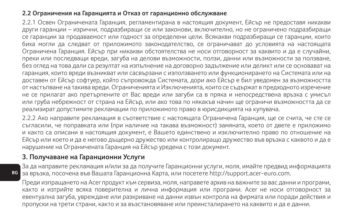#### **2.2 Ограничения на Гаранцията и Отказ от гаранционно обслужване**

2.2.1 Освен Ограничената Гаранция, регламентирана в настоящия документ, Ейсър не предоставя никакви други гаранции – изрични, подразбиращи се или законови, включително, но не ограничено подразбиращи се гаранции за продаваемост или годност за определени цели. Всякакви подразбиращи се гаранции, които биха могли да следват от приложимото законодателство, се ограничават до условията на настоящата Ограничена Гаранция. Ейсър при никакви обстоятелства не носи отговорност за каквито и да е случайни, преки или последващи вреди, загуба на делови възможности, ползи, данни или възможности за ползване, без оглед на това дали са резултат на изпълнение на договорно задължение или деликт или се основават на гаранция, които вреди възникват или сасвързани с използването или функционирането на Системата или на доставен от Ейсър софтуер, който съпровожда Системата, дори ако Ейсър е бил уведомен за възможността от настъпване на такива вреди. Ограниченията и Изключенията, които се съдържат в предходното изречение не се прилагат ако претърпените от Вас вреди или загуби са в пряка и непосредствена връзка с умисъл или груба небрежност от страна на Ейсър, или ако това по някакъв начин ще ограничи възможността да се реализират допустимите рекламации по приложимото право в юрисдикцията на купувача.

2.2.2 Ако направите рекламация в съответствие с настоящата Ограничена Гаранция, ще се счита, че сте се съгласили, че поправката или (при наличие на такава възможност) замяната, което от двете е приложимо и както са описани в настоящия документ, е Вашето единствено и изключително право по отношение на Ейсър или което и да е негово дъщерно дружество или контролиращо дружество във връзка с каквото и да е нарушение на Ограничената Гаранция на Ейсър уредена с този документ.

#### **3. Получаване на Гаранционни Услуги**

За да направите рекламация и/или за да получите Гаранционни услуги, моля, имайте предвид информацията за връзка, посочена във Вашата Гаранционна Карта, или посетете http://support.acer-euro.com.

Преди изпращането на Acer продукт към сервиза, моля, направете архив на важните за вас данни и програми, както и изтрийте всяка поверителна и лична информация или програми. Acer не носи отговорност за евентуална загуба, увреждане или разкриване на данни извън контрола на фирмата или поради действия и пропуски на трети страни, както и за възстановяване или преинсталирането на каквито и да е данни.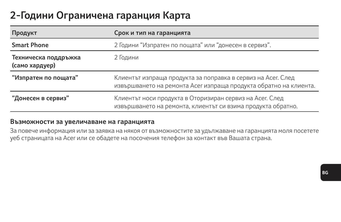# **2-Години Ограничена гаранция Карта**

| Продукт                                | Срок и тип на гаранцията                                                                                                          |  |
|----------------------------------------|-----------------------------------------------------------------------------------------------------------------------------------|--|
| <b>Smart Phone</b>                     | 2 Години "Изпратен по пощата" или "донесен в сервиз".                                                                             |  |
| Техническа поддръжка<br>(само хардуер) | 2 Години                                                                                                                          |  |
| "Изпратен по пощата"                   | Клиентът изпраща продукта за поправка в сервиз на Асег. След<br>извършването на ремонта Асег изпраща продукта обратно на клиента. |  |
| "Донесен в сервиз"                     | Клиентът носи продукта в Оторизиран сервиз на Асег. След<br>извършването на ремонта, клиентът си взима продукта обратно.          |  |

#### **Възможности за увеличаване на гаранцията**

За повече информация или за заявка на някоя от възможностите за удължаване на гаранцията моля посетете уеб страницата на Acer или се обадете на посочения телефон за контакт във Вашата страна.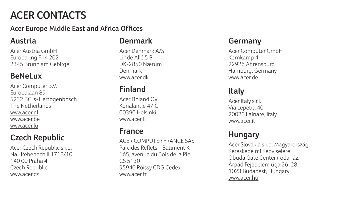# **ACER CONTACTS**

#### **Acer Europe Middle East and Africa Offices**

#### **Austria**

Acer Austria GmbH Europaring F14 202 2345 Brunn am Gebirge

### **BeNeLux**

Acer Computer B.V. Europalaan 89 5232 BC 's-Hertogenbosch The Netherlands www.acer.nl www.acer.be www.acer.lu

## **Czech Republic**

Acer Czech Republic s.r.o. Na Hřebenech II 1718/10 140 00 Praha 4 Czech Republic www.acer.cz

### **Denmark**

Acer Denmark A/S Linde Allé 5 B DK-2850 Nærum Denmark www.acer.dk

### **Finland**

Acer Finland Oy Konalantie 47 C 00390 Helsinki www.acer.fi

#### **France**

ACER COMPUTER FRANCE SAS Parc des Reflets - Bâtiment K 165, avenue du Bois de la Pie CS 51301 95940 Roissy CDG Cedex www.acer.fr

### **Germany**

Acer Computer GmbH Kornkamp 4 22926 Ahrensburg Hamburg, Germany www.acer.de

## **Italy**

Acer Italy s.r.l. Via Lepetit, 40 20020 Lainate, Italy www.acer.it

### **Hungary**

Acer Slovakia s.r.o. Magyarországi Kereskedelmi Képviselete Óbuda Gate Center irodaház, Árpád Fejedelem útja 26-28. 1023 Budapest, Hungary www.acer.hu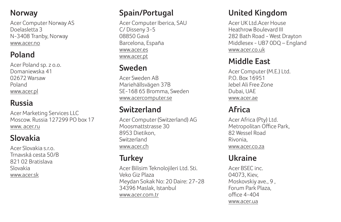#### **Norway**

Acer Computer Norway AS Doelasletta 3 N-3408 Tranby, Norway www.acer.no

### **Poland**

Acer Poland sp. z o.o. Domaniewska 41 02672 Warsaw Poland www.acer.pl

### **Russia**

Acer Marketing Services LLC Moscow. Russia 127299 PO box 17 www. acer.ru

### **Slovakia**

Acer Slovakia s.r.o. Trnavská cesta 50/B 821 02 Bratislava Slovakia www.acer.sk

#### **Spain/Portugal**

Acer Computer Iberica, SAU C/ Disseny 3-5 08850 Gavá Barcelona, España www.acer.es www.acer.pt

### **Sweden**

Acer Sweden AB Mariehällsvägen 37B SE-168 65 Bromma, Sweden www.acercomputer.se

## **Switzerland**

Acer Computer (Switzerland) AG Moosmattstrasse 30 8953 Dietikon, Switzerland www.acer.ch

## **Turkey**

Acer Bilisim Teknolojileri Ltd. Sti. Veko Giz Plaza Meydan Sokak No: 20 Daire: 27-28 34396 Maslak, Istanbul www.acer.com.tr

#### **United Kingdom**

Acer UK Ltd.Acer House Heathrow Boulevard III 282 Bath Road - West Drayton Middlesex - UB7 0DQ – England www.acer.co.uk

### **Middle East**

Acer Computer (M.E.) Ltd. P.O. Box 16951 Jebel Ali Free Zone Dubai, UAE www.acer.ae

### **Africa**

Acer Africa (Pty) Ltd. Metropolitan Office Park, 82 Wessel Road Rivonia, www.acer.co.za

## **Ukraine**

Acer BSEC inc. 04073, Kiev, Moskovskiy ave., 9 , Forum Park Plaza,  $offce$  4-404 www.acer.ua